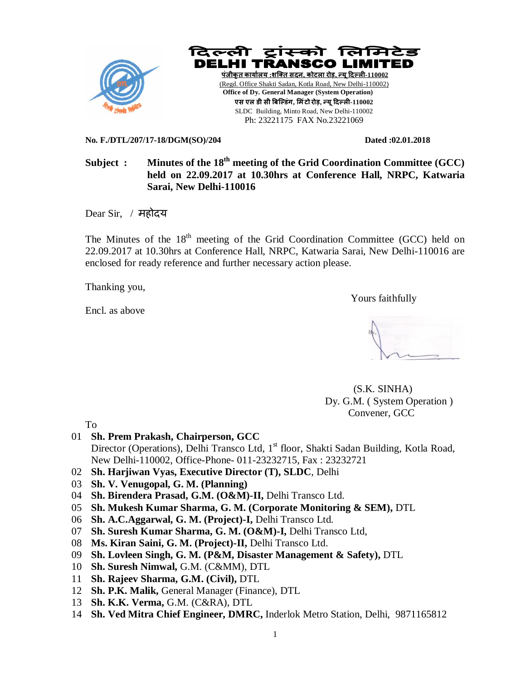



**No. F./DTL/207/17-18/DGM(SO)/204 Dated :02.01.2018** 

# Subject : Minutes of the 18<sup>th</sup> meeting of the Grid Coordination Committee (GCC) **held on 22.09.2017 at 10.30hrs at Conference Hall, NRPC, Katwaria Sarai, New Delhi-110016**

Dear Sir, / महोदय

The Minutes of the 18<sup>th</sup> meeting of the Grid Coordination Committee (GCC) held on 22.09.2017 at 10.30hrs at Conference Hall, NRPC, Katwaria Sarai, New Delhi-110016 are enclosed for ready reference and further necessary action please.

Thanking you,

Encl. as above

Yours faithfully



 (S.K. SINHA) Dy. G.M. ( System Operation ) Convener, GCC

To

- 01 **Sh. Prem Prakash, Chairperson, GCC** Director (Operations), Delhi Transco Ltd,  $1<sup>st</sup>$  floor, Shakti Sadan Building, Kotla Road, New Delhi-110002, Office-Phone- 011-23232715, Fax : 23232721
- 02 **Sh. Harjiwan Vyas, Executive Director (T), SLDC**, Delhi
- 03 **Sh. V. Venugopal, G. M. (Planning)**
- 04 **Sh. Birendera Prasad, G.M. (O&M)-II,** Delhi Transco Ltd.
- 05 **Sh. Mukesh Kumar Sharma, G. M. (Corporate Monitoring & SEM),** DTL
- 06 **Sh. A.C.Aggarwal, G. M. (Project)-I,** Delhi Transco Ltd.
- 07 **Sh. Suresh Kumar Sharma, G. M. (O&M)-I,** Delhi Transco Ltd,
- 08 **Ms. Kiran Saini, G. M. (Project)-II,** Delhi Transco Ltd.
- 09 **Sh. Lovleen Singh, G. M. (P&M, Disaster Management & Safety),** DTL
- 10 **Sh. Suresh Nimwal,** G.M. (C&MM), DTL
- 11 **Sh. Rajeev Sharma, G.M. (Civil),** DTL
- 12 **Sh. P.K. Malik,** General Manager (Finance), DTL
- 13 **Sh. K.K. Verma,** G.M. (C&RA), DTL
- 14 **Sh. Ved Mitra Chief Engineer, DMRC,** Inderlok Metro Station, Delhi, 9871165812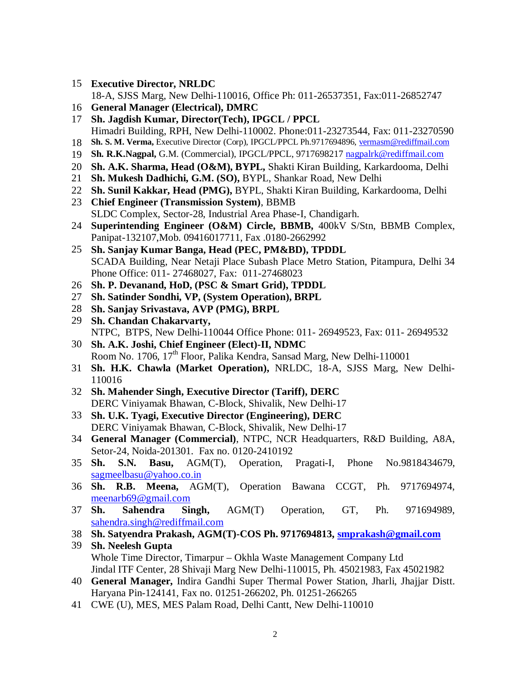**Executive Director, NRLDC**

18-A, SJSS Marg, New Delhi-110016, Office Ph: 011-26537351, Fax:011-26852747

- **General Manager (Electrical), DMRC**
- **Sh. Jagdish Kumar, Director(Tech), IPGCL / PPCL** Himadri Building, RPH, New Delhi-110002. Phone:011-23273544, Fax: 011-23270590
- **Sh. S. M. Verma,** Executive Director (Corp), IPGCL/PPCL Ph.9717694896, vermasm@rediffmail.com
- **Sh. R.K.Nagpal,** G.M. (Commercial), IPGCL/PPCL, 9717698217 nagpalrk@rediffmail.com
- **Sh. A.K. Sharma, Head (O&M), BYPL,** Shakti Kiran Building, Karkardooma, Delhi
- **Sh. Mukesh Dadhichi, G.M. (SO),** BYPL, Shankar Road, New Delhi
- **Sh. Sunil Kakkar, Head (PMG),** BYPL, Shakti Kiran Building, Karkardooma, Delhi
- **Chief Engineer (Transmission System)**, BBMB SLDC Complex, Sector-28, Industrial Area Phase-I, Chandigarh.
- **Superintending Engineer (O&M) Circle, BBMB,** 400kV S/Stn, BBMB Complex, Panipat-132107,Mob. 09416017711, Fax .0180-2662992
- **Sh. Sanjay Kumar Banga, Head (PEC, PM&BD), TPDDL** SCADA Building, Near Netaji Place Subash Place Metro Station, Pitampura, Delhi 34 Phone Office: 011- 27468027, Fax: 011-27468023
- **Sh. P. Devanand, HoD, (PSC & Smart Grid), TPDDL**
- **Sh. Satinder Sondhi, VP, (System Operation), BRPL**
- **Sh. Sanjay Srivastava, AVP (PMG), BRPL**
- **Sh. Chandan Chakarvarty,** NTPC, BTPS, New Delhi-110044 Office Phone: 011- 26949523, Fax: 011- 26949532
- **Sh. A.K. Joshi, Chief Engineer (Elect)-II, NDMC** Room No. 1706, 17<sup>th</sup> Floor, Palika Kendra, Sansad Marg, New Delhi-110001
- **Sh. H.K. Chawla (Market Operation),** NRLDC, 18-A, SJSS Marg, New Delhi-
- **Sh. Mahender Singh, Executive Director (Tariff), DERC** DERC Viniyamak Bhawan, C-Block, Shivalik, New Delhi-17
- **Sh. U.K. Tyagi, Executive Director (Engineering), DERC** DERC Viniyamak Bhawan, C-Block, Shivalik, New Delhi-17
- **General Manager (Commercial)**, NTPC, NCR Headquarters, R&D Building, A8A, Setor-24, Noida-201301. Fax no. 0120-2410192
- **Sh. S.N. Basu,** AGM(T), Operation, Pragati-I, Phone No.9818434679, sagmeelbasu@yahoo.co.in
- **Sh. R.B. Meena,** AGM(T), Operation Bawana CCGT, Ph. 9717694974, meenarb69@gmail.com
- **Sh. Sahendra Singh,** AGM(T) Operation, GT, Ph. 971694989, sahendra.singh@rediffmail.com
- **Sh. Satyendra Prakash, AGM(T)-COS Ph. 9717694813, smprakash@gmail.com**
- **Sh. Neelesh Gupta** Whole Time Director, Timarpur – Okhla Waste Management Company Ltd Jindal ITF Center, 28 Shivaji Marg New Delhi-110015, Ph. 45021983, Fax 45021982
- **General Manager,** Indira Gandhi Super Thermal Power Station, Jharli, Jhajjar Distt. Haryana Pin-124141, Fax no. 01251-266202, Ph. 01251-266265
- CWE (U), MES, MES Palam Road, Delhi Cantt, New Delhi-110010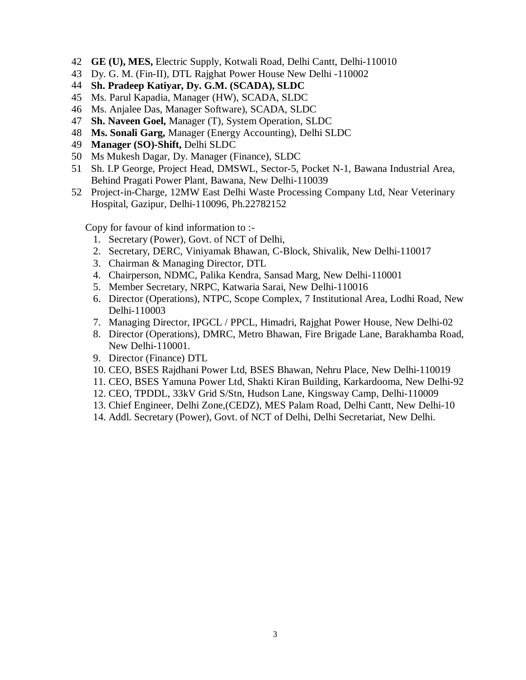- 42 **GE (U), MES,** Electric Supply, Kotwali Road, Delhi Cantt, Delhi-110010
- 43 Dy. G. M. (Fin-II), DTL Rajghat Power House New Delhi -110002
- 44 **Sh. Pradeep Katiyar, Dy. G.M. (SCADA), SLDC**
- 45 Ms. Parul Kapadia, Manager (HW), SCADA, SLDC
- 46 Ms. Anjalee Das, Manager Software), SCADA, SLDC
- 47 **Sh. Naveen Goel,** Manager (T), System Operation, SLDC
- 48 **Ms. Sonali Garg,** Manager (Energy Accounting), Delhi SLDC
- 49 **Manager (SO)-Shift,** Delhi SLDC
- 50 Ms Mukesh Dagar, Dy. Manager (Finance), SLDC
- 51 Sh. I.P George, Project Head, DMSWL, Sector-5, Pocket N-1, Bawana Industrial Area, Behind Pragati Power Plant, Bawana, New Delhi-110039
- 52 Project-in-Charge, 12MW East Delhi Waste Processing Company Ltd, Near Veterinary Hospital, Gazipur, Delhi-110096, Ph.22782152

Copy for favour of kind information to :-

- 1. Secretary (Power), Govt. of NCT of Delhi,
- 2. Secretary, DERC, Viniyamak Bhawan, C-Block, Shivalik, New Delhi-110017
- 3. Chairman & Managing Director, DTL
- 4. Chairperson, NDMC, Palika Kendra, Sansad Marg, New Delhi-110001
- 5. Member Secretary, NRPC, Katwaria Sarai, New Delhi-110016
- 6. Director (Operations), NTPC, Scope Complex, 7 Institutional Area, Lodhi Road, New Delhi-110003
- 7. Managing Director, IPGCL / PPCL, Himadri, Rajghat Power House, New Delhi-02
- 8. Director (Operations), DMRC, Metro Bhawan, Fire Brigade Lane, Barakhamba Road, New Delhi-110001.
- 9. Director (Finance) DTL
- 10. CEO, BSES Rajdhani Power Ltd, BSES Bhawan, Nehru Place, New Delhi-110019
- 11. CEO, BSES Yamuna Power Ltd, Shakti Kiran Building, Karkardooma, New Delhi-92
- 12. CEO, TPDDL, 33kV Grid S/Stn, Hudson Lane, Kingsway Camp, Delhi-110009
- 13. Chief Engineer, Delhi Zone,(CEDZ), MES Palam Road, Delhi Cantt, New Delhi-10
- 14. Addl. Secretary (Power), Govt. of NCT of Delhi, Delhi Secretariat, New Delhi.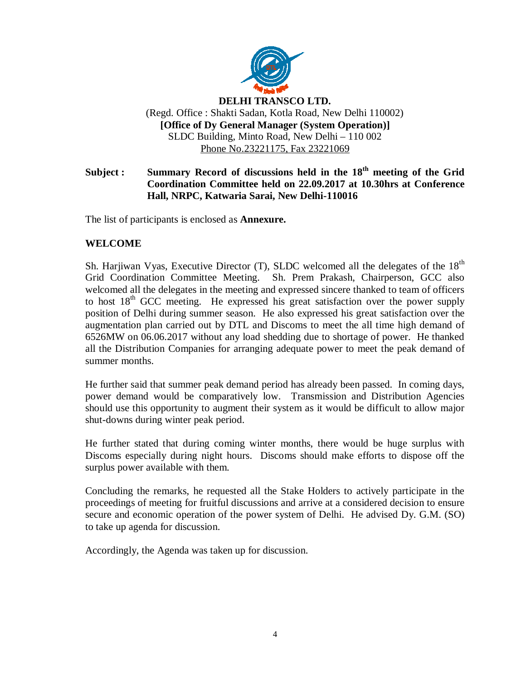

# Subject : Summary Record of discussions held in the 18<sup>th</sup> meeting of the Grid **Coordination Committee held on 22.09.2017 at 10.30hrs at Conference Hall, NRPC, Katwaria Sarai, New Delhi-110016**

The list of participants is enclosed as **Annexure.**

# **WELCOME**

Sh. Harjiwan Vyas, Executive Director  $(T)$ , SLDC welcomed all the delegates of the  $18<sup>th</sup>$ Grid Coordination Committee Meeting. Sh. Prem Prakash, Chairperson, GCC also welcomed all the delegates in the meeting and expressed sincere thanked to team of officers to host  $18<sup>th</sup>$  GCC meeting. He expressed his great satisfaction over the power supply position of Delhi during summer season. He also expressed his great satisfaction over the augmentation plan carried out by DTL and Discoms to meet the all time high demand of 6526MW on 06.06.2017 without any load shedding due to shortage of power. He thanked all the Distribution Companies for arranging adequate power to meet the peak demand of summer months.

He further said that summer peak demand period has already been passed. In coming days, power demand would be comparatively low. Transmission and Distribution Agencies should use this opportunity to augment their system as it would be difficult to allow major shut-downs during winter peak period.

He further stated that during coming winter months, there would be huge surplus with Discoms especially during night hours. Discoms should make efforts to dispose off the surplus power available with them.

Concluding the remarks, he requested all the Stake Holders to actively participate in the proceedings of meeting for fruitful discussions and arrive at a considered decision to ensure secure and economic operation of the power system of Delhi. He advised Dy. G.M. (SO) to take up agenda for discussion.

Accordingly, the Agenda was taken up for discussion.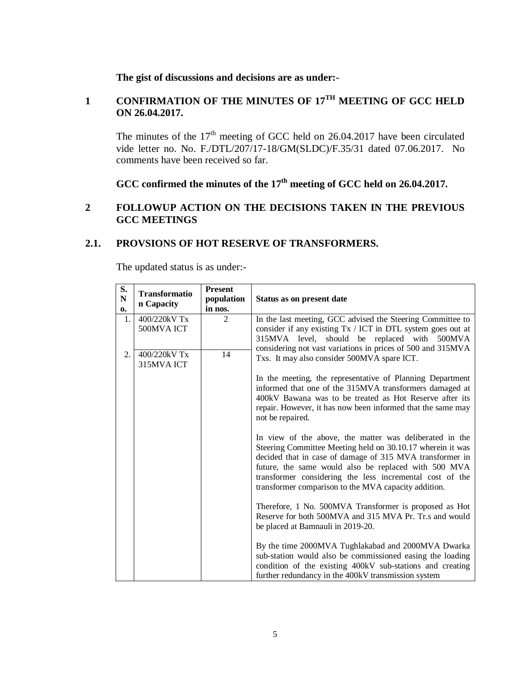# **The gist of discussions and decisions are as under:-**

## 1 **CONFIRMATION OF THE MINUTES OF 17<sup>TH</sup> MEETING OF GCC HELD ON 26.04.2017.**

The minutes of the  $17<sup>th</sup>$  meeting of GCC held on 26.04.2017 have been circulated vide letter no. No. F./DTL/207/17-18/GM(SLDC)/F.35/31 dated 07.06.2017. No comments have been received so far.

# **GCC confirmed the minutes of the 17 th meeting of GCC held on 26.04.2017.**

## **2 FOLLOWUP ACTION ON THE DECISIONS TAKEN IN THE PREVIOUS GCC MEETINGS**

#### **2.1. PROVSIONS OF HOT RESERVE OF TRANSFORMERS.**

| S.<br>${\bf N}$<br>0. | <b>Transformatio</b><br>n Capacity | <b>Present</b><br>population<br>in nos. | Status as on present date                                                                                                                                                                                                                                                                                                                                                                                                                                                                                                                                                                                                                                                                                                                                                                                                                                                                                                                                                                                                                                                                   |
|-----------------------|------------------------------------|-----------------------------------------|---------------------------------------------------------------------------------------------------------------------------------------------------------------------------------------------------------------------------------------------------------------------------------------------------------------------------------------------------------------------------------------------------------------------------------------------------------------------------------------------------------------------------------------------------------------------------------------------------------------------------------------------------------------------------------------------------------------------------------------------------------------------------------------------------------------------------------------------------------------------------------------------------------------------------------------------------------------------------------------------------------------------------------------------------------------------------------------------|
| 1.                    | 400/220kV Tx<br>500MVA ICT         | $\mathcal{D}_{\mathcal{L}}$             | In the last meeting, GCC advised the Steering Committee to<br>consider if any existing Tx / ICT in DTL system goes out at<br>315MVA level, should be replaced with 500MVA                                                                                                                                                                                                                                                                                                                                                                                                                                                                                                                                                                                                                                                                                                                                                                                                                                                                                                                   |
| 2.                    | 400/220kV Tx<br>315MVA ICT         | 14                                      | considering not vast variations in prices of 500 and 315MVA<br>Txs. It may also consider 500MVA spare ICT.<br>In the meeting, the representative of Planning Department<br>informed that one of the 315MVA transformers damaged at<br>400 kV Bawana was to be treated as Hot Reserve after its<br>repair. However, it has now been informed that the same may<br>not be repaired.<br>In view of the above, the matter was deliberated in the<br>Steering Committee Meeting held on 30.10.17 wherein it was<br>decided that in case of damage of 315 MVA transformer in<br>future, the same would also be replaced with 500 MVA<br>transformer considering the less incremental cost of the<br>transformer comparison to the MVA capacity addition.<br>Therefore, 1 No. 500MVA Transformer is proposed as Hot<br>Reserve for both 500MVA and 315 MVA Pr. Tr.s and would<br>be placed at Bamnauli in 2019-20.<br>By the time 2000MVA Tughlakabad and 2000MVA Dwarka<br>sub-station would also be commissioned easing the loading<br>condition of the existing 400kV sub-stations and creating |
|                       |                                    |                                         | further redundancy in the 400kV transmission system                                                                                                                                                                                                                                                                                                                                                                                                                                                                                                                                                                                                                                                                                                                                                                                                                                                                                                                                                                                                                                         |

The updated status is as under:-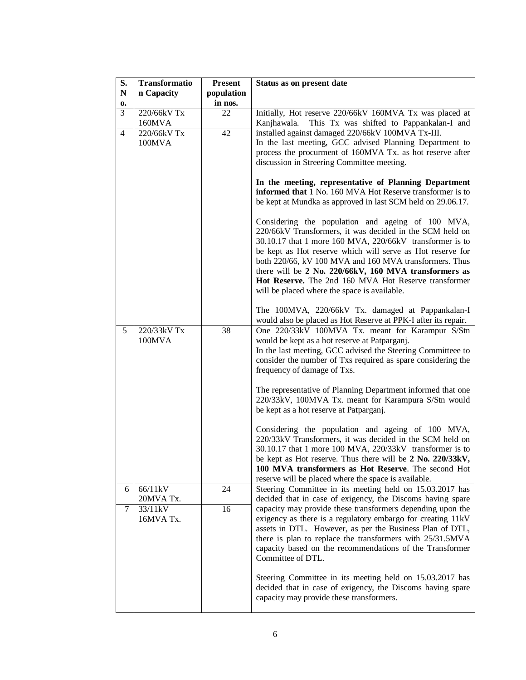| S.             | Transformatio         | <b>Present</b> | Status as on present date                                                                                                                                                                                                                                                                                                                                                                                                                                                                                               |
|----------------|-----------------------|----------------|-------------------------------------------------------------------------------------------------------------------------------------------------------------------------------------------------------------------------------------------------------------------------------------------------------------------------------------------------------------------------------------------------------------------------------------------------------------------------------------------------------------------------|
| ${\bf N}$      | n Capacity            | population     |                                                                                                                                                                                                                                                                                                                                                                                                                                                                                                                         |
| 0.             |                       | in nos.        |                                                                                                                                                                                                                                                                                                                                                                                                                                                                                                                         |
| 3              | 220/66kV Tx<br>160MVA | 22             | Initially, Hot reserve 220/66kV 160MVA Tx was placed at<br>This Tx was shifted to Pappankalan-I and<br>Kanjhawala.                                                                                                                                                                                                                                                                                                                                                                                                      |
| $\overline{4}$ | 220/66kV Tx<br>100MVA | 42             | installed against damaged 220/66kV 100MVA Tx-III.<br>In the last meeting, GCC advised Planning Department to<br>process the procurment of 160MVA Tx. as hot reserve after<br>discussion in Streering Committee meeting.<br>In the meeting, representative of Planning Department<br>informed that 1 No. 160 MVA Hot Reserve transformer is to<br>be kept at Mundka as approved in last SCM held on 29.06.17.                                                                                                            |
|                |                       |                | Considering the population and ageing of 100 MVA,<br>220/66kV Transformers, it was decided in the SCM held on<br>30.10.17 that 1 more 160 MVA, 220/66kV transformer is to<br>be kept as Hot reserve which will serve as Hot reserve for<br>both 220/66, kV 100 MVA and 160 MVA transformers. Thus<br>there will be 2 No. 220/66kV, 160 MVA transformers as<br>Hot Reserve. The 2nd 160 MVA Hot Reserve transformer<br>will be placed where the space is available.<br>The 100MVA, 220/66kV Tx. damaged at Pappankalan-I |
|                |                       |                | would also be placed as Hot Reserve at PPK-I after its repair.                                                                                                                                                                                                                                                                                                                                                                                                                                                          |
| 5              | 220/33kV Tx<br>100MVA | 38             | One 220/33kV 100MVA Tx. meant for Karampur S/Stn<br>would be kept as a hot reserve at Patparganj.<br>In the last meeting, GCC advised the Steering Committeee to<br>consider the number of Txs required as spare considering the<br>frequency of damage of Txs.                                                                                                                                                                                                                                                         |
|                |                       |                | The representative of Planning Department informed that one<br>220/33kV, 100MVA Tx. meant for Karampura S/Stn would<br>be kept as a hot reserve at Patparganj.                                                                                                                                                                                                                                                                                                                                                          |
|                |                       |                | Considering the population and ageing of 100 MVA,<br>220/33kV Transformers, it was decided in the SCM held on<br>30.10.17 that 1 more 100 MVA, 220/33kV transformer is to<br>be kept as Hot reserve. Thus there will be 2 No. 220/33kV,<br>100 MVA transformers as Hot Reserve. The second Hot<br>reserve will be placed where the space is available.                                                                                                                                                                  |
| 6              | 66/11kV<br>20MVA Tx.  | 24             | Steering Committee in its meeting held on 15.03.2017 has<br>decided that in case of exigency, the Discoms having spare                                                                                                                                                                                                                                                                                                                                                                                                  |
| 7              | 33/11kV<br>16MVA Tx.  | 16             | capacity may provide these transformers depending upon the<br>exigency as there is a regulatory embargo for creating 11kV<br>assets in DTL. However, as per the Business Plan of DTL,<br>there is plan to replace the transformers with 25/31.5MVA<br>capacity based on the recommendations of the Transformer<br>Committee of DTL.                                                                                                                                                                                     |
|                |                       |                | Steering Committee in its meeting held on 15.03.2017 has<br>decided that in case of exigency, the Discoms having spare<br>capacity may provide these transformers.                                                                                                                                                                                                                                                                                                                                                      |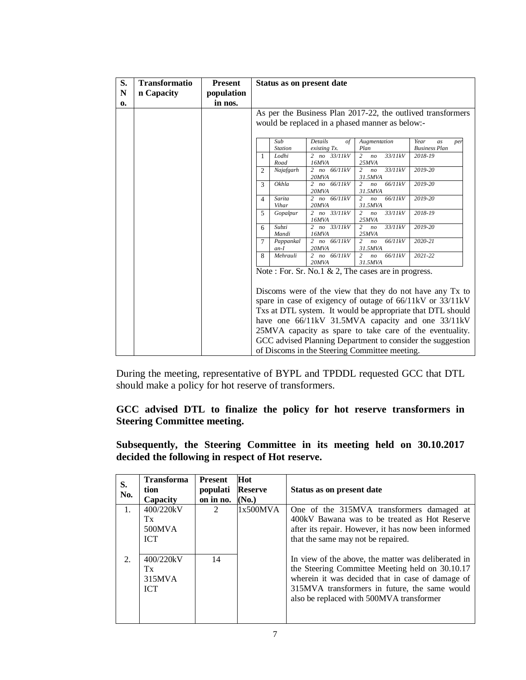| S.          | <b>Transformatio</b> | <b>Present</b> |                                                                                               |                         | Status as on present date        |                                                        |                                                             |  |
|-------------|----------------------|----------------|-----------------------------------------------------------------------------------------------|-------------------------|----------------------------------|--------------------------------------------------------|-------------------------------------------------------------|--|
| $\mathbf N$ | n Capacity           | population     |                                                                                               |                         |                                  |                                                        |                                                             |  |
| 0.          |                      | in nos.        |                                                                                               |                         |                                  |                                                        |                                                             |  |
|             |                      |                |                                                                                               |                         |                                  |                                                        | As per the Business Plan 2017-22, the outlived transformers |  |
|             |                      |                |                                                                                               |                         |                                  | would be replaced in a phased manner as below:-        |                                                             |  |
|             |                      |                |                                                                                               |                         |                                  |                                                        |                                                             |  |
|             |                      |                |                                                                                               | Sub                     | Details<br>$\sigma f$            | Augmentation<br>Plan                                   | Year<br>as<br>per                                           |  |
|             |                      |                | 1                                                                                             | <b>Station</b><br>Lodhi | existing Tx.<br>2 $no$ $33/11kV$ | 33/11kV<br>2 no                                        | <b>Business Plan</b><br>2018-19                             |  |
|             |                      |                |                                                                                               | Road                    | 16MVA                            | 25MVA                                                  |                                                             |  |
|             |                      |                | 2                                                                                             | Najafgarh               | 2 no $66/11kV$<br>20MVA          | 33/11kV<br>$\overline{2}$<br>n <sub>o</sub><br>31.5MVA | 2019-20                                                     |  |
|             |                      |                | 3                                                                                             | Okhla                   | 2 no $66/11kV$<br>20MVA          | 66/11kV<br>n <sub>o</sub><br>2<br>31.5MVA              | 2019-20                                                     |  |
|             |                      |                | 4                                                                                             | Sarita<br>Vihar         | 2 $no$ 66/11kV<br>20MVA          | 66/11kV<br>2<br>n <sub>O</sub><br>31.5MVA              | 2019-20                                                     |  |
|             |                      |                | 2 no 33/11kV<br>33/11kV<br>2018-19<br>Gopalpur<br>$\overline{2}$<br>5<br>no<br>16MVA<br>25MVA |                         |                                  |                                                        |                                                             |  |
|             |                      |                | 6                                                                                             | Subzi<br>Mandi          | 2 $no$ $33/11kV$<br>16MVA        | 33/11kV<br>$\overline{2}$<br>n <sub>o</sub><br>25MVA   | 2019-20                                                     |  |
|             |                      |                | $\tau$                                                                                        | Pappankal<br>$an-I$     | 2 no $66/11kV$<br>20MVA          | 66/11kV<br>$\overline{c}$<br>n <sub>O</sub><br>31.5MVA | 2020-21                                                     |  |
|             |                      |                | 8                                                                                             | Mehrauli                | 2 no $66/11kV$<br>20MVA          | 66/11kV<br>$\overline{2}$<br>n <sub>o</sub><br>31.5MVA | 2021-22                                                     |  |
|             |                      |                |                                                                                               |                         |                                  | Note: For. Sr. No.1 & 2, The cases are in progress.    |                                                             |  |
|             |                      |                |                                                                                               |                         |                                  |                                                        | Discoms were of the view that they do not have any Tx to    |  |
|             |                      |                |                                                                                               |                         |                                  |                                                        | spare in case of exigency of outage of 66/11kV or 33/11kV   |  |
|             |                      |                |                                                                                               |                         |                                  |                                                        | Txs at DTL system. It would be appropriate that DTL should  |  |
|             |                      |                |                                                                                               |                         |                                  |                                                        | have one 66/11kV 31.5MVA capacity and one 33/11kV           |  |
|             |                      |                |                                                                                               |                         |                                  |                                                        | 25MVA capacity as spare to take care of the eventuality.    |  |
|             |                      |                |                                                                                               |                         |                                  |                                                        | GCC advised Planning Department to consider the suggestion  |  |
|             |                      |                |                                                                                               |                         |                                  | of Discoms in the Steering Committee meeting.          |                                                             |  |

During the meeting, representative of BYPL and TPDDL requested GCC that DTL should make a policy for hot reserve of transformers.

# **GCC advised DTL to finalize the policy for hot reserve transformers in Steering Committee meeting.**

**Subsequently, the Steering Committee in its meeting held on 30.10.2017 decided the following in respect of Hot reserve.**

| S.<br>No.   | <b>Transforma</b><br>tion<br>Capacity   | <b>Present</b><br>populati<br>on in no. | Hot<br><b>Reserve</b><br>(No.) | Status as on present date                                                                                                                                                                                                                               |
|-------------|-----------------------------------------|-----------------------------------------|--------------------------------|---------------------------------------------------------------------------------------------------------------------------------------------------------------------------------------------------------------------------------------------------------|
| $1_{\cdot}$ | 400/220kV<br>Tx<br>500MVA<br><b>ICT</b> | $\mathfrak{D}$                          | 1x500MVA                       | One of the 315MVA transformers damaged at<br>400 kV Bawana was to be treated as Hot Reserve<br>after its repair. However, it has now been informed<br>that the same may not be repaired.                                                                |
| 2.          | 400/220kV<br>Tx<br>315MVA<br><b>ICT</b> | 14                                      |                                | In view of the above, the matter was deliberated in<br>the Steering Committee Meeting held on 30.10.17<br>wherein it was decided that in case of damage of<br>315MVA transformers in future, the same would<br>also be replaced with 500MVA transformer |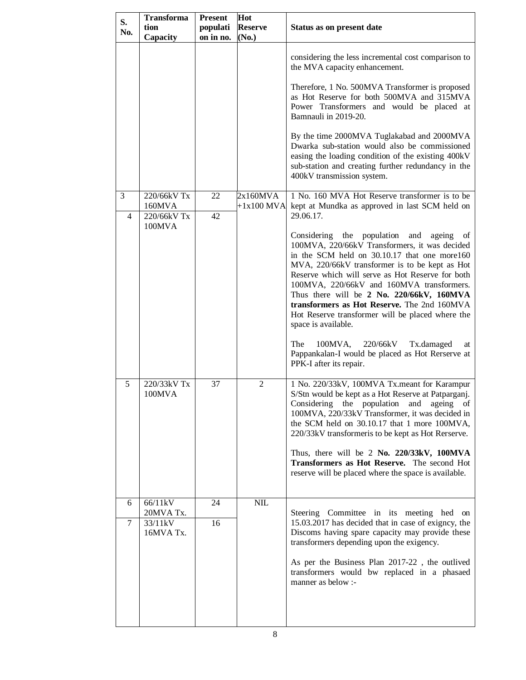| S.<br>No.           | <b>Transforma</b><br>tion<br>Capacity        | <b>Present</b><br>populati<br>on in no. | Hot<br><b>Reserve</b><br>(No.) | Status as on present date                                                                                                                                                                                                                                                                                                                                                                                                                                            |
|---------------------|----------------------------------------------|-----------------------------------------|--------------------------------|----------------------------------------------------------------------------------------------------------------------------------------------------------------------------------------------------------------------------------------------------------------------------------------------------------------------------------------------------------------------------------------------------------------------------------------------------------------------|
|                     |                                              |                                         |                                | considering the less incremental cost comparison to<br>the MVA capacity enhancement.                                                                                                                                                                                                                                                                                                                                                                                 |
|                     |                                              |                                         |                                | Therefore, 1 No. 500MVA Transformer is proposed<br>as Hot Reserve for both 500MVA and 315MVA<br>Power Transformers and would be placed at<br>Bamnauli in 2019-20.                                                                                                                                                                                                                                                                                                    |
|                     |                                              |                                         |                                | By the time 2000MVA Tuglakabad and 2000MVA<br>Dwarka sub-station would also be commissioned<br>easing the loading condition of the existing 400kV<br>sub-station and creating further redundancy in the<br>400kV transmission system.                                                                                                                                                                                                                                |
| 3<br>$\overline{4}$ | 220/66kV Tx<br>160MVA<br>220/66kV Tx         | 22<br>42                                | 2x160MVA<br>$+1x100$ MVA       | 1 No. 160 MVA Hot Reserve transformer is to be<br>kept at Mundka as approved in last SCM held on<br>29.06.17.                                                                                                                                                                                                                                                                                                                                                        |
|                     | 100MVA                                       |                                         |                                | Considering the population and ageing of<br>100MVA, 220/66kV Transformers, it was decided<br>in the SCM held on 30.10.17 that one more160<br>MVA, 220/66kV transformer is to be kept as Hot<br>Reserve which will serve as Hot Reserve for both<br>100MVA, 220/66kV and 160MVA transformers.<br>Thus there will be 2 No. 220/66kV, 160MVA<br>transformers as Hot Reserve. The 2nd 160MVA<br>Hot Reserve transformer will be placed where the<br>space is available.  |
|                     |                                              |                                         |                                | The<br>220/66kV<br>$100MVA$ ,<br>Tx.damaged<br>at<br>Pappankalan-I would be placed as Hot Rerserve at<br>PPK-I after its repair.                                                                                                                                                                                                                                                                                                                                     |
| 5                   | 220/33kV Tx<br>100MVA                        | 37                                      | $\overline{2}$                 | 1 No. 220/33kV, 100MVA Tx.meant for Karampur<br>S/Stn would be kept as a Hot Reserve at Patparganj.<br>Considering the population and ageing of<br>100MVA, 220/33kV Transformer, it was decided in<br>the SCM held on 30.10.17 that 1 more 100MVA,<br>220/33kV transformeris to be kept as Hot Rerserve.<br>Thus, there will be 2 No. 220/33kV, 100MVA<br><b>Transformers as Hot Reserve.</b> The second Hot<br>reserve will be placed where the space is available. |
| 6<br>7              | 66/11kV<br>20MVA Tx.<br>33/11kV<br>16MVA Tx. | 24<br>16                                | $\text{NIL}$                   | Steering Committee in its meeting hed on<br>15.03.2017 has decided that in case of exigncy, the<br>Discoms having spare capacity may provide these<br>transformers depending upon the exigency.<br>As per the Business Plan 2017-22, the outlived<br>transformers would bw replaced in a phasaed<br>manner as below :-                                                                                                                                               |
|                     |                                              |                                         |                                |                                                                                                                                                                                                                                                                                                                                                                                                                                                                      |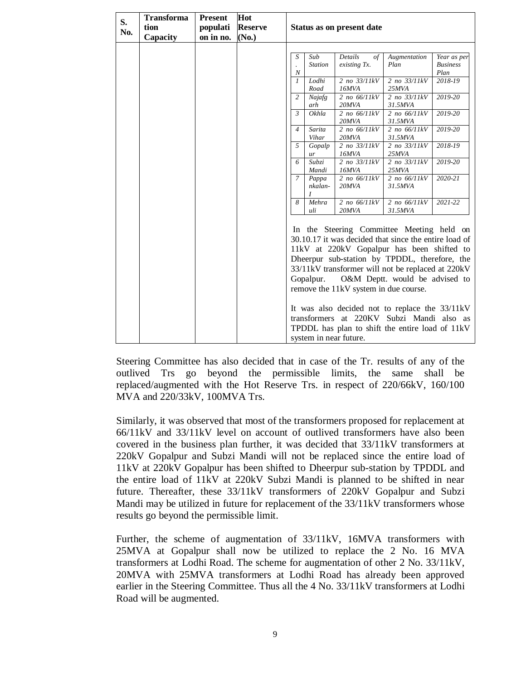| S.<br>No. | <b>Transforma</b><br>tion<br>Capacity | <b>Present</b><br>populati<br>on in no. | Hot<br><b>Reserve</b><br>(No.) |                       |                       | Status as on present date                                       |                                                                                                                                                                                                                                                                                                                                                                                                                                            |                                        |
|-----------|---------------------------------------|-----------------------------------------|--------------------------------|-----------------------|-----------------------|-----------------------------------------------------------------|--------------------------------------------------------------------------------------------------------------------------------------------------------------------------------------------------------------------------------------------------------------------------------------------------------------------------------------------------------------------------------------------------------------------------------------------|----------------------------------------|
|           |                                       |                                         |                                | S<br>$\boldsymbol{N}$ | Sub<br><b>Station</b> | Details<br>$\sigma f$<br>existing Tx.                           | Augmentation<br>Plan                                                                                                                                                                                                                                                                                                                                                                                                                       | Year as per<br><b>Business</b><br>Plan |
|           |                                       |                                         |                                | $\mathcal{I}$         | Lodhi<br>Road         | 2 no 33/11kV<br>16MVA                                           | 2 no 33/11kV<br>25MVA                                                                                                                                                                                                                                                                                                                                                                                                                      | 2018-19                                |
|           |                                       |                                         |                                | $\overline{c}$        | Najafg<br>arh         | 2 no 66/11kV<br>20MVA                                           | 2 no 33/11kV<br>31.5MVA                                                                                                                                                                                                                                                                                                                                                                                                                    | 2019-20                                |
|           |                                       |                                         |                                | $\mathfrak{Z}$        | Okhla                 | 2 no 66/11kV<br>20MVA                                           | 2 no 66/11kV<br>31.5MVA                                                                                                                                                                                                                                                                                                                                                                                                                    | 2019-20                                |
|           |                                       |                                         |                                | $\overline{4}$        | Sarita<br>Vihar       | 2 no 66/11kV<br>20MVA                                           | 2 no 66/11kV<br>31.5MVA                                                                                                                                                                                                                                                                                                                                                                                                                    | 2019-20                                |
|           |                                       |                                         |                                | 5                     | Gopalp<br>ur          | 2 no 33/11kV<br>16MVA                                           | 2 no 33/11kV<br>25MVA                                                                                                                                                                                                                                                                                                                                                                                                                      | 2018-19                                |
|           |                                       |                                         |                                | 6                     | Subzi<br>Mandi        | 2 no 33/11kV<br>16MVA                                           | 2 no 33/11kV<br>25MVA                                                                                                                                                                                                                                                                                                                                                                                                                      | 2019-20                                |
|           |                                       |                                         |                                | $\overline{7}$        | Pappa<br>nkalan-<br>I | 2 no 66/11kV<br>20MVA                                           | 2 no 66/11kV<br>31.5MVA                                                                                                                                                                                                                                                                                                                                                                                                                    | 2020-21                                |
|           |                                       |                                         |                                | 8                     | Mehra<br>uli          | 2 no 66/11kV<br>20MVA                                           | 2 no 66/11kV<br>31.5MVA                                                                                                                                                                                                                                                                                                                                                                                                                    | 2021-22                                |
|           |                                       |                                         |                                |                       | Gopalpur.             | remove the 11kV system in due course.<br>system in near future. | In the Steering Committee Meeting held on<br>30.10.17 it was decided that since the entire load of<br>11kV at 220kV Gopalpur has been shifted to<br>Dheerpur sub-station by TPDDL, therefore, the<br>33/11kV transformer will not be replaced at 220kV<br>O&M Deptt. would be advised to<br>It was also decided not to replace the 33/11kV<br>transformers at 220KV Subzi Mandi also as<br>TPDDL has plan to shift the entire load of 11kV |                                        |

Steering Committee has also decided that in case of the Tr. results of any of the outlived Trs go beyond the permissible limits, the same shall be replaced/augmented with the Hot Reserve Trs. in respect of 220/66kV, 160/100 MVA and 220/33kV, 100MVA Trs.

Similarly, it was observed that most of the transformers proposed for replacement at 66/11kV and 33/11kV level on account of outlived transformers have also been covered in the business plan further, it was decided that 33/11kV transformers at 220kV Gopalpur and Subzi Mandi will not be replaced since the entire load of 11kV at 220kV Gopalpur has been shifted to Dheerpur sub-station by TPDDL and the entire load of 11kV at 220kV Subzi Mandi is planned to be shifted in near future. Thereafter, these 33/11kV transformers of 220kV Gopalpur and Subzi Mandi may be utilized in future for replacement of the 33/11kV transformers whose results go beyond the permissible limit.

Further, the scheme of augmentation of 33/11kV, 16MVA transformers with 25MVA at Gopalpur shall now be utilized to replace the 2 No. 16 MVA transformers at Lodhi Road. The scheme for augmentation of other 2 No. 33/11kV, 20MVA with 25MVA transformers at Lodhi Road has already been approved earlier in the Steering Committee. Thus all the 4 No. 33/11kV transformers at Lodhi Road will be augmented.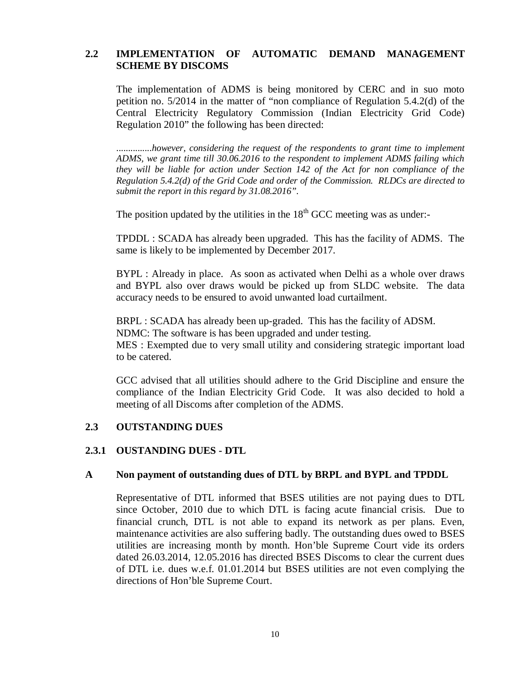## **2.2 IMPLEMENTATION OF AUTOMATIC DEMAND MANAGEMENT SCHEME BY DISCOMS**

The implementation of ADMS is being monitored by CERC and in suo moto petition no. 5/2014 in the matter of "non compliance of Regulation 5.4.2(d) of the Central Electricity Regulatory Commission (Indian Electricity Grid Code) Regulation 2010" the following has been directed:

...............*however, considering the request of the respondents to grant time to implement ADMS, we grant time till 30.06.2016 to the respondent to implement ADMS failing which they will be liable for action under Section 142 of the Act for non compliance of the Regulation 5.4.2(d) of the Grid Code and order of the Commission. RLDCs are directed to submit the report in this regard by 31.08.2016".*

The position updated by the utilities in the  $18<sup>th</sup>$  GCC meeting was as under:-

TPDDL : SCADA has already been upgraded. This has the facility of ADMS. The same is likely to be implemented by December 2017.

BYPL : Already in place. As soon as activated when Delhi as a whole over draws and BYPL also over draws would be picked up from SLDC website. The data accuracy needs to be ensured to avoid unwanted load curtailment.

BRPL : SCADA has already been up-graded. This has the facility of ADSM. NDMC: The software is has been upgraded and under testing. MES : Exempted due to very small utility and considering strategic important load to be catered.

GCC advised that all utilities should adhere to the Grid Discipline and ensure the compliance of the Indian Electricity Grid Code. It was also decided to hold a meeting of all Discoms after completion of the ADMS.

### **2.3 OUTSTANDING DUES**

#### **2.3.1 OUSTANDING DUES - DTL**

#### **A Non payment of outstanding dues of DTL by BRPL and BYPL and TPDDL**

Representative of DTL informed that BSES utilities are not paying dues to DTL since October, 2010 due to which DTL is facing acute financial crisis. Due to financial crunch, DTL is not able to expand its network as per plans. Even, maintenance activities are also suffering badly. The outstanding dues owed to BSES utilities are increasing month by month. Hon'ble Supreme Court vide its orders dated 26.03.2014, 12.05.2016 has directed BSES Discoms to clear the current dues of DTL i.e. dues w.e.f. 01.01.2014 but BSES utilities are not even complying the directions of Hon'ble Supreme Court.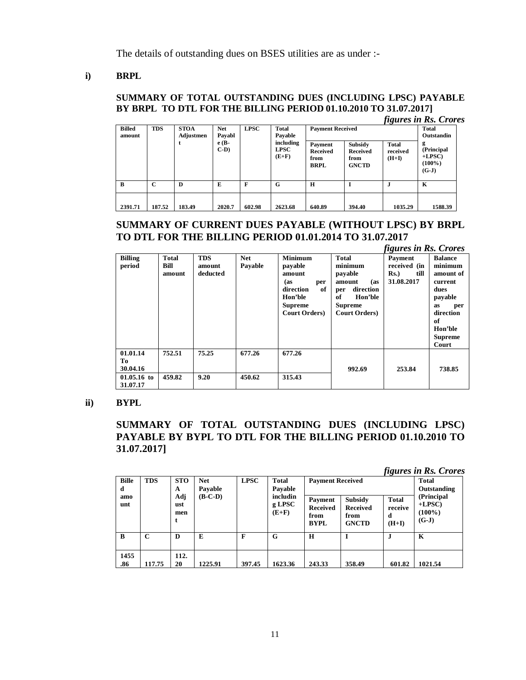The details of outstanding dues on BSES utilities are as under :-

### **i) BRPL**

## **SUMMARY OF TOTAL OUTSTANDING DUES (INCLUDING LPSC) PAYABLE BY BRPL TO DTL FOR THE BILLING PERIOD 01.10.2010 TO 31.07.2017]**

|                         |             |                                                                                 |                   |                         |                                     |                                                   |                                             |                                     | <i>figures in Rs. Crores</i>                       |
|-------------------------|-------------|---------------------------------------------------------------------------------|-------------------|-------------------------|-------------------------------------|---------------------------------------------------|---------------------------------------------|-------------------------------------|----------------------------------------------------|
| <b>Billed</b><br>amount | <b>TDS</b>  | <b>LPSC</b><br><b>STOA</b><br><b>Net</b><br><b>Total</b><br>Payabl<br>Adjustmen | Pavable           | <b>Payment Received</b> |                                     |                                                   | <b>Total</b><br>Outstandin                  |                                     |                                                    |
|                         |             | t                                                                               | $e(B-$<br>$C-D$ ) |                         | including<br><b>LPSC</b><br>$(E+F)$ | Payment<br><b>Received</b><br>from<br><b>BRPL</b> | Subsidy<br>Received<br>from<br><b>GNCTD</b> | <b>Total</b><br>received<br>$(H+I)$ | g<br>(Principal<br>$+LPSC$<br>$(100\%)$<br>$(G-J)$ |
| B                       | $\mathbf C$ | D                                                                               | E                 | F                       | G                                   | $\mathbf H$                                       |                                             | J.                                  | K                                                  |
| 2391.71                 | 187.52      | 183.49                                                                          | 2020.7            | 602.98                  | 2623.68                             | 640.89                                            | 394.40                                      | 1035.29                             | 1588.39                                            |

## **SUMMARY OF CURRENT DUES PAYABLE (WITHOUT LPSC) BY BRPL TO DTL FOR THE BILLING PERIOD 01.01.2014 TO 31.07.2017**

|                            |                         |                                  |                       |                                                                                                                            |                                                                                                                                     | figures in Rs. Crores                                    |                                                                                                                 |
|----------------------------|-------------------------|----------------------------------|-----------------------|----------------------------------------------------------------------------------------------------------------------------|-------------------------------------------------------------------------------------------------------------------------------------|----------------------------------------------------------|-----------------------------------------------------------------------------------------------------------------|
| <b>Billing</b><br>period   | Total<br>Bill<br>amount | <b>TDS</b><br>amount<br>deducted | <b>Net</b><br>Payable | <b>Minimum</b><br>payable<br>amount<br>(as<br>per<br>of<br>direction<br>Hon'ble<br><b>Supreme</b><br><b>Court Orders</b> ) | <b>Total</b><br>minimum<br>payable<br>amount<br>(as<br>direction<br>per<br>of<br>Hon'ble<br><b>Supreme</b><br><b>Court Orders</b> ) | Payment<br>received (in<br>till<br>$Rs.$ )<br>31.08.2017 | <b>Balance</b><br>minimum<br>amount of<br>current<br>dues<br>payable<br>as<br>per<br>direction<br>of<br>Hon'ble |
|                            |                         |                                  |                       |                                                                                                                            |                                                                                                                                     |                                                          | <b>Supreme</b><br>Court                                                                                         |
| 01.01.14<br>Tо<br>30.04.16 | 752.51                  | 75.25                            | 677.26                | 677.26                                                                                                                     | 992.69                                                                                                                              | 253.84                                                   | 738.85                                                                                                          |
| $01.05.16$ to<br>31.07.17  | 459.82                  | 9.20                             | 450.62                | 315.43                                                                                                                     |                                                                                                                                     |                                                          |                                                                                                                 |

#### **ii) BYPL**

## **SUMMARY OF TOTAL OUTSTANDING DUES (INCLUDING LPSC) PAYABLE BY BYPL TO DTL FOR THE BILLING PERIOD 01.10.2010 TO 31.07.2017]**

*figures in Rs. Crores*

| <b>Bille</b><br>d<br>amo<br>unt | <b>TDS</b>  | <b>STO</b><br>A<br>Adj<br>ust<br>men | <b>Net</b><br>Payable<br>$(B-C-D)$ | <b>LPSC</b> | <b>Total</b><br>Pavable<br>includin<br>g LPSC<br>$(E+F)$ | <b>Payment Received</b><br>Payment<br><b>Received</b><br>from<br><b>BYPL</b> | Subsidy<br><b>Received</b><br>from<br><b>GNCTD</b> | <b>Total</b><br>receive<br>d<br>$(H+I)$ | <b>Total</b><br>Outstanding<br>(Principal<br>$+LPSC$<br>$(100\%)$<br>$(G-J)$ |
|---------------------------------|-------------|--------------------------------------|------------------------------------|-------------|----------------------------------------------------------|------------------------------------------------------------------------------|----------------------------------------------------|-----------------------------------------|------------------------------------------------------------------------------|
| $\mathbf{B}$                    | $\mathbf C$ | D                                    | E                                  | F           | G                                                        | H                                                                            |                                                    |                                         | K                                                                            |
| 1455<br>.86                     | 117.75      | 112.<br>20                           | 1225.91                            | 397.45      | 1623.36                                                  | 243.33                                                                       | 358.49                                             | 601.82                                  | 1021.54                                                                      |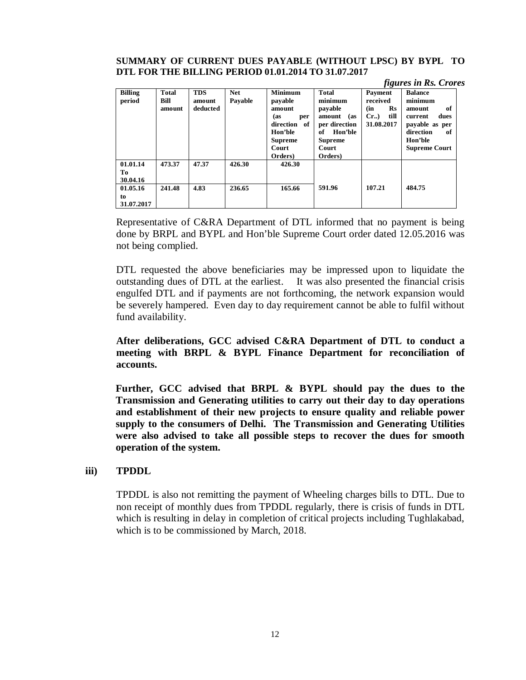#### **SUMMARY OF CURRENT DUES PAYABLE (WITHOUT LPSC) BY BYPL TO DTL FOR THE BILLING PERIOD 01.01.2014 TO 31.07.2017**

|                              |                                |                                  |                       |                                                                                                                              |                                                                                                                                    |                                                                              | <i>figures in Rs. Crores</i>                                                                                                         |
|------------------------------|--------------------------------|----------------------------------|-----------------------|------------------------------------------------------------------------------------------------------------------------------|------------------------------------------------------------------------------------------------------------------------------------|------------------------------------------------------------------------------|--------------------------------------------------------------------------------------------------------------------------------------|
| <b>Billing</b><br>period     | <b>Total</b><br>Bill<br>amount | <b>TDS</b><br>amount<br>deducted | <b>Net</b><br>Pavable | <b>Minimum</b><br>payable<br>amount<br>(as<br>per<br>direction<br>of<br>Hon'ble<br><b>Supreme</b><br><b>Court</b><br>Orders) | <b>Total</b><br>minimum<br>payable<br>(as<br>amount<br>per direction<br>Hon'ble<br>of<br><b>Supreme</b><br><b>Court</b><br>Orders) | Payment<br>received<br>$\mathbf{R}s$<br>(in<br>$Cr.$ )<br>till<br>31.08.2017 | <b>Balance</b><br>minimum<br>of<br>amount<br>dues<br>current<br>payable as per<br>direction<br>of<br>Hon'ble<br><b>Supreme Court</b> |
| 01.01.14<br>Tо<br>30.04.16   | 473.37                         | 47.37                            | 426.30                | 426.30                                                                                                                       |                                                                                                                                    |                                                                              |                                                                                                                                      |
| 01.05.16<br>to<br>31.07.2017 | 241.48                         | 4.83                             | 236.65                | 165.66                                                                                                                       | 591.96                                                                                                                             | 107.21                                                                       | 484.75                                                                                                                               |

Representative of C&RA Department of DTL informed that no payment is being done by BRPL and BYPL and Hon'ble Supreme Court order dated 12.05.2016 was not being complied.

DTL requested the above beneficiaries may be impressed upon to liquidate the outstanding dues of DTL at the earliest. It was also presented the financial crisis engulfed DTL and if payments are not forthcoming, the network expansion would be severely hampered. Even day to day requirement cannot be able to fulfil without fund availability.

**After deliberations, GCC advised C&RA Department of DTL to conduct a meeting with BRPL & BYPL Finance Department for reconciliation of accounts.**

**Further, GCC advised that BRPL & BYPL should pay the dues to the Transmission and Generating utilities to carry out their day to day operations and establishment of their new projects to ensure quality and reliable power supply to the consumers of Delhi. The Transmission and Generating Utilities were also advised to take all possible steps to recover the dues for smooth operation of the system.** 

### **iii) TPDDL**

TPDDL is also not remitting the payment of Wheeling charges bills to DTL. Due to non receipt of monthly dues from TPDDL regularly, there is crisis of funds in DTL which is resulting in delay in completion of critical projects including Tughlakabad, which is to be commissioned by March, 2018.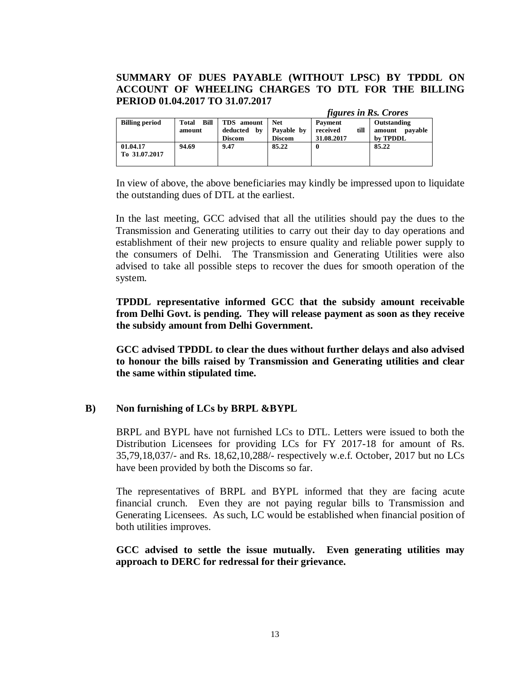## **SUMMARY OF DUES PAYABLE (WITHOUT LPSC) BY TPDDL ON ACCOUNT OF WHEELING CHARGES TO DTL FOR THE BILLING PERIOD 01.04.2017 TO 31.07.2017**

|                       |                             |               |               | <i>figures in Rs. Crores</i> |                   |
|-----------------------|-----------------------------|---------------|---------------|------------------------------|-------------------|
| <b>Billing period</b> | <b>Bill</b><br><b>Total</b> | TDS amount    | <b>Net</b>    | Payment                      | Outstanding       |
|                       | amount                      | deducted by   | Payable by    | till<br>received             | payable<br>amount |
|                       |                             | <b>Discom</b> | <b>Discom</b> | 31.08.2017                   | by TPDDL          |
| 01.04.17              | 94.69                       | 9.47          | 85.22         | 0                            | 85.22             |
| To 31.07.2017         |                             |               |               |                              |                   |
|                       |                             |               |               |                              |                   |

In view of above, the above beneficiaries may kindly be impressed upon to liquidate the outstanding dues of DTL at the earliest.

In the last meeting, GCC advised that all the utilities should pay the dues to the Transmission and Generating utilities to carry out their day to day operations and establishment of their new projects to ensure quality and reliable power supply to the consumers of Delhi. The Transmission and Generating Utilities were also advised to take all possible steps to recover the dues for smooth operation of the system.

**TPDDL representative informed GCC that the subsidy amount receivable from Delhi Govt. is pending. They will release payment as soon as they receive the subsidy amount from Delhi Government.** 

**GCC advised TPDDL to clear the dues without further delays and also advised to honour the bills raised by Transmission and Generating utilities and clear the same within stipulated time.** 

### **B) Non furnishing of LCs by BRPL &BYPL**

BRPL and BYPL have not furnished LCs to DTL. Letters were issued to both the Distribution Licensees for providing LCs for FY 2017-18 for amount of Rs. 35,79,18,037/- and Rs. 18,62,10,288/- respectively w.e.f. October, 2017 but no LCs have been provided by both the Discoms so far.

The representatives of BRPL and BYPL informed that they are facing acute financial crunch. Even they are not paying regular bills to Transmission and Generating Licensees. As such, LC would be established when financial position of both utilities improves.

### **GCC advised to settle the issue mutually. Even generating utilities may approach to DERC for redressal for their grievance.**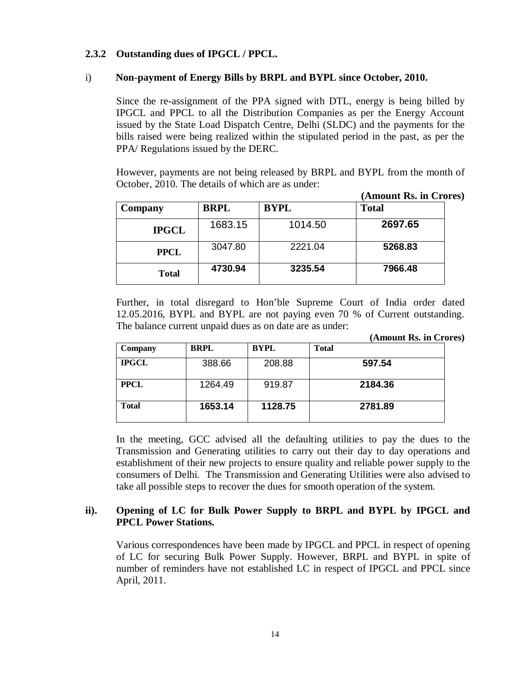## **2.3.2 Outstanding dues of IPGCL / PPCL.**

#### i) **Non-payment of Energy Bills by BRPL and BYPL since October, 2010.**

Since the re-assignment of the PPA signed with DTL, energy is being billed by IPGCL and PPCL to all the Distribution Companies as per the Energy Account issued by the State Load Dispatch Centre, Delhi (SLDC) and the payments for the bills raised were being realized within the stipulated period in the past, as per the PPA/ Regulations issued by the DERC.

However, payments are not being released by BRPL and BYPL from the month of October, 2010. The details of which are as under:

|              |             |             | (Amount Rs. in Crores) |  |
|--------------|-------------|-------------|------------------------|--|
| Company      | <b>BRPL</b> | <b>BYPL</b> | <b>Total</b>           |  |
| <b>IPGCL</b> | 1683.15     | 1014.50     | 2697.65                |  |
| <b>PPCL</b>  | 3047.80     | 2221.04     | 5268.83                |  |
| Total        | 4730.94     | 3235.54     | 7966.48                |  |

Further, in total disregard to Hon'ble Supreme Court of India order dated 12.05.2016, BYPL and BYPL are not paying even 70 % of Current outstanding. The balance current unpaid dues as on date are as under:

| (Amount Rs. in Crores) |  |  |  |
|------------------------|--|--|--|
|------------------------|--|--|--|

| Company      | <b>BRPL</b> | <b>BYPL</b> | <b>Total</b> |
|--------------|-------------|-------------|--------------|
| <b>IPGCL</b> | 388.66      | 208.88      | 597.54       |
| <b>PPCL</b>  | 1264.49     | 919.87      | 2184.36      |
| <b>Total</b> | 1653.14     | 1128.75     | 2781.89      |

In the meeting, GCC advised all the defaulting utilities to pay the dues to the Transmission and Generating utilities to carry out their day to day operations and establishment of their new projects to ensure quality and reliable power supply to the consumers of Delhi. The Transmission and Generating Utilities were also advised to take all possible steps to recover the dues for smooth operation of the system.

## **ii). Opening of LC for Bulk Power Supply to BRPL and BYPL by IPGCL and PPCL Power Stations.**

Various correspondences have been made by IPGCL and PPCL in respect of opening of LC for securing Bulk Power Supply. However, BRPL and BYPL in spite of number of reminders have not established LC in respect of IPGCL and PPCL since April, 2011.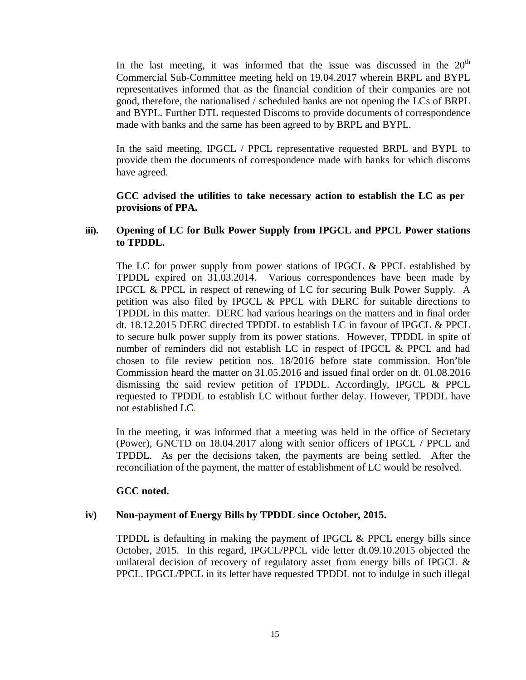In the last meeting, it was informed that the issue was discussed in the  $20<sup>th</sup>$ Commercial Sub-Committee meeting held on 19.04.2017 wherein BRPL and BYPL representatives informed that as the financial condition of their companies are not good, therefore, the nationalised / scheduled banks are not opening the LCs of BRPL and BYPL. Further DTL requested Discoms to provide documents of correspondence made with banks and the same has been agreed to by BRPL and BYPL.

In the said meeting, IPGCL / PPCL representative requested BRPL and BYPL to provide them the documents of correspondence made with banks for which discoms have agreed.

#### **GCC advised the utilities to take necessary action to establish the LC as per provisions of PPA.**

### **iii). Opening of LC for Bulk Power Supply from IPGCL and PPCL Power stations to TPDDL.**

The LC for power supply from power stations of IPGCL & PPCL established by TPDDL expired on 31.03.2014. Various correspondences have been made by IPGCL & PPCL in respect of renewing of LC for securing Bulk Power Supply. A petition was also filed by IPGCL & PPCL with DERC for suitable directions to TPDDL in this matter. DERC had various hearings on the matters and in final order dt. 18.12.2015 DERC directed TPDDL to establish LC in favour of IPGCL & PPCL to secure bulk power supply from its power stations. However, TPDDL in spite of number of reminders did not establish LC in respect of IPGCL & PPCL and had chosen to file review petition nos. 18/2016 before state commission. Hon'ble Commission heard the matter on 31.05.2016 and issued final order on dt. 01.08.2016 dismissing the said review petition of TPDDL. Accordingly, IPGCL & PPCL requested to TPDDL to establish LC without further delay. However, TPDDL have not established LC.

In the meeting, it was informed that a meeting was held in the office of Secretary (Power), GNCTD on 18.04.2017 along with senior officers of IPGCL / PPCL and TPDDL. As per the decisions taken, the payments are being settled. After the reconciliation of the payment, the matter of establishment of LC would be resolved.

### **GCC noted.**

### **iv) Non-payment of Energy Bills by TPDDL since October, 2015.**

TPDDL is defaulting in making the payment of IPGCL & PPCL energy bills since October, 2015. In this regard, IPGCL/PPCL vide letter dt.09.10.2015 objected the unilateral decision of recovery of regulatory asset from energy bills of IPGCL & PPCL. IPGCL/PPCL in its letter have requested TPDDL not to indulge in such illegal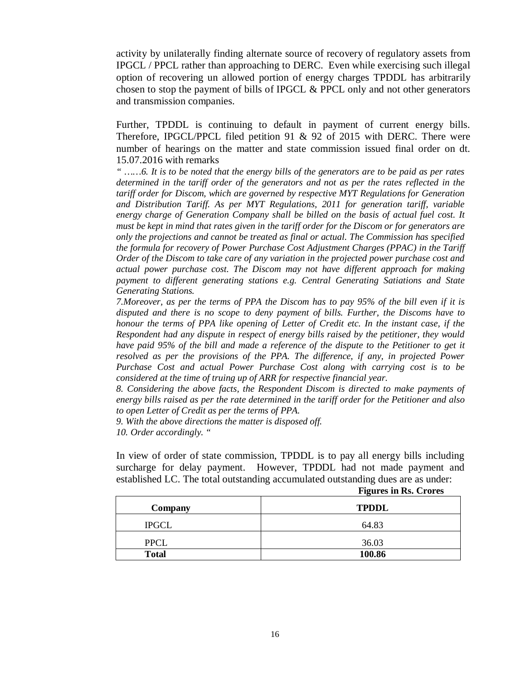activity by unilaterally finding alternate source of recovery of regulatory assets from IPGCL / PPCL rather than approaching to DERC. Even while exercising such illegal option of recovering un allowed portion of energy charges TPDDL has arbitrarily chosen to stop the payment of bills of IPGCL & PPCL only and not other generators and transmission companies.

Further, TPDDL is continuing to default in payment of current energy bills. Therefore, IPGCL/PPCL filed petition 91 & 92 of 2015 with DERC. There were number of hearings on the matter and state commission issued final order on dt. 15.07.2016 with remarks

*" ……6. It is to be noted that the energy bills of the generators are to be paid as per rates determined in the tariff order of the generators and not as per the rates reflected in the tariff order for Discom, which are governed by respective MYT Regulations for Generation and Distribution Tariff. As per MYT Regulations, 2011 for generation tariff, variable energy charge of Generation Company shall be billed on the basis of actual fuel cost. It must be kept in mind that rates given in the tariff order for the Discom or for generators are only the projections and cannot be treated as final or actual. The Commission has specified the formula for recovery of Power Purchase Cost Adjustment Charges (PPAC) in the Tariff Order of the Discom to take care of any variation in the projected power purchase cost and actual power purchase cost. The Discom may not have different approach for making payment to different generating stations e.g. Central Generating Satiations and State Generating Stations.* 

*7.Moreover, as per the terms of PPA the Discom has to pay 95% of the bill even if it is disputed and there is no scope to deny payment of bills. Further, the Discoms have to honour the terms of PPA like opening of Letter of Credit etc. In the instant case, if the Respondent had any dispute in respect of energy bills raised by the petitioner, they would have paid 95% of the bill and made a reference of the dispute to the Petitioner to get it resolved as per the provisions of the PPA. The difference, if any, in projected Power Purchase Cost and actual Power Purchase Cost along with carrying cost is to be considered at the time of truing up of ARR for respective financial year.* 

*8. Considering the above facts, the Respondent Discom is directed to make payments of energy bills raised as per the rate determined in the tariff order for the Petitioner and also to open Letter of Credit as per the terms of PPA.* 

*9. With the above directions the matter is disposed off. 10. Order accordingly. "* 

In view of order of state commission, TPDDL is to pay all energy bills including surcharge for delay payment. However, TPDDL had not made payment and established LC. The total outstanding accumulated outstanding dues are as under:

 **Figures in Rs. Crores**

| Company      | <b>TPDDL</b> |
|--------------|--------------|
| <b>IPGCL</b> | 64.83        |
| <b>PPCL</b>  | 36.03        |
| <b>Total</b> | 100.86       |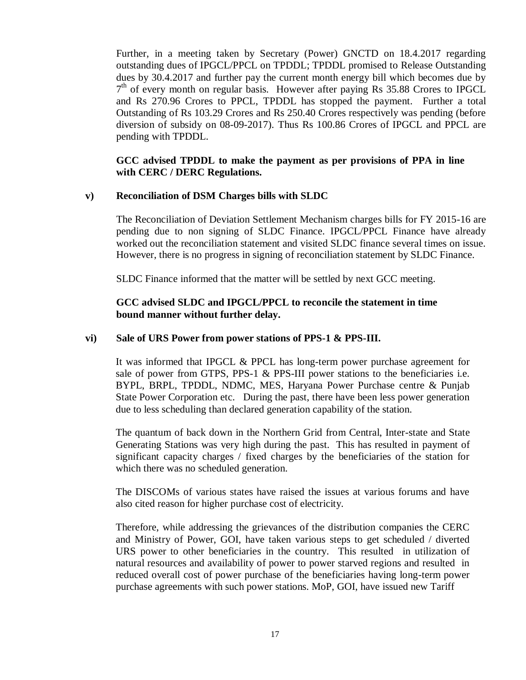Further, in a meeting taken by Secretary (Power) GNCTD on 18.4.2017 regarding outstanding dues of IPGCL/PPCL on TPDDL; TPDDL promised to Release Outstanding dues by 30.4.2017 and further pay the current month energy bill which becomes due by 7<sup>th</sup> of every month on regular basis. However after paying Rs 35.88 Crores to IPGCL and Rs 270.96 Crores to PPCL, TPDDL has stopped the payment. Further a total Outstanding of Rs 103.29 Crores and Rs 250.40 Crores respectively was pending (before diversion of subsidy on 08-09-2017). Thus Rs 100.86 Crores of IPGCL and PPCL are pending with TPDDL.

### **GCC advised TPDDL to make the payment as per provisions of PPA in line with CERC / DERC Regulations.**

### **v) Reconciliation of DSM Charges bills with SLDC**

The Reconciliation of Deviation Settlement Mechanism charges bills for FY 2015-16 are pending due to non signing of SLDC Finance. IPGCL/PPCL Finance have already worked out the reconciliation statement and visited SLDC finance several times on issue. However, there is no progress in signing of reconciliation statement by SLDC Finance.

SLDC Finance informed that the matter will be settled by next GCC meeting.

## **GCC advised SLDC and IPGCL/PPCL to reconcile the statement in time bound manner without further delay.**

### **vi) Sale of URS Power from power stations of PPS-1 & PPS-III.**

It was informed that IPGCL & PPCL has long-term power purchase agreement for sale of power from GTPS,  $PPS-1 \& PPS-III$  power stations to the beneficiaries i.e. BYPL, BRPL, TPDDL, NDMC, MES, Haryana Power Purchase centre & Punjab State Power Corporation etc. During the past, there have been less power generation due to less scheduling than declared generation capability of the station.

The quantum of back down in the Northern Grid from Central, Inter-state and State Generating Stations was very high during the past. This has resulted in payment of significant capacity charges / fixed charges by the beneficiaries of the station for which there was no scheduled generation.

The DISCOMs of various states have raised the issues at various forums and have also cited reason for higher purchase cost of electricity.

Therefore, while addressing the grievances of the distribution companies the CERC and Ministry of Power, GOI, have taken various steps to get scheduled / diverted URS power to other beneficiaries in the country. This resulted in utilization of natural resources and availability of power to power starved regions and resulted in reduced overall cost of power purchase of the beneficiaries having long-term power purchase agreements with such power stations. MoP, GOI, have issued new Tariff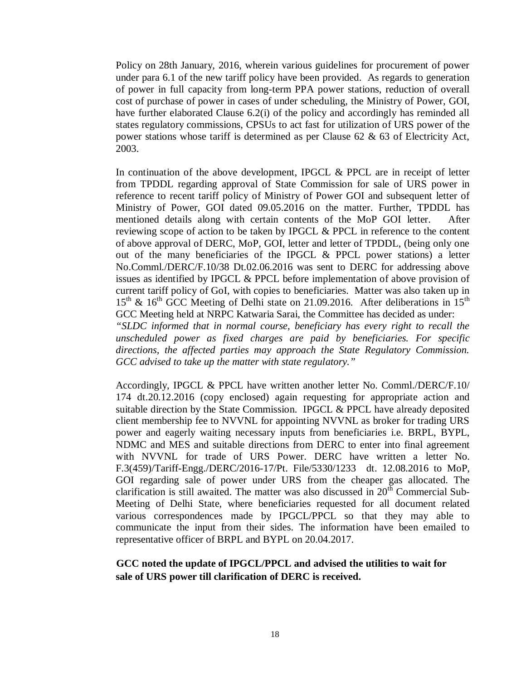Policy on 28th January, 2016, wherein various guidelines for procurement of power under para 6.1 of the new tariff policy have been provided. As regards to generation of power in full capacity from long-term PPA power stations, reduction of overall cost of purchase of power in cases of under scheduling, the Ministry of Power, GOI, have further elaborated Clause 6.2(i) of the policy and accordingly has reminded all states regulatory commissions, CPSUs to act fast for utilization of URS power of the power stations whose tariff is determined as per Clause 62 & 63 of Electricity Act, 2003.

In continuation of the above development, IPGCL & PPCL are in receipt of letter from TPDDL regarding approval of State Commission for sale of URS power in reference to recent tariff policy of Ministry of Power GOI and subsequent letter of Ministry of Power, GOI dated 09.05.2016 on the matter. Further, TPDDL has mentioned details along with certain contents of the MoP GOI letter. After reviewing scope of action to be taken by IPGCL & PPCL in reference to the content of above approval of DERC, MoP, GOI, letter and letter of TPDDL, (being only one out of the many beneficiaries of the IPGCL & PPCL power stations) a letter No.Comml./DERC/F.10/38 Dt.02.06.2016 was sent to DERC for addressing above issues as identified by IPGCL & PPCL before implementation of above provision of current tariff policy of GoI, with copies to beneficiaries. Matter was also taken up in  $15<sup>th</sup>$  &  $16<sup>th</sup>$  GCC Meeting of Delhi state on 21.09.2016. After deliberations in  $15<sup>th</sup>$ GCC Meeting held at NRPC Katwaria Sarai, the Committee has decided as under:

*"SLDC informed that in normal course, beneficiary has every right to recall the unscheduled power as fixed charges are paid by beneficiaries. For specific directions, the affected parties may approach the State Regulatory Commission. GCC advised to take up the matter with state regulatory."*

Accordingly, IPGCL & PPCL have written another letter No. Comml./DERC/F.10/ 174 dt.20.12.2016 (copy enclosed) again requesting for appropriate action and suitable direction by the State Commission. IPGCL & PPCL have already deposited client membership fee to NVVNL for appointing NVVNL as broker for trading URS power and eagerly waiting necessary inputs from beneficiaries i.e. BRPL, BYPL, NDMC and MES and suitable directions from DERC to enter into final agreement with NVVNL for trade of URS Power. DERC have written a letter No. F.3(459)/Tariff-Engg./DERC/2016-17/Pt. File/5330/1233 dt. 12.08.2016 to MoP, GOI regarding sale of power under URS from the cheaper gas allocated. The clarification is still awaited. The matter was also discussed in  $20<sup>th</sup>$  Commercial Sub-Meeting of Delhi State, where beneficiaries requested for all document related various correspondences made by IPGCL/PPCL so that they may able to communicate the input from their sides. The information have been emailed to representative officer of BRPL and BYPL on 20.04.2017.

# **GCC noted the update of IPGCL/PPCL and advised the utilities to wait for sale of URS power till clarification of DERC is received.**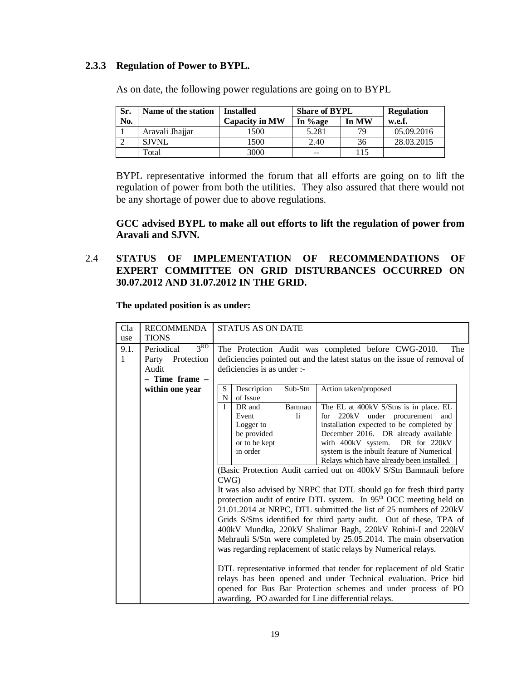## **2.3.3 Regulation of Power to BYPL.**

| Sr. | Name of the station | <b>Installed</b>      | <b>Share of BYPL</b> | <b>Regulation</b> |            |
|-----|---------------------|-----------------------|----------------------|-------------------|------------|
| No. |                     | <b>Capacity in MW</b> | In %age              | In MW             | w.e.f.     |
|     | Aravali Jhajjar     | 1500                  | 5.281                | 79                | 05.09.2016 |
|     | <b>SJVNL</b>        | 1500                  | 2.40                 | 36                | 28.03.2015 |
|     | Total               | 3000                  | --                   | 115               |            |

As on date, the following power regulations are going on to BYPL

BYPL representative informed the forum that all efforts are going on to lift the regulation of power from both the utilities. They also assured that there would not be any shortage of power due to above regulations.

**GCC advised BYPL to make all out efforts to lift the regulation of power from Aravali and SJVN.**

## 2.4 **STATUS OF IMPLEMENTATION OF RECOMMENDATIONS OF EXPERT COMMITTEE ON GRID DISTURBANCES OCCURRED ON 30.07.2012 AND 31.07.2012 IN THE GRID.**

**The updated position is as under:**

| Cla  | <b>RECOMMENDA</b>             | STATUS AS ON DATE             |                                                                       |                                                                                |  |  |  |  |  |
|------|-------------------------------|-------------------------------|-----------------------------------------------------------------------|--------------------------------------------------------------------------------|--|--|--|--|--|
| use  | <b>TIONS</b>                  |                               |                                                                       |                                                                                |  |  |  |  |  |
| 9.1. | 3 <sup>RD</sup><br>Periodical |                               |                                                                       | The Protection Audit was completed before CWG-2010.<br>The                     |  |  |  |  |  |
| 1    | Protection<br>Party           |                               |                                                                       | deficiencies pointed out and the latest status on the issue of removal of      |  |  |  |  |  |
|      | Audit                         | deficiencies is as under :-   |                                                                       |                                                                                |  |  |  |  |  |
|      | - Time frame -                |                               |                                                                       |                                                                                |  |  |  |  |  |
|      | within one year               | Description<br>S              | Sub-Stn                                                               | Action taken/proposed                                                          |  |  |  |  |  |
|      |                               | of Issue<br>N<br>$\mathbf{1}$ |                                                                       |                                                                                |  |  |  |  |  |
|      |                               | DR and<br>Event               | Bamnau<br>$\mathbf{h}$                                                | The EL at 400kV S/Stns is in place. EL                                         |  |  |  |  |  |
|      |                               | Logger to                     |                                                                       | for 220kV under procurement and<br>installation expected to be completed by    |  |  |  |  |  |
|      |                               | be provided                   |                                                                       | December 2016. DR already available                                            |  |  |  |  |  |
|      |                               | or to be kept                 |                                                                       | with 400kV system. DR for 220kV                                                |  |  |  |  |  |
|      |                               | in order                      |                                                                       | system is the inbuilt feature of Numerical                                     |  |  |  |  |  |
|      |                               |                               | Relays which have already been installed.                             |                                                                                |  |  |  |  |  |
|      |                               |                               |                                                                       | (Basic Protection Audit carried out on 400kV S/Stn Bamnauli before             |  |  |  |  |  |
|      |                               | CWG                           |                                                                       |                                                                                |  |  |  |  |  |
|      |                               |                               |                                                                       | It was also advised by NRPC that DTL should go for fresh third party           |  |  |  |  |  |
|      |                               |                               |                                                                       | protection audit of entire DTL system. In 95 <sup>th</sup> OCC meeting held on |  |  |  |  |  |
|      |                               |                               |                                                                       | 21.01.2014 at NRPC, DTL submitted the list of 25 numbers of 220kV              |  |  |  |  |  |
|      |                               |                               |                                                                       | Grids S/Stns identified for third party audit. Out of these, TPA of            |  |  |  |  |  |
|      |                               |                               |                                                                       | 400kV Mundka, 220kV Shalimar Bagh, 220kV Rohini-I and 220kV                    |  |  |  |  |  |
|      |                               |                               |                                                                       | Mehrauli S/Stn were completed by 25.05.2014. The main observation              |  |  |  |  |  |
|      |                               |                               |                                                                       | was regarding replacement of static relays by Numerical relays.                |  |  |  |  |  |
|      |                               |                               |                                                                       |                                                                                |  |  |  |  |  |
|      |                               |                               | DTL representative informed that tender for replacement of old Static |                                                                                |  |  |  |  |  |
|      |                               |                               |                                                                       | relays has been opened and under Technical evaluation. Price bid               |  |  |  |  |  |
|      |                               |                               |                                                                       | opened for Bus Bar Protection schemes and under process of PO                  |  |  |  |  |  |
|      |                               |                               |                                                                       | awarding. PO awarded for Line differential relays.                             |  |  |  |  |  |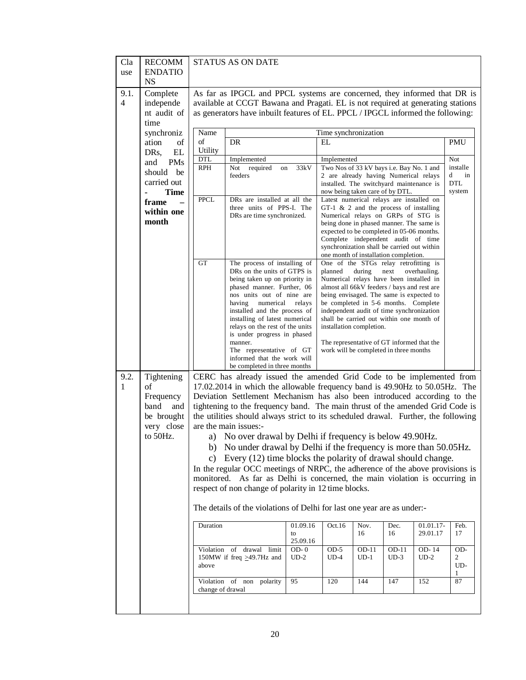| Cla<br>use             | <b>RECOMM</b><br><b>ENDATIO</b><br><b>NS</b> |                  | <b>STATUS AS ON DATE</b>                                                                                                                                                                                                                       |                |                                                                                         |        |         |              |                     |  |
|------------------------|----------------------------------------------|------------------|------------------------------------------------------------------------------------------------------------------------------------------------------------------------------------------------------------------------------------------------|----------------|-----------------------------------------------------------------------------------------|--------|---------|--------------|---------------------|--|
| 9.1.<br>$\overline{4}$ | Complete<br>independe<br>nt audit of<br>time |                  | As far as IPGCL and PPCL systems are concerned, they informed that DR is<br>available at CCGT Bawana and Pragati. EL is not required at generating stations<br>as generators have inbuilt features of EL. PPCL / IPGCL informed the following: |                |                                                                                         |        |         |              |                     |  |
|                        | synchroniz                                   | Name             |                                                                                                                                                                                                                                                |                | Time synchronization                                                                    |        |         |              |                     |  |
|                        | ation<br>of                                  | of               | <b>DR</b>                                                                                                                                                                                                                                      |                | EL                                                                                      |        |         |              | <b>PMU</b>          |  |
|                        | EL<br>DRs,                                   | Utility          |                                                                                                                                                                                                                                                |                |                                                                                         |        |         |              |                     |  |
|                        | and<br><b>PMs</b>                            | <b>DTL</b>       | Implemented                                                                                                                                                                                                                                    |                | Implemented                                                                             |        |         |              | Not                 |  |
|                        | should be                                    | <b>RPH</b>       | Not required<br>on<br>feeders                                                                                                                                                                                                                  | 33kV           | Two Nos of 33 kV bays i.e. Bay No. 1 and<br>2 are already having Numerical relays       |        |         |              | installe<br>d<br>in |  |
|                        | carried out                                  |                  |                                                                                                                                                                                                                                                |                | installed. The switchyard maintenance is                                                |        |         |              | <b>DTL</b>          |  |
|                        | <b>Time</b>                                  |                  |                                                                                                                                                                                                                                                |                | now being taken care of by DTL.                                                         |        |         |              | system              |  |
|                        | frame                                        | <b>PPCL</b>      | DRs are installed at all the<br>three units of PPS-I. The                                                                                                                                                                                      |                | Latest numerical relays are installed on<br>GT-1 $\&$ 2 and the process of installing   |        |         |              |                     |  |
|                        | within one                                   |                  | DRs are time synchronized.                                                                                                                                                                                                                     |                | Numerical relays on GRPs of STG is                                                      |        |         |              |                     |  |
|                        | month                                        |                  |                                                                                                                                                                                                                                                |                | being done in phased manner. The same is                                                |        |         |              |                     |  |
|                        |                                              |                  |                                                                                                                                                                                                                                                |                | expected to be completed in 05-06 months.<br>Complete independent audit of time         |        |         |              |                     |  |
|                        |                                              |                  |                                                                                                                                                                                                                                                |                | synchronization shall be carried out within                                             |        |         |              |                     |  |
|                        |                                              |                  |                                                                                                                                                                                                                                                |                | one month of installation completion.                                                   |        |         |              |                     |  |
|                        |                                              | <b>GT</b>        | The process of installing of<br>DRs on the units of GTPS is                                                                                                                                                                                    |                | One of the STGs relay retrofitting is<br>planned                                        | during | next    | overhauling. |                     |  |
|                        |                                              |                  | being taken up on priority in                                                                                                                                                                                                                  |                | Numerical relays have been installed in                                                 |        |         |              |                     |  |
|                        |                                              |                  | phased manner. Further, 06<br>nos units out of nine are                                                                                                                                                                                        |                | almost all 66kV feeders / bays and rest are<br>being envisaged. The same is expected to |        |         |              |                     |  |
|                        |                                              |                  | having<br>numerical                                                                                                                                                                                                                            | relays         | be completed in 5-6 months. Complete                                                    |        |         |              |                     |  |
|                        |                                              |                  | installed and the process of                                                                                                                                                                                                                   |                | independent audit of time synchronization                                               |        |         |              |                     |  |
|                        |                                              |                  | installing of latest numerical<br>relays on the rest of the units                                                                                                                                                                              |                | shall be carried out within one month of<br>installation completion.                    |        |         |              |                     |  |
|                        |                                              |                  | is under progress in phased                                                                                                                                                                                                                    |                |                                                                                         |        |         |              |                     |  |
|                        |                                              |                  | manner.                                                                                                                                                                                                                                        |                | The representative of GT informed that the                                              |        |         |              |                     |  |
|                        |                                              |                  | The representative of GT<br>informed that the work will                                                                                                                                                                                        |                | work will be completed in three months                                                  |        |         |              |                     |  |
|                        |                                              |                  | be completed in three months                                                                                                                                                                                                                   |                |                                                                                         |        |         |              |                     |  |
| 9.2.                   | Tightening                                   |                  | CERC has already issued the amended Grid Code to be implemented from                                                                                                                                                                           |                |                                                                                         |        |         |              |                     |  |
| 1                      | of                                           |                  | 17.02.2014 in which the allowable frequency band is 49.90Hz to 50.05Hz. The                                                                                                                                                                    |                |                                                                                         |        |         |              |                     |  |
|                        | Frequency                                    |                  | Deviation Settlement Mechanism has also been introduced according to the                                                                                                                                                                       |                |                                                                                         |        |         |              |                     |  |
|                        | band<br>and<br>be brought                    |                  | tightening to the frequency band. The main thrust of the amended Grid Code is<br>the utilities should always strict to its scheduled drawal. Further, the following                                                                            |                |                                                                                         |        |         |              |                     |  |
|                        | very close                                   |                  | are the main issues:-                                                                                                                                                                                                                          |                |                                                                                         |        |         |              |                     |  |
|                        | to 50Hz.                                     |                  | a) No over drawal by Delhi if frequency is below 49.90Hz.                                                                                                                                                                                      |                |                                                                                         |        |         |              |                     |  |
|                        |                                              |                  | b) No under drawal by Delhi if the frequency is more than 50.05Hz.                                                                                                                                                                             |                |                                                                                         |        |         |              |                     |  |
|                        |                                              | C)               | Every (12) time blocks the polarity of drawal should change.                                                                                                                                                                                   |                |                                                                                         |        |         |              |                     |  |
|                        |                                              |                  | In the regular OCC meetings of NRPC, the adherence of the above provisions is                                                                                                                                                                  |                |                                                                                         |        |         |              |                     |  |
|                        |                                              |                  | monitored. As far as Delhi is concerned, the main violation is occurring in                                                                                                                                                                    |                |                                                                                         |        |         |              |                     |  |
|                        |                                              |                  | respect of non change of polarity in 12 time blocks.                                                                                                                                                                                           |                |                                                                                         |        |         |              |                     |  |
|                        |                                              |                  | The details of the violations of Delhi for last one year are as under:-                                                                                                                                                                        |                |                                                                                         |        |         |              |                     |  |
|                        |                                              | Duration         |                                                                                                                                                                                                                                                | 01.09.16       | Oct.16                                                                                  | Nov.   | Dec.    | 01.01.17-    | Feb.                |  |
|                        |                                              |                  |                                                                                                                                                                                                                                                | to<br>25.09.16 |                                                                                         | 16     | 16      | 29.01.17     | 17                  |  |
|                        |                                              |                  | Violation of drawal<br>limit                                                                                                                                                                                                                   | $OD-0$         | $OD-5$                                                                                  | OD-11  | $OD-11$ | OD-14        | OD-                 |  |
|                        |                                              |                  | 150MW if freq $\geq$ 49.7Hz and                                                                                                                                                                                                                | $UD-2$         | $UD-4$                                                                                  | $UD-1$ | $UD-3$  | $UD-2$       | 2                   |  |
|                        |                                              | above            |                                                                                                                                                                                                                                                |                |                                                                                         |        |         |              | UD-                 |  |
|                        |                                              |                  | Violation of non polarity                                                                                                                                                                                                                      | 95             | 120                                                                                     | 144    | 147     | 152          | 87                  |  |
|                        |                                              | change of drawal |                                                                                                                                                                                                                                                |                |                                                                                         |        |         |              |                     |  |
|                        |                                              |                  |                                                                                                                                                                                                                                                |                |                                                                                         |        |         |              |                     |  |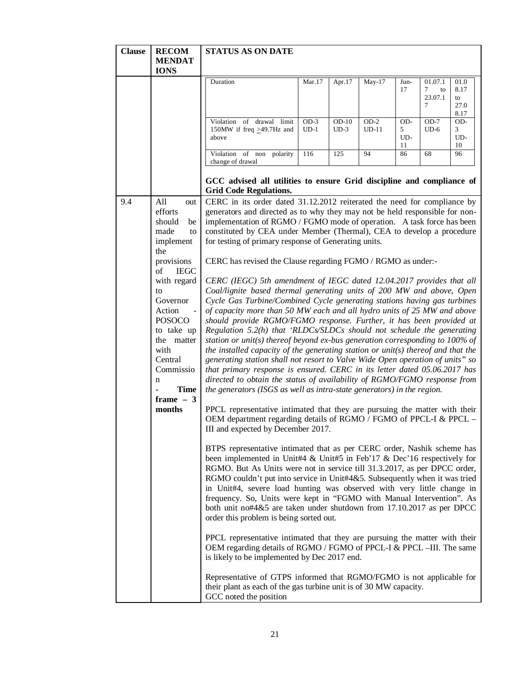| <b>Clause</b><br><b>RECOM</b><br><b>MENDAT</b><br><b>IONS</b>                                                                                                                                                                                                                   | <b>STATUS AS ON DATE</b>                                                                                                                                                                                                                                                                                                                                                                                                                                                                                                                                                                                                                                                                                                                                                                                                                                                                                                                                                                                                                                                                                                                                                                                                                                                                                                                                                                                                                                                                                                                                                                                                                                                                                                                                                                                                                                                                                                                                                                                                                                                                                                                                                                                                                                                                                                                                                                                                                                                                                                               |                  |                   |                   |                       |                                    |                                    |
|---------------------------------------------------------------------------------------------------------------------------------------------------------------------------------------------------------------------------------------------------------------------------------|----------------------------------------------------------------------------------------------------------------------------------------------------------------------------------------------------------------------------------------------------------------------------------------------------------------------------------------------------------------------------------------------------------------------------------------------------------------------------------------------------------------------------------------------------------------------------------------------------------------------------------------------------------------------------------------------------------------------------------------------------------------------------------------------------------------------------------------------------------------------------------------------------------------------------------------------------------------------------------------------------------------------------------------------------------------------------------------------------------------------------------------------------------------------------------------------------------------------------------------------------------------------------------------------------------------------------------------------------------------------------------------------------------------------------------------------------------------------------------------------------------------------------------------------------------------------------------------------------------------------------------------------------------------------------------------------------------------------------------------------------------------------------------------------------------------------------------------------------------------------------------------------------------------------------------------------------------------------------------------------------------------------------------------------------------------------------------------------------------------------------------------------------------------------------------------------------------------------------------------------------------------------------------------------------------------------------------------------------------------------------------------------------------------------------------------------------------------------------------------------------------------------------------------|------------------|-------------------|-------------------|-----------------------|------------------------------------|------------------------------------|
|                                                                                                                                                                                                                                                                                 | Duration                                                                                                                                                                                                                                                                                                                                                                                                                                                                                                                                                                                                                                                                                                                                                                                                                                                                                                                                                                                                                                                                                                                                                                                                                                                                                                                                                                                                                                                                                                                                                                                                                                                                                                                                                                                                                                                                                                                                                                                                                                                                                                                                                                                                                                                                                                                                                                                                                                                                                                                               | Mar.17           | Apr.17            | May-17            | Jun-<br>17            | 01.07.1<br>7<br>to<br>23.07.1<br>7 | 01.0<br>8.17<br>to<br>27.0<br>8.17 |
|                                                                                                                                                                                                                                                                                 | Violation of drawal limit<br>150MW if freq $\geq$ 49.7Hz and<br>above                                                                                                                                                                                                                                                                                                                                                                                                                                                                                                                                                                                                                                                                                                                                                                                                                                                                                                                                                                                                                                                                                                                                                                                                                                                                                                                                                                                                                                                                                                                                                                                                                                                                                                                                                                                                                                                                                                                                                                                                                                                                                                                                                                                                                                                                                                                                                                                                                                                                  | $OD-3$<br>$UD-1$ | $OD-10$<br>$UD-3$ | $OD-2$<br>$UD-11$ | OD-<br>5<br>UD-<br>11 | $OD-7$<br>$UD-6$                   | OD-<br>3<br>UD-<br>10              |
|                                                                                                                                                                                                                                                                                 | Violation of non polarity<br>change of drawal                                                                                                                                                                                                                                                                                                                                                                                                                                                                                                                                                                                                                                                                                                                                                                                                                                                                                                                                                                                                                                                                                                                                                                                                                                                                                                                                                                                                                                                                                                                                                                                                                                                                                                                                                                                                                                                                                                                                                                                                                                                                                                                                                                                                                                                                                                                                                                                                                                                                                          | 116              | 125               | 94                | 86                    | 68                                 | 96                                 |
|                                                                                                                                                                                                                                                                                 | GCC advised all utilities to ensure Grid discipline and compliance of<br><b>Grid Code Regulations.</b>                                                                                                                                                                                                                                                                                                                                                                                                                                                                                                                                                                                                                                                                                                                                                                                                                                                                                                                                                                                                                                                                                                                                                                                                                                                                                                                                                                                                                                                                                                                                                                                                                                                                                                                                                                                                                                                                                                                                                                                                                                                                                                                                                                                                                                                                                                                                                                                                                                 |                  |                   |                   |                       |                                    |                                    |
| 9.4<br>All<br>out<br>efforts<br>should<br>made<br>implement<br>the<br>provisions<br><b>IEGC</b><br>of<br>with regard<br>to<br>Governor<br>Action<br><b>POSOCO</b><br>to take up<br>the matter<br>with<br>Central<br>Commissio<br>n<br><b>Time</b><br>ä,<br>frame $-3$<br>months | CERC in its order dated 31.12.2012 reiterated the need for compliance by<br>generators and directed as to why they may not be held responsible for non-<br>implementation of RGMO / FGMO mode of operation. A task force has been<br>be<br>constituted by CEA under Member (Thermal), CEA to develop a procedure<br>to<br>for testing of primary response of Generating units.<br>CERC has revised the Clause regarding FGMO / RGMO as under:-<br>CERC (IEGC) 5th amendment of IEGC dated 12.04.2017 provides that all<br>Coal/lignite based thermal generating units of 200 MW and above, Open<br>Cycle Gas Turbine/Combined Cycle generating stations having gas turbines<br>of capacity more than 50 MW each and all hydro units of 25 MW and above<br>should provide RGMO/FGMO response. Further, it has been provided at<br>Regulation 5.2(h) that 'RLDCs/SLDCs should not schedule the generating<br>station or unit(s) thereof beyond ex-bus generation corresponding to $100\%$ of<br>the installed capacity of the generating station or unit(s) thereof and that the<br>generating station shall not resort to Valve Wide Open operation of units" so<br>that primary response is ensured. CERC in its letter dated 05.06.2017 has<br>directed to obtain the status of availability of RGMO/FGMO response from<br>the generators (ISGS as well as intra-state generators) in the region.<br>PPCL representative intimated that they are pursuing the matter with their<br>OEM department regarding details of RGMO / FGMO of PPCL-I & PPCL -<br>III and expected by December 2017.<br>BTPS representative intimated that as per CERC order, Nashik scheme has<br>been implemented in Unit#4 & Unit#5 in Feb'17 & Dec'16 respectively for<br>RGMO. But As Units were not in service till 31.3.2017, as per DPCC order,<br>RGMO couldn't put into service in Unit#4&5. Subsequently when it was tried<br>in Unit#4, severe load hunting was observed with very little change in<br>frequency. So, Units were kept in "FGMO with Manual Intervention". As<br>both unit no#4&5 are taken under shutdown from 17.10.2017 as per DPCC<br>order this problem is being sorted out.<br>PPCL representative intimated that they are pursuing the matter with their<br>OEM regarding details of RGMO / FGMO of PPCL-I & PPCL-III. The same<br>is likely to be implemented by Dec 2017 end.<br>Representative of GTPS informed that RGMO/FGMO is not applicable for<br>their plant as each of the gas turbine unit is of 30 MW capacity. |                  |                   |                   |                       |                                    |                                    |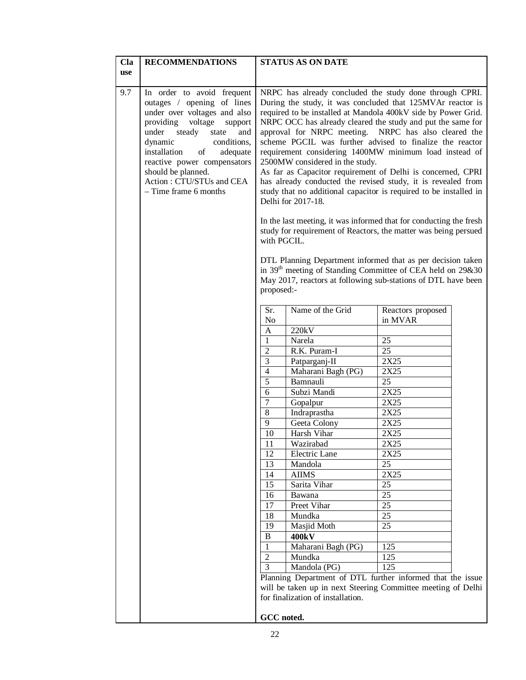| Cla        | <b>RECOMMENDATIONS</b>                                                                                                                                                                                                                                                                                                              |                                                                                                                                                                                                                                                                                                                                                                                                                                                                                                                                                                                                                                                                                                                                                                                                                                                                                                                         | <b>STATUS AS ON DATE</b>          |                                                                                                                                         |  |  |  |
|------------|-------------------------------------------------------------------------------------------------------------------------------------------------------------------------------------------------------------------------------------------------------------------------------------------------------------------------------------|-------------------------------------------------------------------------------------------------------------------------------------------------------------------------------------------------------------------------------------------------------------------------------------------------------------------------------------------------------------------------------------------------------------------------------------------------------------------------------------------------------------------------------------------------------------------------------------------------------------------------------------------------------------------------------------------------------------------------------------------------------------------------------------------------------------------------------------------------------------------------------------------------------------------------|-----------------------------------|-----------------------------------------------------------------------------------------------------------------------------------------|--|--|--|
| <b>use</b> |                                                                                                                                                                                                                                                                                                                                     |                                                                                                                                                                                                                                                                                                                                                                                                                                                                                                                                                                                                                                                                                                                                                                                                                                                                                                                         |                                   |                                                                                                                                         |  |  |  |
|            |                                                                                                                                                                                                                                                                                                                                     |                                                                                                                                                                                                                                                                                                                                                                                                                                                                                                                                                                                                                                                                                                                                                                                                                                                                                                                         |                                   |                                                                                                                                         |  |  |  |
| 9.7        | In order to avoid frequent<br>outages / opening of lines<br>under over voltages and also<br>providing<br>voltage<br>support<br>under steady<br>state<br>and<br>conditions,<br>dynamic<br>installation<br>of<br>adequate<br>reactive power compensators<br>should be planned.<br>Action: CTU/STUs and CEA<br>$-$ Time frame 6 months | NRPC has already concluded the study done through CPRI.<br>During the study, it was concluded that 125MVAr reactor is<br>required to be installed at Mandola 400kV side by Power Grid.<br>NRPC OCC has already cleared the study and put the same for<br>approval for NRPC meeting. NRPC has also cleared the<br>scheme PGCIL was further advised to finalize the reactor<br>requirement considering 1400MW minimum load instead of<br>2500MW considered in the study.<br>As far as Capacitor requirement of Delhi is concerned, CPRI<br>has already conducted the revised study, it is revealed from<br>study that no additional capacitor is required to be installed in<br>Delhi for 2017-18.<br>In the last meeting, it was informed that for conducting the fresh<br>study for requirement of Reactors, the matter was being persued<br>with PGCIL.<br>DTL Planning Department informed that as per decision taken |                                   |                                                                                                                                         |  |  |  |
|            |                                                                                                                                                                                                                                                                                                                                     | proposed:-                                                                                                                                                                                                                                                                                                                                                                                                                                                                                                                                                                                                                                                                                                                                                                                                                                                                                                              |                                   | in 39 <sup>th</sup> meeting of Standing Committee of CEA held on 29&30<br>May 2017, reactors at following sub-stations of DTL have been |  |  |  |
|            |                                                                                                                                                                                                                                                                                                                                     | Sr.                                                                                                                                                                                                                                                                                                                                                                                                                                                                                                                                                                                                                                                                                                                                                                                                                                                                                                                     | Name of the Grid                  | Reactors proposed                                                                                                                       |  |  |  |
|            |                                                                                                                                                                                                                                                                                                                                     | N <sub>o</sub>                                                                                                                                                                                                                                                                                                                                                                                                                                                                                                                                                                                                                                                                                                                                                                                                                                                                                                          |                                   | in MVAR                                                                                                                                 |  |  |  |
|            |                                                                                                                                                                                                                                                                                                                                     | A                                                                                                                                                                                                                                                                                                                                                                                                                                                                                                                                                                                                                                                                                                                                                                                                                                                                                                                       | 220kV                             |                                                                                                                                         |  |  |  |
|            |                                                                                                                                                                                                                                                                                                                                     | $\mathbf{1}$                                                                                                                                                                                                                                                                                                                                                                                                                                                                                                                                                                                                                                                                                                                                                                                                                                                                                                            | Narela                            | 25                                                                                                                                      |  |  |  |
|            |                                                                                                                                                                                                                                                                                                                                     | $\overline{2}$                                                                                                                                                                                                                                                                                                                                                                                                                                                                                                                                                                                                                                                                                                                                                                                                                                                                                                          | R.K. Puram-I                      | $\overline{25}$                                                                                                                         |  |  |  |
|            |                                                                                                                                                                                                                                                                                                                                     | $\overline{3}$                                                                                                                                                                                                                                                                                                                                                                                                                                                                                                                                                                                                                                                                                                                                                                                                                                                                                                          | Patparganj-II                     | 2X25                                                                                                                                    |  |  |  |
|            |                                                                                                                                                                                                                                                                                                                                     | $\overline{4}$                                                                                                                                                                                                                                                                                                                                                                                                                                                                                                                                                                                                                                                                                                                                                                                                                                                                                                          | Maharani Bagh (PG)                | 2X25                                                                                                                                    |  |  |  |
|            |                                                                                                                                                                                                                                                                                                                                     | 5                                                                                                                                                                                                                                                                                                                                                                                                                                                                                                                                                                                                                                                                                                                                                                                                                                                                                                                       | Bamnauli                          | 25                                                                                                                                      |  |  |  |
|            |                                                                                                                                                                                                                                                                                                                                     | 6                                                                                                                                                                                                                                                                                                                                                                                                                                                                                                                                                                                                                                                                                                                                                                                                                                                                                                                       | Subzi Mandi                       | 2X25                                                                                                                                    |  |  |  |
|            |                                                                                                                                                                                                                                                                                                                                     | $\overline{7}$                                                                                                                                                                                                                                                                                                                                                                                                                                                                                                                                                                                                                                                                                                                                                                                                                                                                                                          | Gopalpur                          | 2X25                                                                                                                                    |  |  |  |
|            |                                                                                                                                                                                                                                                                                                                                     | $\overline{8}$                                                                                                                                                                                                                                                                                                                                                                                                                                                                                                                                                                                                                                                                                                                                                                                                                                                                                                          | Indraprastha                      | 2X25                                                                                                                                    |  |  |  |
|            |                                                                                                                                                                                                                                                                                                                                     | $\mathbf{9}$                                                                                                                                                                                                                                                                                                                                                                                                                                                                                                                                                                                                                                                                                                                                                                                                                                                                                                            | Geeta Colony                      | 2X25                                                                                                                                    |  |  |  |
|            |                                                                                                                                                                                                                                                                                                                                     | $\overline{10}$                                                                                                                                                                                                                                                                                                                                                                                                                                                                                                                                                                                                                                                                                                                                                                                                                                                                                                         | Harsh Vihar                       | 2X25                                                                                                                                    |  |  |  |
|            |                                                                                                                                                                                                                                                                                                                                     | 11                                                                                                                                                                                                                                                                                                                                                                                                                                                                                                                                                                                                                                                                                                                                                                                                                                                                                                                      | Wazirabad                         | 2X25                                                                                                                                    |  |  |  |
|            |                                                                                                                                                                                                                                                                                                                                     | 12                                                                                                                                                                                                                                                                                                                                                                                                                                                                                                                                                                                                                                                                                                                                                                                                                                                                                                                      | Electric Lane                     | 2X25                                                                                                                                    |  |  |  |
|            |                                                                                                                                                                                                                                                                                                                                     | 13                                                                                                                                                                                                                                                                                                                                                                                                                                                                                                                                                                                                                                                                                                                                                                                                                                                                                                                      | Mandola                           | 25<br>2X25                                                                                                                              |  |  |  |
|            |                                                                                                                                                                                                                                                                                                                                     | 14<br>15                                                                                                                                                                                                                                                                                                                                                                                                                                                                                                                                                                                                                                                                                                                                                                                                                                                                                                                | <b>AIIMS</b>                      | 25                                                                                                                                      |  |  |  |
|            |                                                                                                                                                                                                                                                                                                                                     |                                                                                                                                                                                                                                                                                                                                                                                                                                                                                                                                                                                                                                                                                                                                                                                                                                                                                                                         | Sarita Vihar                      | 25                                                                                                                                      |  |  |  |
|            |                                                                                                                                                                                                                                                                                                                                     | 16<br>17                                                                                                                                                                                                                                                                                                                                                                                                                                                                                                                                                                                                                                                                                                                                                                                                                                                                                                                | Bawana<br><b>Preet Vihar</b>      | 25                                                                                                                                      |  |  |  |
|            |                                                                                                                                                                                                                                                                                                                                     | 18                                                                                                                                                                                                                                                                                                                                                                                                                                                                                                                                                                                                                                                                                                                                                                                                                                                                                                                      | Mundka                            | 25                                                                                                                                      |  |  |  |
|            |                                                                                                                                                                                                                                                                                                                                     | 19                                                                                                                                                                                                                                                                                                                                                                                                                                                                                                                                                                                                                                                                                                                                                                                                                                                                                                                      | Masjid Moth                       | 25                                                                                                                                      |  |  |  |
|            |                                                                                                                                                                                                                                                                                                                                     | $\bf{B}$                                                                                                                                                                                                                                                                                                                                                                                                                                                                                                                                                                                                                                                                                                                                                                                                                                                                                                                | 400kV                             |                                                                                                                                         |  |  |  |
|            |                                                                                                                                                                                                                                                                                                                                     | 1                                                                                                                                                                                                                                                                                                                                                                                                                                                                                                                                                                                                                                                                                                                                                                                                                                                                                                                       | Maharani Bagh (PG)                | 125                                                                                                                                     |  |  |  |
|            |                                                                                                                                                                                                                                                                                                                                     | $\overline{2}$                                                                                                                                                                                                                                                                                                                                                                                                                                                                                                                                                                                                                                                                                                                                                                                                                                                                                                          | Mundka                            | 125                                                                                                                                     |  |  |  |
|            |                                                                                                                                                                                                                                                                                                                                     | 3                                                                                                                                                                                                                                                                                                                                                                                                                                                                                                                                                                                                                                                                                                                                                                                                                                                                                                                       | Mandola (PG)                      | 125                                                                                                                                     |  |  |  |
|            |                                                                                                                                                                                                                                                                                                                                     |                                                                                                                                                                                                                                                                                                                                                                                                                                                                                                                                                                                                                                                                                                                                                                                                                                                                                                                         |                                   | Planning Department of DTL further informed that the issue                                                                              |  |  |  |
|            |                                                                                                                                                                                                                                                                                                                                     |                                                                                                                                                                                                                                                                                                                                                                                                                                                                                                                                                                                                                                                                                                                                                                                                                                                                                                                         |                                   | will be taken up in next Steering Committee meeting of Delhi                                                                            |  |  |  |
|            |                                                                                                                                                                                                                                                                                                                                     |                                                                                                                                                                                                                                                                                                                                                                                                                                                                                                                                                                                                                                                                                                                                                                                                                                                                                                                         | for finalization of installation. |                                                                                                                                         |  |  |  |
|            |                                                                                                                                                                                                                                                                                                                                     | GCC noted.                                                                                                                                                                                                                                                                                                                                                                                                                                                                                                                                                                                                                                                                                                                                                                                                                                                                                                              |                                   |                                                                                                                                         |  |  |  |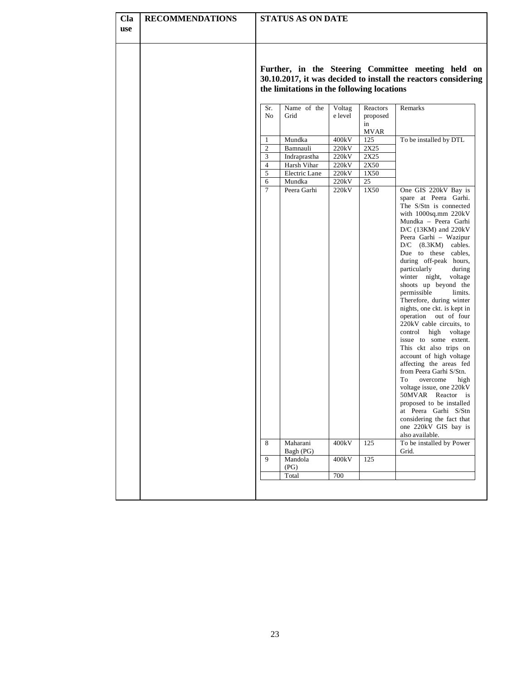| Cla<br><b>use</b> | <b>RECOMMENDATIONS</b> |                                                                                                                                                                    | <b>STATUS AS ON DATE</b>                                 |                                  |                                           |                                                                                                                                                                                                                                                                                                                                                                                                                                                                                                                                                                                                                                                                                                                                                                                                                                                     |  |  |  |
|-------------------|------------------------|--------------------------------------------------------------------------------------------------------------------------------------------------------------------|----------------------------------------------------------|----------------------------------|-------------------------------------------|-----------------------------------------------------------------------------------------------------------------------------------------------------------------------------------------------------------------------------------------------------------------------------------------------------------------------------------------------------------------------------------------------------------------------------------------------------------------------------------------------------------------------------------------------------------------------------------------------------------------------------------------------------------------------------------------------------------------------------------------------------------------------------------------------------------------------------------------------------|--|--|--|
|                   |                        | Further, in the Steering Committee meeting held on<br>30.10.2017, it was decided to install the reactors considering<br>the limitations in the following locations |                                                          |                                  |                                           |                                                                                                                                                                                                                                                                                                                                                                                                                                                                                                                                                                                                                                                                                                                                                                                                                                                     |  |  |  |
|                   |                        | Sr.<br>N <sub>o</sub><br>1                                                                                                                                         | Name of the<br>Grid<br>Mundka                            | Voltag<br>e level<br>400kV       | Reactors<br>proposed<br>in<br>MVAR<br>125 | Remarks<br>To be installed by DTL                                                                                                                                                                                                                                                                                                                                                                                                                                                                                                                                                                                                                                                                                                                                                                                                                   |  |  |  |
|                   |                        | 2<br>3<br>$\overline{4}$<br>5                                                                                                                                      | Bamnauli<br>Indraprastha<br>Harsh Vihar<br>Electric Lane | 220kV<br>220kV<br>220kV<br>220kV | 2X25<br>2X25<br>2X50<br>1X50              |                                                                                                                                                                                                                                                                                                                                                                                                                                                                                                                                                                                                                                                                                                                                                                                                                                                     |  |  |  |
|                   |                        | 6<br>$\overline{7}$                                                                                                                                                | Mundka<br>Peera Garhi                                    | 220kV<br>220kV                   | 25<br>1X50                                | One GIS 220kV Bay is<br>spare at Peera Garhi.<br>The S/Stn is connected<br>with 1000sq.mm 220kV<br>Mundka - Peera Garhi<br>$D/C$ (13KM) and 220kV<br>Peera Garhi - Wazipur<br>$D/C$ (8.3KM)<br>cables.<br>Due to these cables,<br>during off-peak hours,<br>particularly<br>during<br>winter night,<br>voltage<br>shoots up beyond the<br>permissible<br>limits.<br>Therefore, during winter<br>nights, one ckt. is kept in<br>operation out of four<br>220kV cable circuits, to<br>control high voltage<br>issue to some extent.<br>This ckt also trips on<br>account of high voltage<br>affecting the areas fed<br>from Peera Garhi S/Stn.<br>To<br>overcome<br>high<br>voltage issue, one 220kV<br>50MVAR Reactor is<br>proposed to be installed<br>at Peera Garhi S/Stn<br>considering the fact that<br>one 220kV GIS bay is<br>also available. |  |  |  |
|                   |                        | 8<br>9                                                                                                                                                             | Maharani<br>Bagh (PG)<br>Mandola                         | 400kV<br>400kV                   | 125<br>125                                | To be installed by Power<br>Grid.                                                                                                                                                                                                                                                                                                                                                                                                                                                                                                                                                                                                                                                                                                                                                                                                                   |  |  |  |
|                   |                        |                                                                                                                                                                    | (PG)<br>Total                                            | 700                              |                                           |                                                                                                                                                                                                                                                                                                                                                                                                                                                                                                                                                                                                                                                                                                                                                                                                                                                     |  |  |  |
|                   |                        |                                                                                                                                                                    |                                                          |                                  |                                           |                                                                                                                                                                                                                                                                                                                                                                                                                                                                                                                                                                                                                                                                                                                                                                                                                                                     |  |  |  |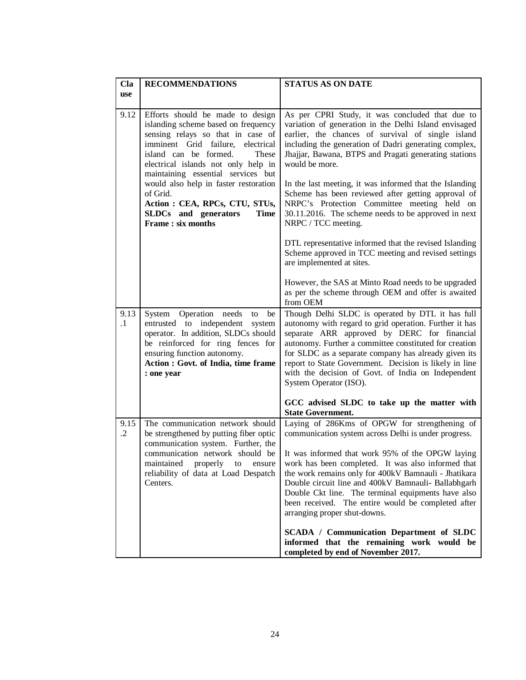| Cla<br><b>use</b>  | <b>RECOMMENDATIONS</b>                                                                                                                                                                                                                                              | <b>STATUS AS ON DATE</b>                                                                                                                                                                                                                                                                                                                                                                                                                                                   |
|--------------------|---------------------------------------------------------------------------------------------------------------------------------------------------------------------------------------------------------------------------------------------------------------------|----------------------------------------------------------------------------------------------------------------------------------------------------------------------------------------------------------------------------------------------------------------------------------------------------------------------------------------------------------------------------------------------------------------------------------------------------------------------------|
| 9.12               | Efforts should be made to design<br>islanding scheme based on frequency<br>sensing relays so that in case of<br>imminent Grid failure,<br>electrical<br>island can be formed.<br>These<br>electrical islands not only help in<br>maintaining essential services but | As per CPRI Study, it was concluded that due to<br>variation of generation in the Delhi Island envisaged<br>earlier, the chances of survival of single island<br>including the generation of Dadri generating complex,<br>Jhajjar, Bawana, BTPS and Pragati generating stations<br>would be more.                                                                                                                                                                          |
|                    | would also help in faster restoration<br>of Grid.<br>Action : CEA, RPCs, CTU, STUs,<br>SLDCs and generators<br><b>Time</b><br><b>Frame:</b> six months                                                                                                              | In the last meeting, it was informed that the Islanding<br>Scheme has been reviewed after getting approval of<br>NRPC's Protection Committee meeting held on<br>30.11.2016. The scheme needs to be approved in next<br>NRPC / TCC meeting.                                                                                                                                                                                                                                 |
|                    |                                                                                                                                                                                                                                                                     | DTL representative informed that the revised Islanding<br>Scheme approved in TCC meeting and revised settings<br>are implemented at sites.                                                                                                                                                                                                                                                                                                                                 |
|                    |                                                                                                                                                                                                                                                                     | However, the SAS at Minto Road needs to be upgraded<br>as per the scheme through OEM and offer is awaited<br>from OEM                                                                                                                                                                                                                                                                                                                                                      |
| 9.13<br>$\cdot$ 1  | System Operation needs<br>be<br>to<br>entrusted to independent<br>system<br>operator. In addition, SLDCs should<br>be reinforced for ring fences for<br>ensuring function autonomy.<br>Action : Govt. of India, time frame<br>: one year                            | Though Delhi SLDC is operated by DTL it has full<br>autonomy with regard to grid operation. Further it has<br>separate ARR approved by DERC for financial<br>autonomy. Further a committee constituted for creation<br>for SLDC as a separate company has already given its<br>report to State Government. Decision is likely in line<br>with the decision of Govt. of India on Independent<br>System Operator (ISO).                                                      |
|                    |                                                                                                                                                                                                                                                                     | GCC advised SLDC to take up the matter with<br><b>State Government.</b>                                                                                                                                                                                                                                                                                                                                                                                                    |
| 9.15<br>$\cdot$ .2 | The communication network should<br>be strengthened by putting fiber optic<br>communication system. Further, the<br>communication network should be<br>maintained<br>properly<br>to<br>ensure<br>reliability of data at Load Despatch<br>Centers.                   | Laying of 286Kms of OPGW for strengthening of<br>communication system across Delhi is under progress.<br>It was informed that work 95% of the OPGW laying<br>work has been completed. It was also informed that<br>the work remains only for 400kV Bamnauli - Jhatikara<br>Double circuit line and 400kV Bamnauli- Ballabhgarh<br>Double Ckt line. The terminal equipments have also<br>been received. The entire would be completed after<br>arranging proper shut-downs. |
|                    |                                                                                                                                                                                                                                                                     | <b>SCADA / Communication Department of SLDC</b><br>informed that the remaining work would be<br>completed by end of November 2017.                                                                                                                                                                                                                                                                                                                                         |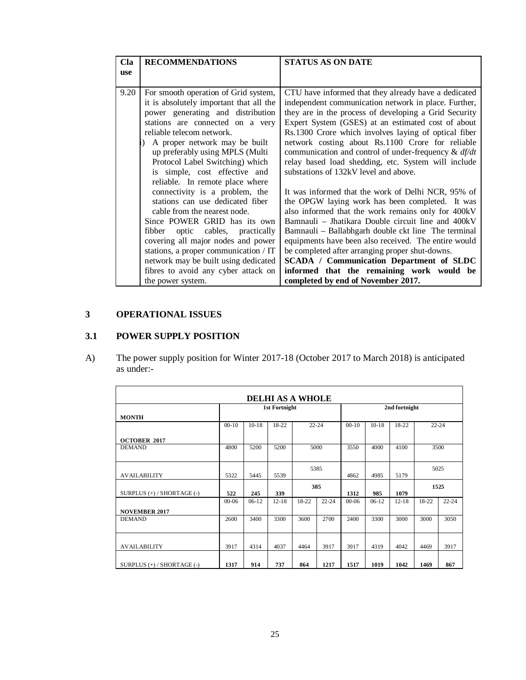| Cla        | <b>RECOMMENDATIONS</b>                                                                                                                                                                                                                                                                                                                                                                             | <b>STATUS AS ON DATE</b>                                                                                                                                                                                                                                                                                                                                                                                                                                                                                                  |
|------------|----------------------------------------------------------------------------------------------------------------------------------------------------------------------------------------------------------------------------------------------------------------------------------------------------------------------------------------------------------------------------------------------------|---------------------------------------------------------------------------------------------------------------------------------------------------------------------------------------------------------------------------------------------------------------------------------------------------------------------------------------------------------------------------------------------------------------------------------------------------------------------------------------------------------------------------|
| <b>use</b> |                                                                                                                                                                                                                                                                                                                                                                                                    |                                                                                                                                                                                                                                                                                                                                                                                                                                                                                                                           |
| 9.20       | For smooth operation of Grid system,<br>it is absolutely important that all the<br>power generating and distribution<br>stations are connected on a very<br>reliable telecom network.<br>A proper network may be built<br>up preferably using MPLS (Multi<br>Protocol Label Switching) which<br>is simple, cost effective and                                                                      | CTU have informed that they already have a dedicated<br>independent communication network in place. Further,<br>they are in the process of developing a Grid Security<br>Expert System (GSES) at an estimated cost of about<br>Rs.1300 Crore which involves laying of optical fiber<br>network costing about Rs.1100 Crore for reliable<br>communication and control of under-frequency $\&$ df/dt<br>relay based load shedding, etc. System will include<br>substations of 132kV level and above.                        |
|            | reliable. In remote place where<br>connectivity is a problem, the<br>stations can use dedicated fiber<br>cable from the nearest node.<br>Since POWER GRID has its own<br>fibber<br>cables, practically<br>optic<br>covering all major nodes and power<br>stations, a proper communication / IT<br>network may be built using dedicated<br>fibres to avoid any cyber attack on<br>the power system. | It was informed that the work of Delhi NCR, 95% of<br>the OPGW laying work has been completed. It was<br>also informed that the work remains only for 400kV<br>Bamnauli – Jhatikara Double circuit line and 400kV<br>Bamnauli – Ballabhgarh double ckt line The terminal<br>equipments have been also received. The entire would<br>be completed after arranging proper shut-downs.<br><b>SCADA / Communication Department of SLDC</b><br>informed that the remaining work would be<br>completed by end of November 2017. |

# **3 OPERATIONAL ISSUES**

# **3.1 POWER SUPPLY POSITION**

A) The power supply position for Winter 2017-18 (October 2017 to March 2018) is anticipated as under:-

| <b>DELHI AS A WHOLE</b>    |           |         |                      |           |           |           |         |               |           |           |
|----------------------------|-----------|---------|----------------------|-----------|-----------|-----------|---------|---------------|-----------|-----------|
|                            |           |         | <b>1st Fortnight</b> |           |           |           |         | 2nd fortnight |           |           |
| <b>MONTH</b>               |           |         |                      |           |           |           |         |               |           |           |
|                            | $00 - 10$ | $10-18$ | $18-22$              | $22 - 24$ |           | $00-10$   | $10-18$ | 18-22         | $22 - 24$ |           |
| <b>OCTOBER 2017</b>        |           |         |                      |           |           |           |         |               |           |           |
| <b>DEMAND</b>              | 4800      | 5200    | 5200                 | 5000      |           | 3550      | 4000    | 4100          | 3500      |           |
|                            |           |         |                      |           |           |           |         |               |           |           |
|                            |           |         |                      | 5385      |           |           |         |               | 5025      |           |
| <b>AVAILABILITY</b>        | 5322      | 5445    | 5539                 |           |           | 4862      | 4985    | 5179          |           |           |
|                            |           |         |                      | 385       |           |           |         |               | 1525      |           |
| SURPLUS (+) / SHORTAGE (-) | 522       | 245     | 339                  |           |           | 1312      | 985     | 1079          |           |           |
|                            | $00 - 06$ | $06-12$ | $12 - 18$            | 18-22     | $22 - 24$ | $00 - 06$ | $06-12$ | $12 - 18$     | 18-22     | $22 - 24$ |
| <b>NOVEMBER 2017</b>       |           |         |                      |           |           |           |         |               |           |           |
| <b>DEMAND</b>              | 2600      | 3400    | 3300                 | 3600      | 2700      | 2400      | 3300    | 3000          | 3000      | 3050      |
|                            |           |         |                      |           |           |           |         |               |           |           |
|                            |           |         |                      |           |           |           |         |               |           |           |
| <b>AVAILABILITY</b>        | 3917      | 4314    | 4037                 | 4464      | 3917      | 3917      | 4319    | 4042          | 4469      | 3917      |
|                            |           |         |                      |           |           |           |         |               |           |           |
| SURPLUS (+) / SHORTAGE (-) | 1317      | 914     | 737                  | 864       | 1217      | 1517      | 1019    | 1042          | 1469      | 867       |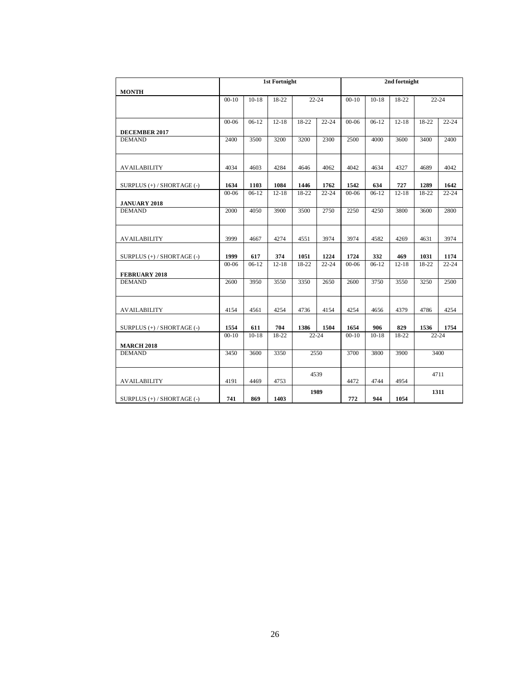|                                    |           |         | <b>1st Fortnight</b> |           |           | 2nd fortnight |           |                   |           |           |
|------------------------------------|-----------|---------|----------------------|-----------|-----------|---------------|-----------|-------------------|-----------|-----------|
| <b>MONTH</b>                       |           |         |                      |           |           |               |           |                   |           |           |
|                                    | $00 - 10$ | $10-18$ | 18-22                | $22 - 24$ |           | $00 - 10$     | $10-18$   | 18-22             | $22 - 24$ |           |
|                                    |           |         |                      |           |           |               |           |                   |           |           |
|                                    | $00 - 06$ | $06-12$ | $12 - 18$            | 18-22     | $22 - 24$ | $00 - 06$     | $06-12$   | $12 - 18$         | 18-22     | $22 - 24$ |
| <b>DECEMBER 2017</b>               |           |         |                      |           |           |               |           |                   |           |           |
| <b>DEMAND</b>                      | 2400      | 3500    | 3200                 | 3200      | 2300      | 2500          | 4000      | 3600              | 3400      | 2400      |
|                                    |           |         |                      |           |           |               |           |                   |           |           |
| <b>AVAILABILITY</b>                | 4034      | 4603    | 4284                 | 4646      | 4062      | 4042          | 4634      | 4327              | 4689      | 4042      |
|                                    |           |         |                      |           |           |               |           |                   |           |           |
| SURPLUS (+) / SHORTAGE (-)         | 1634      | 1103    | 1084                 | 1446      | 1762      | 1542          | 634       | 727               | 1289      | 1642      |
|                                    | $00 - 06$ | $06-12$ | $12 - 18$            | 18-22     | $22 - 24$ | $00 - 06$     | $06-12$   | $12 - 18$         | 18-22     | $22 - 24$ |
| <b>JANUARY 2018</b>                |           |         |                      |           |           |               |           |                   |           |           |
| <b>DEMAND</b>                      | 2000      | 4050    | 3900                 | 3500      | 2750      | 2250          | 4250      | 3800              | 3600      | 2800      |
|                                    |           |         |                      |           |           |               |           |                   |           |           |
| <b>AVAILABILITY</b>                | 3999      | 4667    | 4274                 | 4551      | 3974      | 3974          | 4582      | 4269              | 4631      | 3974      |
|                                    |           |         |                      |           |           |               |           |                   |           |           |
| SURPLUS (+) / SHORTAGE (-)         | 1999      | 617     | 374                  | 1051      | 1224      | 1724          | 332       | 469               | 1031      | 1174      |
|                                    | $00 - 06$ | $06-12$ | $12 - 18$            | 18-22     | $22 - 24$ | $00 - 06$     | $06-12$   | $12 - 18$         | 18-22     | $22 - 24$ |
| FEBRUARY 2018                      |           |         |                      |           |           |               |           |                   |           |           |
| <b>DEMAND</b>                      | 2600      | 3950    | 3550                 | 3350      | 2650      | 2600          | 3750      | $\overline{3550}$ | 3250      | 2500      |
|                                    |           |         |                      |           |           |               |           |                   |           |           |
| <b>AVAILABILITY</b>                | 4154      | 4561    | 4254                 | 4736      | 4154      | 4254          | 4656      | 4379              | 4786      | 4254      |
|                                    |           |         |                      |           |           |               |           |                   |           |           |
| SURPLUS (+) / SHORTAGE (-)         | 1554      | 611     | 704                  | 1386      | 1504      | 1654          | 906       | 829               | 1536      | 1754      |
|                                    | $00-10$   | $10-18$ | 18-22                |           | $22 - 24$ | $00-10$       | $10 - 18$ | 18-22             | $22 - 24$ |           |
| <b>MARCH 2018</b><br><b>DEMAND</b> | 3450      | 3600    | 3350                 |           | 2550      | 3700          | 3800      | 3900              |           | 3400      |
|                                    |           |         |                      |           |           |               |           |                   |           |           |
|                                    |           |         |                      |           | 4539      |               |           |                   | 4711      |           |
| <b>AVAILABILITY</b>                | 4191      | 4469    | 4753                 |           |           | 4472          | 4744      | 4954              |           |           |
|                                    |           |         |                      |           | 1989      |               |           |                   | 1311      |           |
| SURPLUS (+) / SHORTAGE (-)         | 741       | 869     | 1403                 |           |           | 772           | 944       | 1054              |           |           |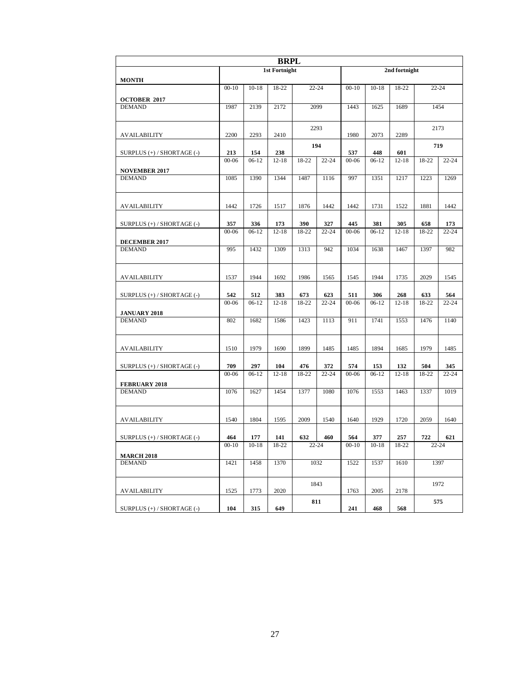| <b>BRPL</b>                    |                |                |                      |                  |           |                |                |               |                  |           |
|--------------------------------|----------------|----------------|----------------------|------------------|-----------|----------------|----------------|---------------|------------------|-----------|
|                                |                |                | <b>1st Fortnight</b> |                  |           |                |                | 2nd fortnight |                  |           |
| <b>MONTH</b>                   |                |                |                      |                  |           |                |                |               | $22 - 24$        |           |
|                                | $00 - 10$      | $10-18$        | 18-22                | $22 - 24$        |           | $00 - 10$      | $10-18$        | 18-22         |                  |           |
| <b>OCTOBER 2017</b>            |                |                |                      |                  |           |                |                |               |                  |           |
| <b>DEMAND</b>                  | 1987           | 2139           | 2172                 | 2099             |           | 1443           | 1625           | 1689          | 1454             |           |
|                                |                |                |                      |                  | 2293      |                |                |               | 2173             |           |
| AVAILABILITY                   | 2200           | 2293           | 2410                 |                  |           | 1980           | 2073           | 2289          |                  |           |
| SURPLUS $(+)$ / SHORTAGE $(-)$ | 213            | 154            | 238                  |                  | 194       | 537            | 448            | 601           | 719              |           |
|                                | $00 - 06$      | $06-12$        | $12 - 18$            | 18-22            | $22 - 24$ | $00 - 06$      | $06-12$        | $12 - 18$     | 18-22            | $22 - 24$ |
| <b>NOVEMBER 2017</b>           |                |                |                      |                  |           |                |                |               |                  |           |
| <b>DEMAND</b>                  | 1085           | 1390           | 1344                 | 1487             | 1116      | 997            | 1351           | 1217          | 1223             | 1269      |
| <b>AVAILABILITY</b>            | 1442           | 1726           | 1517                 | 1876             | 1442      | 1442           | 1731           | 1522          | 1881             | 1442      |
|                                |                |                |                      |                  |           |                |                |               |                  |           |
| SURPLUS (+) / SHORTAGE (-)     | 357            | 336            | 173                  | 390              | 327       | 445            | 381            | 305           | 658              | 173       |
| DECEMBER 2017                  | $00 - 06$      | $06-12$        | $12 - 18$            | 18-22            | $22 - 24$ | $00 - 06$      | $06-12$        | $12 - 18$     | 18-22            | $22 - 24$ |
| <b>DEMAND</b>                  | 995            | 1432           | 1309                 | 1313             | 942       | 1034           | 1638           | 1467          | 1397             | 982       |
|                                |                |                |                      |                  |           |                |                |               |                  |           |
|                                |                |                |                      |                  |           |                |                |               |                  |           |
| <b>AVAILABILITY</b>            | 1537           | 1944           | 1692                 | 1986             | 1565      | 1545           | 1944           | 1735          | 2029             | 1545      |
| SURPLUS (+) / SHORTAGE (-)     | 542            | 512            | 383                  | 673              | 623       | 511            | 306            | 268           | 633              | 564       |
|                                | $00 - 06$      | $06-12$        | $12 - 18$            | 18-22            | $22 - 24$ | $00 - 06$      | $06-12$        | $12 - 18$     | 18-22            | $22 - 24$ |
| <b>JANUARY 2018</b>            |                |                |                      |                  |           |                |                |               |                  |           |
| <b>DEMAND</b>                  | 802            | 1682           | 1586                 | 1423             | 1113      | 911            | 1741           | 1553          | 1476             | 1140      |
|                                |                |                |                      |                  |           |                |                |               |                  |           |
|                                |                |                |                      |                  |           |                |                |               |                  |           |
| AVAILABILITY                   | 1510           | 1979           | 1690                 | 1899             | 1485      | 1485           | 1894           | 1685          | 1979             | 1485      |
| SURPLUS (+) / SHORTAGE (-)     | 709            | 297            | 104                  | 476              | 372       | 574            | 153            | 132           | 504              | 345       |
|                                | $00 - 06$      | $06-12$        | $12 - 18$            | 18-22            | $22 - 24$ | $00 - 06$      | $06-12$        | $12 - 18$     | 18-22            | $22 - 24$ |
| <b>FEBRUARY 2018</b>           |                |                |                      |                  |           |                |                |               |                  |           |
| <b>DEMAND</b>                  | 1076           | 1627           | 1454                 | 1377             | 1080      | 1076           | 1553           | 1463          | 1337             | 1019      |
|                                |                |                |                      |                  |           |                |                |               |                  |           |
| <b>AVAILABILITY</b>            | 1540           | 1804           | 1595                 | 2009             | 1540      | 1640           | 1929           | 1720          | 2059             | 1640      |
|                                |                |                |                      |                  |           |                |                |               |                  |           |
| SURPLUS (+) / SHORTAGE (-)     | 464<br>$00-10$ | 177<br>$10-18$ | 141<br>18-22         | 632<br>$22 - 24$ | 460       | 564<br>$00-10$ | 377<br>$10-18$ | 257<br>18-22  | 722<br>$22 - 24$ | 621       |
| <b>MARCH 2018</b>              |                |                |                      |                  |           |                |                |               |                  |           |
| <b>DEMAND</b>                  | 1421           | 1458           | 1370                 |                  | 1032      | 1522           | 1537           | 1610          | 1397             |           |
|                                |                |                |                      |                  |           |                |                |               |                  |           |
|                                |                |                |                      |                  | 1843      |                |                |               | 1972             |           |
| AVAILABILITY                   | 1525           | 1773           | 2020                 |                  |           | 1763           | 2005           | 2178          |                  |           |
| SURPLUS (+) / SHORTAGE (-)     | 104            | 315            | 649                  |                  | 811       | 241            | 468            | 568           | 575              |           |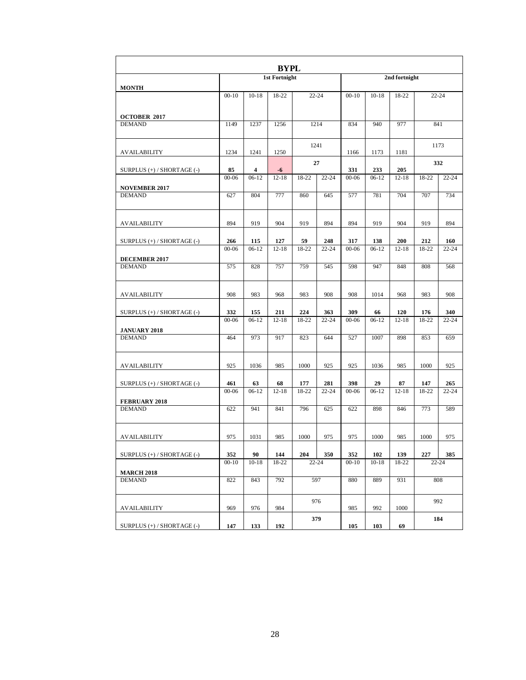| <b>BYPL</b>                          |                  |                 |                      |           |                  |                  |                  |               |                  |           |
|--------------------------------------|------------------|-----------------|----------------------|-----------|------------------|------------------|------------------|---------------|------------------|-----------|
|                                      |                  |                 | <b>1st Fortnight</b> |           |                  |                  |                  | 2nd fortnight |                  |           |
| <b>MONTH</b>                         | $00-10$          | $10-18$         | 18-22                |           | $22 - 24$        | $00 - 10$        | $10 - 18$        | 18-22         |                  | $22 - 24$ |
|                                      |                  |                 |                      |           |                  |                  |                  |               |                  |           |
| <b>OCTOBER 2017</b><br><b>DEMAND</b> | 1149             | 1237            | 1256                 |           | 1214             | 834              | 940              | 977           |                  | 841       |
|                                      |                  |                 |                      |           |                  |                  |                  |               |                  |           |
| AVAILABILITY                         | 1234             | 1241            | 1250                 |           | 1241             | 1166             | 1173             | 1181          |                  | 1173      |
| SURPLUS $(+)$ / SHORTAGE $(-)$       | 85               | 4               | -6                   |           | 27               | 331              | 233              | 205           |                  | 332       |
|                                      | $00-06$          | $06-12$         | $12 - 18$            | $18 - 22$ | $22 - 24$        | $00 - 06$        | $06-12$          | $12 - 18$     | 18-22            | $22 - 24$ |
| <b>NOVEMBER 2017</b>                 |                  |                 |                      |           |                  |                  |                  |               |                  |           |
| <b>DEMAND</b>                        | 627              | 804             | 777                  | 860       | 645              | 577              | 781              | 704           | 707              | 734       |
| <b>AVAILABILITY</b>                  | 894              | 919             | 904                  | 919       | 894              | 894              | 919              | 904           | 919              | 894       |
| SURPLUS $(+)$ / SHORTAGE $(-)$       | 266              | 115             | 127                  | 59        | 248              | 317              | 138              | 200           | 212              | 160       |
|                                      | $00 - 06$        | $06-12$         | $12 - 18$            | 18-22     | $22 - 24$        | $00 - 06$        | $06-12$          | $12 - 18$     | 18-22            | $22 - 24$ |
| DECEMBER 2017                        |                  |                 |                      |           |                  |                  |                  |               |                  |           |
| <b>DEMAND</b>                        | 575              | 828             | 757                  | 759       | 545              | 598              | 947              | 848           | 808              | 568       |
| <b>AVAILABILITY</b>                  | 908              | 983             | 968                  | 983       | 908              | 908              | 1014             | 968           | 983              | 908       |
| SURPLUS $(+)$ / SHORTAGE $(-)$       | 332              | 155             | 211                  | 224       | 363              | 309              | 66               | 120           | 176              | 340       |
|                                      | $00 - 06$        | $06-12$         | $12 - 18$            | 18-22     | $22 - 24$        | $00 - 06$        | $06-12$          | $12 - 18$     | 18-22            | $22 - 24$ |
| <b>JANUARY 2018</b><br><b>DEMAND</b> | 464              | 973             | 917                  | 823       | 644              | 527              | 1007             | 898           |                  |           |
|                                      |                  |                 |                      |           |                  |                  |                  |               | 853              | 659       |
| AVAILABILITY                         | 925              | 1036            | 985                  | 1000      | 925              | 925              | 1036             | 985           | 1000             | 925       |
| SURPLUS (+) / SHORTAGE (-)           | 461              | 63              | 68                   | 177       | 281              | 398              | 29               | 87            | 147              | 265       |
|                                      | $00 - 06$        | $06-12$         | $12 - 18$            | 18-22     | $22 - 24$        | $00 - 06$        | $06-12$          | $12 - 18$     | 18-22            | $22 - 24$ |
| <b>FEBRUARY 2018</b>                 |                  |                 |                      |           |                  |                  |                  |               |                  |           |
| <b>DEMAND</b>                        | 622              | 941             | 841                  | 796       | 625              | 622              | 898              | 846           | 773              | 589       |
| <b>AVAILABILITY</b>                  | 975              | 1031            | 985                  | 1000      | 975              | 975              | 1000             | 985           | 1000             | 975       |
|                                      |                  |                 |                      |           |                  |                  |                  |               |                  |           |
| SURPLUS (+) / SHORTAGE (-)           | 352<br>$00 - 10$ | 90<br>$10 - 18$ | 144<br>18-22         | 204       | 350<br>$22 - 24$ | 352<br>$00 - 10$ | 102<br>$10 - 18$ | 139           | 227<br>$22 - 24$ | 385       |
| <b>MARCH 2018</b>                    |                  |                 |                      |           |                  |                  |                  | 18-22         |                  |           |
| <b>DEMAND</b>                        | 822              | 843             | 792                  |           | 597              | 880              | 889              | 931           |                  | 808       |
|                                      |                  |                 |                      |           | 976              |                  |                  |               |                  | 992       |
| AVAILABILITY                         | 969              | 976             | 984                  |           |                  | 985              | 992              | 1000          |                  |           |
| SURPLUS (+) / SHORTAGE (-)           | 147              | 133             | 192                  |           | 379              | 105              | 103              | 69            |                  | 184       |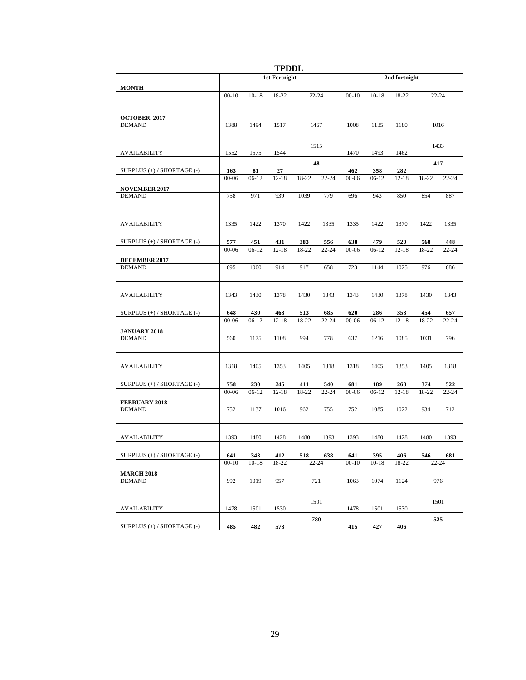| <b>TPDDL</b>                          |           |           |                      |       |           |           |           |               |           |           |
|---------------------------------------|-----------|-----------|----------------------|-------|-----------|-----------|-----------|---------------|-----------|-----------|
|                                       |           |           | <b>1st Fortnight</b> |       |           |           |           | 2nd fortnight |           |           |
| <b>MONTH</b>                          | $00 - 10$ | $10 - 18$ | 18-22                |       | $22 - 24$ | $00 - 10$ | $10 - 18$ | 18-22         | $22 - 24$ |           |
|                                       |           |           |                      |       |           |           |           |               |           |           |
| <b>OCTOBER 2017</b><br><b>DEMAND</b>  | 1388      | 1494      | 1517                 |       | 1467      | 1008      | 1135      | 1180          |           | 1016      |
|                                       |           |           |                      |       |           |           |           |               |           |           |
| AVAILABILITY                          | 1552      | 1575      | 1544                 |       | 1515      | 1470      | 1493      | 1462          | 1433      |           |
| SURPLUS (+) / SHORTAGE (-)            | 163       | 81        | 27                   |       | 48        | 462       | 358       | 282           | 417       |           |
|                                       | $00 - 06$ | $06-12$   | $12 - 18$            | 18-22 | $22 - 24$ | $00 - 06$ | $06-12$   | $12 - 18$     | 18-22     | $22 - 24$ |
| <b>NOVEMBER 2017</b>                  |           |           |                      |       |           |           |           |               |           |           |
| <b>DEMAND</b>                         | 758       | 971       | 939                  | 1039  | 779       | 696       | 943       | 850           | 854       | 887       |
| <b>AVAILABILITY</b>                   | 1335      | 1422      | 1370                 | 1422  | 1335      | 1335      | 1422      | 1370          | 1422      | 1335      |
| SURPLUS $(+)$ / SHORTAGE $(-)$        | 577       | 451       | 431                  | 383   | 556       | 638       | 479       | 520           | 568       | 448       |
|                                       | $00 - 06$ | $06-12$   | $12 - 18$            | 18-22 | $22 - 24$ | $00 - 06$ | $06-12$   | $12 - 18$     | 18-22     | $22 - 24$ |
| <b>DECEMBER 2017</b>                  |           |           |                      |       |           |           |           |               |           |           |
| <b>DEMAND</b>                         | 695       | 1000      | 914                  | 917   | 658       | 723       | 1144      | 1025          | 976       | 686       |
| <b>AVAILABILITY</b>                   | 1343      | 1430      | 1378                 | 1430  | 1343      | 1343      | 1430      | 1378          | 1430      | 1343      |
| SURPLUS (+) / SHORTAGE (-)            | 648       | 430       | 463                  | 513   | 685       | 620       | 286       | 353           | 454       | 657       |
|                                       | $00 - 06$ | $06-12$   | $12 - 18$            | 18-22 | $22 - 24$ | $00 - 06$ | 06-12     | $12 - 18$     | 18-22     | $22 - 24$ |
| <b>JANUARY 2018</b><br><b>DEMAND</b>  | 560       | 1175      | 1108                 | 994   | 778       | 637       | 1216      | 1085          | 1031      | 796       |
|                                       |           |           |                      |       |           |           |           |               |           |           |
| AVAILABILITY                          | 1318      | 1405      | 1353                 | 1405  | 1318      | 1318      | 1405      | 1353          | 1405      | 1318      |
| SURPLUS (+) / SHORTAGE (-)            | 758       | 230       | 245                  | 411   | 540       | 681       | 189       | 268           | 374       | 522       |
|                                       | $00 - 06$ | $06-12$   | $12 - 18$            | 18-22 | $22 - 24$ | $00 - 06$ | $06-12$   | $12 - 18$     | 18-22     | $22 - 24$ |
| <b>FEBRUARY 2018</b><br><b>DEMAND</b> | 752       | 1137      | 1016                 | 962   | 755       | 752       | 1085      | 1022          | 934       | 712       |
|                                       |           |           |                      |       |           |           |           |               |           |           |
| <b>AVAILABILITY</b>                   | 1393      | 1480      | 1428                 | 1480  | 1393      | 1393      | 1480      | 1428          | 1480      | 1393      |
| SURPLUS (+) / SHORTAGE (-)            | 641       | 343       | 412                  | 518   | 638       | 641       | 395       | 406           | 546       | 681       |
|                                       | $00 - 10$ | $10 - 18$ | 18-22                |       | $22 - 24$ | $00 - 10$ | $10 - 18$ | 18-22         | $22 - 24$ |           |
| <b>MARCH 2018</b>                     |           |           |                      |       |           |           |           |               |           |           |
| <b>DEMAND</b>                         | 992       | 1019      | 957                  |       | 721       | 1063      | 1074      | 1124          | 976       |           |
|                                       |           |           |                      |       | 1501      |           |           |               | 1501      |           |
| <b>AVAILABILITY</b>                   | 1478      | 1501      | 1530                 |       |           | 1478      | 1501      | 1530          |           |           |
| SURPLUS (+) / SHORTAGE (-)            | 485       | 482       | 573                  |       | 780       | 415       | 427       | 406           | 525       |           |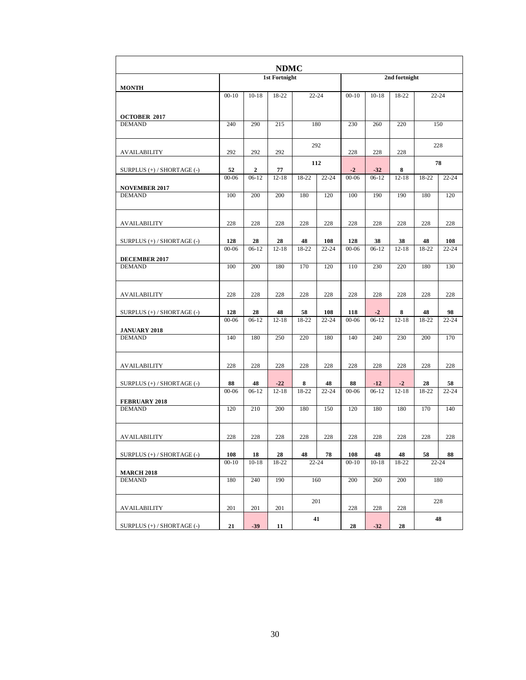|                                       |           |         | <b>NDMC</b>          |       |           |           |           |               |       |           |
|---------------------------------------|-----------|---------|----------------------|-------|-----------|-----------|-----------|---------------|-------|-----------|
|                                       |           |         | <b>1st Fortnight</b> |       |           |           |           | 2nd fortnight |       |           |
| <b>MONTH</b>                          | $00-10$   | $10-18$ | $18-22$              |       | $22 - 24$ | $00 - 10$ | $10-18$   | 18-22         |       | $22 - 24$ |
|                                       |           |         |                      |       |           |           |           |               |       |           |
| <b>OCTOBER 2017</b><br><b>DEMAND</b>  | 240       | 290     | 215                  |       | 180       | 230       | 260       | 220           | 150   |           |
|                                       |           |         |                      |       |           |           |           |               |       |           |
| <b>AVAILABILITY</b>                   | 292       | 292     | 292                  |       | 292       | 228       | 228       | 228           | 228   |           |
| SURPLUS (+) / SHORTAGE (-)            | 52        | 2       | 77                   |       | 112       | $-2$      | $-32$     | 8             |       | 78        |
|                                       | $00 - 06$ | $06-12$ | $12 - 18$            | 18-22 | $22 - 24$ | $00 - 06$ | $06-12$   | $12 - 18$     | 18-22 | $22 - 24$ |
| <b>NOVEMBER 2017</b>                  |           |         |                      |       |           |           |           |               |       |           |
| <b>DEMAND</b>                         | 100       | 200     | 200                  | 180   | 120       | 100       | 190       | 190           | 180   | 120       |
| <b>AVAILABILITY</b>                   | 228       | 228     | 228                  | 228   | 228       | 228       | 228       | 228           | 228   | 228       |
| SURPLUS (+) / SHORTAGE (-)            | 128       | 28      | 28                   | 48    | 108       | 128       | 38        | 38            | 48    | 108       |
|                                       | $00 - 06$ | $06-12$ | $12 - 18$            | 18-22 | $22 - 24$ | $00 - 06$ | $06-12$   | $12 - 18$     | 18-22 | $22 - 24$ |
| <b>DECEMBER 2017</b>                  |           |         |                      |       |           |           |           |               |       |           |
| <b>DEMAND</b>                         | 100       | 200     | 180                  | 170   | 120       | 110       | 230       | 220           | 180   | 130       |
| <b>AVAILABILITY</b>                   | 228       | 228     | 228                  | 228   | 228       | 228       | 228       | 228           | 228   | 228       |
| SURPLUS $(+)$ / SHORTAGE $(-)$        | 128       | 28      | 48                   | 58    | 108       | 118       | $-2$      | 8             | 48    | 98        |
|                                       | $00 - 06$ | $06-12$ | $12 - 18$            | 18-22 | $22 - 24$ | $00 - 06$ | $06-12$   | $12 - 18$     | 18-22 | $22 - 24$ |
| <b>JANUARY 2018</b>                   |           |         |                      |       |           |           |           |               |       |           |
| <b>DEMAND</b>                         | 140       | 180     | 250                  | 220   | 180       | 140       | 240       | 230           | 200   | 170       |
| <b>AVAILABILITY</b>                   | 228       | 228     | 228                  | 228   | 228       | 228       | 228       | 228           | 228   | 228       |
| SURPLUS $(+)$ / SHORTAGE $(-)$        | 88        | 48      | $-22$                | 8     | 48        | 88        | $-12$     | $-2$          | 28    | 58        |
|                                       | $00 - 06$ | $06-12$ | $12 - 18$            | 18-22 | $22 - 24$ | $00 - 06$ | $06-12$   | $12 - 18$     | 18-22 | $22 - 24$ |
| <b>FEBRUARY 2018</b><br><b>DEMAND</b> | 120       | 210     | 200                  | 180   | 150       | 120       | 180       | 180           | 170   | 140       |
|                                       |           |         |                      |       |           |           |           |               |       |           |
| <b>AVAILABILITY</b>                   | 228       | 228     | 228                  | 228   | 228       | 228       | 228       | 228           | 228   | 228       |
| SURPLUS (+) / SHORTAGE (-)            | 108       | 18      | 28                   | 48    | 78        | 108       | 48        | 48            | 58    | 88        |
|                                       | $00 - 10$ | $10-18$ | 18-22                |       | $22 - 24$ | $00 - 10$ | $10 - 18$ | 18-22         |       | $22 - 24$ |
| <b>MARCH 2018</b>                     |           |         |                      |       |           |           |           |               |       |           |
| <b>DEMAND</b>                         | 180       | 240     | 190                  |       | 160       | 200       | 260       | 200           |       | 180       |
| AVAILABILITY                          | 201       | 201     | 201                  |       | 201       | 228       | 228       | 228           | 228   |           |
|                                       |           |         |                      |       | 41        |           |           |               |       | 48        |
| SURPLUS (+) / SHORTAGE (-)            | 21        | $-39$   | 11                   |       |           | 28        | $-32$     | 28            |       |           |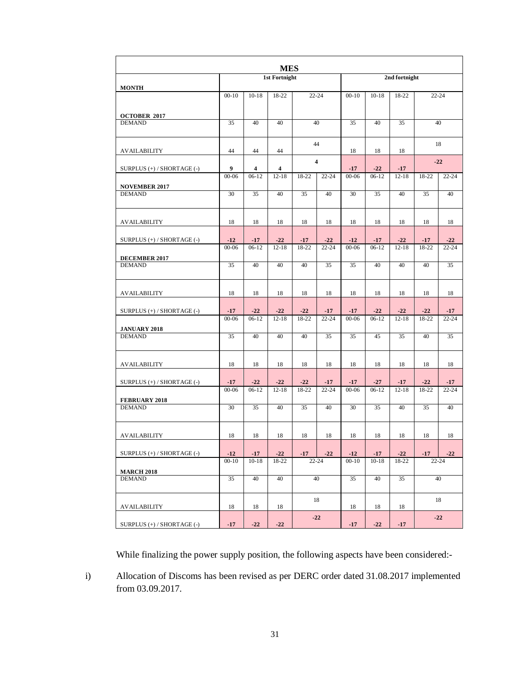| <b>MES</b>                            |           |           |                      |           |                         |           |           |               |           |           |
|---------------------------------------|-----------|-----------|----------------------|-----------|-------------------------|-----------|-----------|---------------|-----------|-----------|
|                                       |           |           | <b>1st Fortnight</b> |           |                         |           |           | 2nd fortnight |           |           |
| <b>MONTH</b>                          | $00 - 10$ | $10 - 18$ | 18-22                | $22 - 24$ |                         | $00 - 10$ | $10-18$   | 18-22         | $22 - 24$ |           |
|                                       |           |           |                      |           |                         |           |           |               |           |           |
| <b>OCTOBER 2017</b><br><b>DEMAND</b>  | 35        | 40        | 40                   |           | 40                      | 35        | 40        | 35            | 40        |           |
|                                       |           |           |                      |           |                         |           |           |               |           |           |
| AVAILABILITY                          | 44        | 44        | 44                   |           | 44                      | 18        | 18        | 18            |           | 18        |
| SURPLUS (+) / SHORTAGE (-)            | 9         | 4         | 4                    |           | $\overline{\mathbf{4}}$ | $-17$     | $-22$     | $-17$         | $-22$     |           |
|                                       | $00 - 06$ | $06-12$   | $12 - 18$            | 18-22     | $22 - 24$               | $00 - 06$ | $06-12$   | $12 - 18$     | 18-22     | $22 - 24$ |
| <b>NOVEMBER 2017</b>                  | 30        | 35        | 40                   |           | 40                      | 30        |           |               | 35        | 40        |
| <b>DEMAND</b>                         |           |           |                      | 35        |                         |           | 35        | 40            |           |           |
| AVAILABILITY                          | 18        | 18        | 18                   | 18        | 18                      | 18        | 18        | 18            | 18        | 18        |
| SURPLUS $(+)$ / SHORTAGE $(-)$        | $-12$     | $-17$     | $-22$                | $-17$     | $-22$                   | $-12$     | $-17$     | $-22$         | $-17$     | $-22$     |
|                                       | $00 - 06$ | $06-12$   | $12 - 18$            | 18-22     | $22 - 24$               | $00 - 06$ | $06-12$   | $12 - 18$     | 18-22     | $22 - 24$ |
| <b>DECEMBER 2017</b>                  |           |           |                      |           |                         |           |           |               |           |           |
| <b>DEMAND</b>                         | 35        | 40        | 40                   | 40        | 35                      | 35        | 40        | 40            | 40        | 35        |
| <b>AVAILABILITY</b>                   | 18        | 18        | 18                   | 18        | 18                      | 18        | 18        | 18            | 18        | 18        |
| SURPLUS $(+)$ / SHORTAGE $(-)$        | $-17$     | $-22$     | $-22$                | $-22$     | $-17$                   | $-17$     | $-22$     | $-22$         | $-22$     | $-17$     |
| <b>JANUARY 2018</b>                   | $00-06$   | $06-12$   | $12 - 18$            | 18-22     | $22 - 24$               | $00 - 06$ | $06-12$   | $12 - 18$     | 18-22     | $22 - 24$ |
| <b>DEMAND</b>                         | 35        | 40        | 40                   | 40        | 35                      | 35        | 45        | 35            | 40        | 35        |
|                                       |           |           |                      |           |                         |           |           |               |           |           |
| AVAILABILITY                          | 18        | 18        | 18                   | 18        | 18                      | 18        | 18        | 18            | 18        | 18        |
| SURPLUS $(+)$ / SHORTAGE $(-)$        | $-17$     | $-22$     | $-22$                | $-22$     | $-17$                   | $-17$     | $-27$     | $-17$         | $-22$     | $-17$     |
|                                       | $00 - 06$ | $06-12$   | $12 - 18$            | 18-22     | $22 - 24$               | $00 - 06$ | $06-12$   | $12 - 18$     | 18-22     | $22 - 24$ |
| <b>FEBRUARY 2018</b><br><b>DEMAND</b> | 30        | 35        | 40                   | 35        | 40                      | 30        | 35        | 40            | 35        | 40        |
|                                       |           |           |                      |           |                         |           |           |               |           |           |
| <b>AVAILABILITY</b>                   | 18        | 18        | 18                   | 18        | 18                      | 18        | 18        | 18            | 18        | 18        |
| SURPLUS (+) / SHORTAGE (-)            | $-12$     | $-17$     | $-22$                | $-17$     | $-22$                   | $-12$     | $-17$     | $-22$         | $-17$     | $-22$     |
| <b>MARCH 2018</b>                     | $00 - 10$ | $10 - 18$ | 18-22                |           | 22-24                   | $00 - 10$ | $10 - 18$ | 18-22         | $22 - 24$ |           |
| <b>DEMAND</b>                         | 35        | 40        | 40                   |           | 40                      | 35        | 40        | 35            | 40        |           |
|                                       |           |           |                      |           | 18                      |           |           |               |           | 18        |
| AVAILABILITY                          | 18        | 18        | 18                   |           |                         | 18        | 18        | 18            |           |           |
| SURPLUS (+) / SHORTAGE (-)            | $-17$     | $-22$     | $-22$                |           | $-22$                   | $-17$     | $-22$     | $-17$         | $-22$     |           |

While finalizing the power supply position, the following aspects have been considered:-

i) Allocation of Discoms has been revised as per DERC order dated 31.08.2017 implemented from 03.09.2017.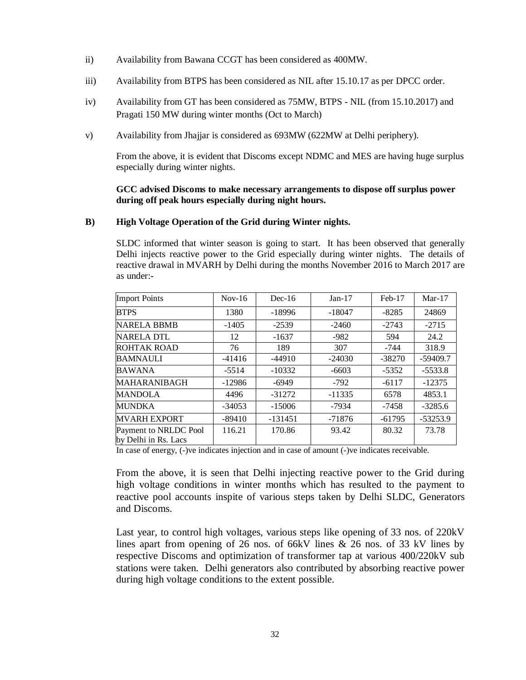- ii) Availability from Bawana CCGT has been considered as 400MW.
- iii) Availability from BTPS has been considered as NIL after 15.10.17 as per DPCC order.
- iv) Availability from GT has been considered as 75MW, BTPS NIL (from 15.10.2017) and Pragati 150 MW during winter months (Oct to March)
- v) Availability from Jhajjar is considered as 693MW (622MW at Delhi periphery).

From the above, it is evident that Discoms except NDMC and MES are having huge surplus especially during winter nights.

#### **GCC advised Discoms to make necessary arrangements to dispose off surplus power during off peak hours especially during night hours.**

#### **B) High Voltage Operation of the Grid during Winter nights.**

SLDC informed that winter season is going to start. It has been observed that generally Delhi injects reactive power to the Grid especially during winter nights. The details of reactive drawal in MVARH by Delhi during the months November 2016 to March 2017 are as under:-

|                                               | $Nov-16$ | $Dec-16$  | $Jan-17$ | $Feb-17$ | $Mar-17$   |
|-----------------------------------------------|----------|-----------|----------|----------|------------|
| <b>Import Points</b>                          |          |           |          |          |            |
| <b>BTPS</b>                                   | 1380     | $-18996$  | $-18047$ | $-8285$  | 24869      |
| NARELA BBMB                                   | $-1405$  | $-2539$   | $-2460$  | $-2743$  | $-2715$    |
| <b>NARELA DTL</b>                             | 12       | $-1637$   | $-982$   | 594      | 24.2       |
| <b>ROHTAK ROAD</b>                            | 76       | 189       | 307      | -744     | 318.9      |
| <b>BAMNAULI</b>                               | $-41416$ | $-44910$  | $-24030$ | $-38270$ | $-59409.7$ |
| <b>BAWANA</b>                                 | $-5514$  | $-10332$  | $-6603$  | $-5352$  | $-5533.8$  |
| MAHARANIBAGH                                  | $-12986$ | $-6949$   | $-792$   | $-6117$  | $-12375$   |
| <b>MANDOLA</b>                                | 4496     | $-31272$  | $-11335$ | 6578     | 4853.1     |
| <b>MUNDKA</b>                                 | $-34053$ | $-15006$  | -7934    | -7458    | $-3285.6$  |
| <b>MVARH EXPORT</b>                           | $-89410$ | $-131451$ | $-71876$ | $-61795$ | $-53253.9$ |
| Payment to NRLDC Pool<br>by Delhi in Rs. Lacs | 116.21   | 170.86    | 93.42    | 80.32    | 73.78      |

In case of energy, (-)ve indicates injection and in case of amount (-)ve indicates receivable.

From the above, it is seen that Delhi injecting reactive power to the Grid during high voltage conditions in winter months which has resulted to the payment to reactive pool accounts inspite of various steps taken by Delhi SLDC, Generators and Discoms.

Last year, to control high voltages, various steps like opening of 33 nos. of 220kV lines apart from opening of 26 nos. of 66kV lines & 26 nos. of 33 kV lines by respective Discoms and optimization of transformer tap at various 400/220kV sub stations were taken. Delhi generators also contributed by absorbing reactive power during high voltage conditions to the extent possible.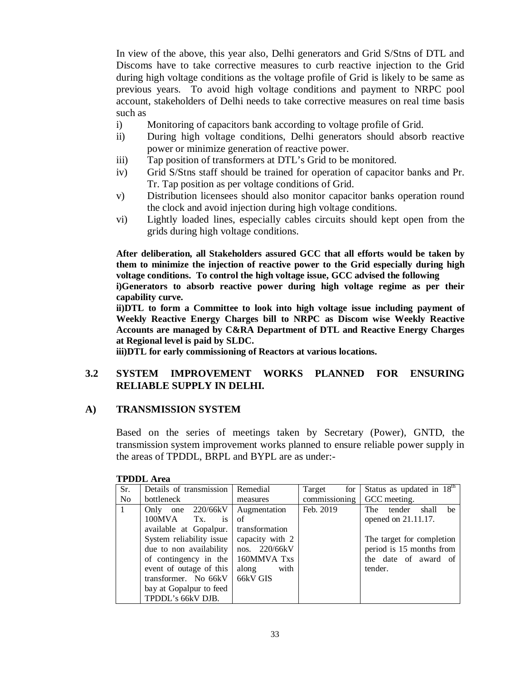In view of the above, this year also, Delhi generators and Grid S/Stns of DTL and Discoms have to take corrective measures to curb reactive injection to the Grid during high voltage conditions as the voltage profile of Grid is likely to be same as previous years. To avoid high voltage conditions and payment to NRPC pool account, stakeholders of Delhi needs to take corrective measures on real time basis such as

- i) Monitoring of capacitors bank according to voltage profile of Grid.
- ii) During high voltage conditions, Delhi generators should absorb reactive power or minimize generation of reactive power.
- iii) Tap position of transformers at DTL's Grid to be monitored.
- iv) Grid S/Stns staff should be trained for operation of capacitor banks and Pr. Tr. Tap position as per voltage conditions of Grid.
- v) Distribution licensees should also monitor capacitor banks operation round the clock and avoid injection during high voltage conditions.
- vi) Lightly loaded lines, especially cables circuits should kept open from the grids during high voltage conditions.

**After deliberation, all Stakeholders assured GCC that all efforts would be taken by them to minimize the injection of reactive power to the Grid especially during high voltage conditions. To control the high voltage issue, GCC advised the following**

**i)Generators to absorb reactive power during high voltage regime as per their capability curve.** 

**ii)DTL to form a Committee to look into high voltage issue including payment of Weekly Reactive Energy Charges bill to NRPC as Discom wise Weekly Reactive Accounts are managed by C&RA Department of DTL and Reactive Energy Charges at Regional level is paid by SLDC.**

**iii)DTL for early commissioning of Reactors at various locations.** 

## **3.2 SYSTEM IMPROVEMENT WORKS PLANNED FOR ENSURING RELIABLE SUPPLY IN DELHI.**

#### **A) TRANSMISSION SYSTEM**

Based on the series of meetings taken by Secretary (Power), GNTD, the transmission system improvement works planned to ensure reliable power supply in the areas of TPDDL, BRPL and BYPL are as under:-

| Sr.            | Details of transmission        | Remedial        | Target<br>for | Status as updated in $18^{\text{th}}$ |
|----------------|--------------------------------|-----------------|---------------|---------------------------------------|
| N <sub>o</sub> | bottleneck                     | measures        | commissioning | GCC meeting.                          |
| $+1$           | Only one 220/66kV              | Augmentation    | Feb. 2019     | tender shall<br>The<br>be             |
|                | $100MVA$ Tx.<br>$\mathbf{1}$ s | of              |               | opened on 21.11.17.                   |
|                | available at Gopalpur.         | transformation  |               |                                       |
|                | System reliability issue       | capacity with 2 |               | The target for completion             |
|                | due to non availability        | nos. 220/66kV   |               | period is 15 months from              |
|                | of contingency in the          | 160MMVA Txs     |               | the date of award of                  |
|                | event of outage of this        | along<br>with   |               | tender.                               |
|                | transformer. No 66kV           | 66kV GIS        |               |                                       |
|                | bay at Gopalpur to feed        |                 |               |                                       |
|                | TPDDL's 66kV DJB.              |                 |               |                                       |

**TPDDL Area**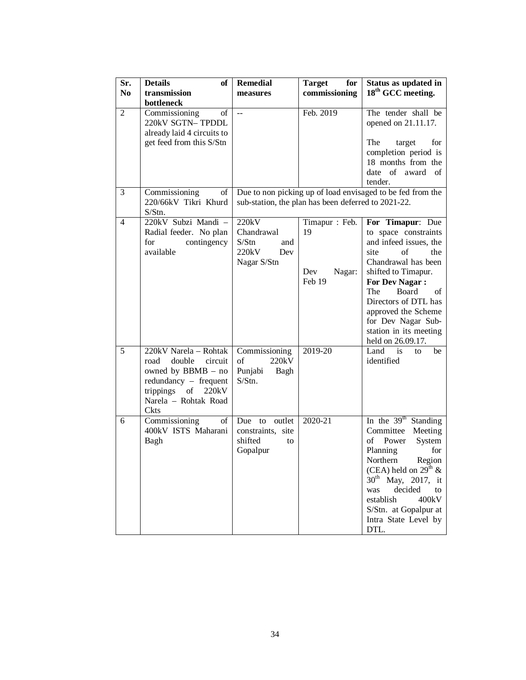| Sr.<br>N <sub>0</sub> | <b>Details</b><br>of<br>transmission<br>bottleneck                                                                                                                  | <b>Remedial</b><br>measures                                        | <b>Target</b><br>for<br>commissioning               | Status as updated in<br>18 <sup>th</sup> GCC meeting.                                                                                                                                                                                                                                                    |
|-----------------------|---------------------------------------------------------------------------------------------------------------------------------------------------------------------|--------------------------------------------------------------------|-----------------------------------------------------|----------------------------------------------------------------------------------------------------------------------------------------------------------------------------------------------------------------------------------------------------------------------------------------------------------|
| 2                     | Commissioning<br>of<br>220kV SGTN-TPDDL<br>already laid 4 circuits to<br>get feed from this S/Stn                                                                   | $\overline{a}$                                                     | Feb. 2019                                           | The tender shall be<br>opened on 21.11.17.<br>The<br>target<br>for<br>completion period is<br>18 months from the<br>date of award of<br>tender.                                                                                                                                                          |
| 3                     | Commissioning<br>of<br>220/66kV Tikri Khurd<br>$S/S$ tn.                                                                                                            |                                                                    | sub-station, the plan has been deferred to 2021-22. | Due to non picking up of load envisaged to be fed from the                                                                                                                                                                                                                                               |
| $\overline{4}$        | 220kV Subzi Mandi -<br>Radial feeder. No plan<br>for<br>contingency<br>available                                                                                    | 220kV<br>Chandrawal<br>S/Stn<br>and<br>220kV<br>Dev<br>Nagar S/Stn | Timapur: Feb.<br>19<br>Dev<br>Nagar:<br>Feb 19      | For Timapur: Due<br>to space constraints<br>and infeed issues, the<br>site<br>of<br>the<br>Chandrawal has been<br>shifted to Timapur.<br><b>For Dev Nagar:</b><br>The<br>Board<br>of<br>Directors of DTL has<br>approved the Scheme<br>for Dev Nagar Sub-<br>station in its meeting<br>held on 26.09.17. |
| 5                     | 220kV Narela - Rohtak<br>double<br>road<br>circuit<br>owned by BBMB - no<br>$redundancy$ – frequent<br>trippings of<br>220kV<br>Narela - Rohtak Road<br><b>Ckts</b> | Commissioning<br>220kV<br>of<br>Punjabi<br>Bagh<br>S/Stn.          | 2019-20                                             | Land is<br>to<br>be<br>identified                                                                                                                                                                                                                                                                        |
| 6                     | Commissioning<br>of<br>400kV ISTS Maharani<br>Bagh                                                                                                                  | outlet<br>Due to<br>constraints, site<br>shifted<br>to<br>Gopalpur | 2020-21                                             | In the $39th$ Standing<br>Committee<br>Meeting<br>of<br>Power<br>System<br>Planning<br>for<br>Northern<br>Region<br>(CEA) held on $29^{th}$ &<br>$30^{th}$ May, 2017, it<br>decided<br>was<br>to<br>establish<br>400kV<br>S/Stn. at Gopalpur at<br>Intra State Level by<br>DTL.                          |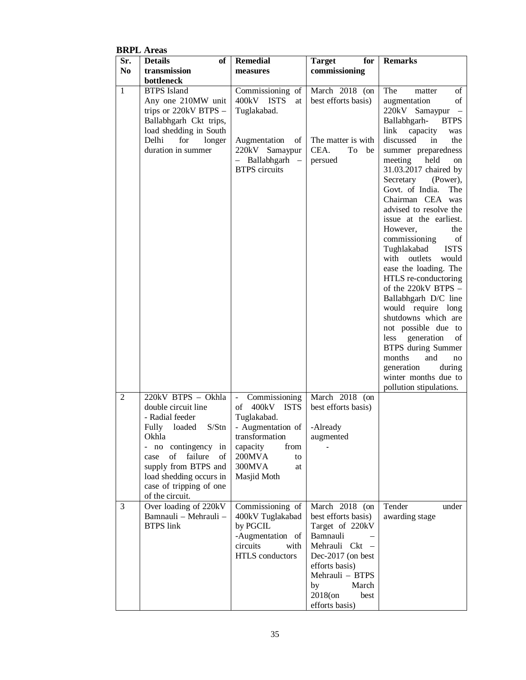|                | <b>BRPL</b> Areas                                                                                                                                                                                                                                                             |                                                                                                                                                      |                                                                                                                                                                                                      |                                                                                                                                                                                                                                                                                                                                                                                                                                                                                                                                                                                                                                                                                                                                                 |
|----------------|-------------------------------------------------------------------------------------------------------------------------------------------------------------------------------------------------------------------------------------------------------------------------------|------------------------------------------------------------------------------------------------------------------------------------------------------|------------------------------------------------------------------------------------------------------------------------------------------------------------------------------------------------------|-------------------------------------------------------------------------------------------------------------------------------------------------------------------------------------------------------------------------------------------------------------------------------------------------------------------------------------------------------------------------------------------------------------------------------------------------------------------------------------------------------------------------------------------------------------------------------------------------------------------------------------------------------------------------------------------------------------------------------------------------|
| Sr.            | <b>Details</b><br>of                                                                                                                                                                                                                                                          | <b>Remedial</b>                                                                                                                                      | for<br><b>Target</b>                                                                                                                                                                                 | <b>Remarks</b>                                                                                                                                                                                                                                                                                                                                                                                                                                                                                                                                                                                                                                                                                                                                  |
| N <sub>0</sub> | transmission                                                                                                                                                                                                                                                                  | measures                                                                                                                                             | commissioning                                                                                                                                                                                        |                                                                                                                                                                                                                                                                                                                                                                                                                                                                                                                                                                                                                                                                                                                                                 |
|                | bottleneck                                                                                                                                                                                                                                                                    |                                                                                                                                                      |                                                                                                                                                                                                      |                                                                                                                                                                                                                                                                                                                                                                                                                                                                                                                                                                                                                                                                                                                                                 |
| 1              | <b>BTPS</b> Island<br>Any one 210MW unit<br>trips or 220kV BTPS -<br>Ballabhgarh Ckt trips,<br>load shedding in South<br>Delhi<br>for<br>longer<br>duration in summer                                                                                                         | Commissioning of<br>400kV ISTS<br>at<br>Tuglakabad.<br>Augmentation<br>of<br>220kV Samaypur<br>- Ballabhgarh -<br><b>BTPS</b> circuits               | March 2018 (on<br>best efforts basis)<br>The matter is with<br>CEA.<br>To be<br>persued                                                                                                              | The<br>of<br>matter<br>augmentation<br>of<br>220kV Samaypur<br>Ballabhgarh-<br><b>BTPS</b><br>link capacity<br>was<br>discussed<br>in<br>the<br>summer preparedness<br>meeting held<br>on<br>31.03.2017 chaired by<br>Secretary<br>(Power),<br>Govt. of India.<br>The<br>Chairman CEA was<br>advised to resolve the<br>issue at the earliest.<br>However,<br>the<br>commissioning<br>of<br>Tughlakabad<br><b>ISTS</b><br>with outlets<br>would<br>ease the loading. The<br>HTLS re-conductoring<br>of the 220kV BTPS -<br>Ballabhgarh D/C line<br>would require long<br>shutdowns which are<br>not possible due to<br>less generation<br>οf<br><b>BTPS</b> during Summer<br>months<br>and<br>no<br>generation<br>during<br>winter months due to |
|                |                                                                                                                                                                                                                                                                               |                                                                                                                                                      |                                                                                                                                                                                                      | pollution stipulations.                                                                                                                                                                                                                                                                                                                                                                                                                                                                                                                                                                                                                                                                                                                         |
| $\overline{2}$ | 220kV BTPS - Okhla<br>double circuit line<br>- Radial feeder<br>Fully loaded S/Stn - Augmentation of -Already<br>Okhla<br>- no contingency in<br>failure<br>of<br>case<br>of<br>supply from BTPS and<br>load shedding occurs in<br>case of tripping of one<br>of the circuit. | Commissioning<br>$\sim$ $^{-1}$<br>of 400kV ISTS<br>Tuglakabad.<br>transformation<br>capacity<br>from<br>200MVA<br>to<br>300MVA<br>at<br>Masjid Moth | March 2018 (on<br>best efforts basis)<br>augmented                                                                                                                                                   |                                                                                                                                                                                                                                                                                                                                                                                                                                                                                                                                                                                                                                                                                                                                                 |
| 3              | Over loading of 220kV<br>Bamnauli - Mehrauli -<br><b>BTPS</b> link                                                                                                                                                                                                            | Commissioning of<br>400kV Tuglakabad<br>by PGCIL<br>-Augmentation of<br>circuits<br>with<br>HTLS conductors                                          | March 2018 (on<br>best efforts basis)<br>Target of 220kV<br>Bamnauli<br>Mehrauli Ckt -<br>Dec-2017 (on best<br>efforts basis)<br>Mehrauli - BTPS<br>by<br>March<br>2018(on<br>best<br>efforts basis) | Tender<br>under<br>awarding stage                                                                                                                                                                                                                                                                                                                                                                                                                                                                                                                                                                                                                                                                                                               |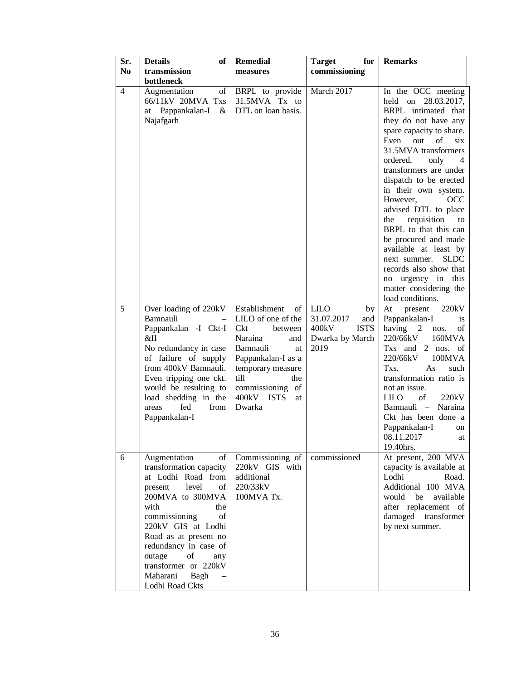| Sr.<br>N <sub>0</sub> | <b>Details</b><br>of<br>transmission                                                                                                                                                                                                                                                                                  | <b>Remedial</b><br>measures                                                                                                                                                                                       | for<br><b>Target</b><br>commissioning                                                     | <b>Remarks</b>                                                                                                                                                                                                                                                                                                                                                                                                                                                                                                                                                 |
|-----------------------|-----------------------------------------------------------------------------------------------------------------------------------------------------------------------------------------------------------------------------------------------------------------------------------------------------------------------|-------------------------------------------------------------------------------------------------------------------------------------------------------------------------------------------------------------------|-------------------------------------------------------------------------------------------|----------------------------------------------------------------------------------------------------------------------------------------------------------------------------------------------------------------------------------------------------------------------------------------------------------------------------------------------------------------------------------------------------------------------------------------------------------------------------------------------------------------------------------------------------------------|
|                       | bottleneck                                                                                                                                                                                                                                                                                                            |                                                                                                                                                                                                                   |                                                                                           |                                                                                                                                                                                                                                                                                                                                                                                                                                                                                                                                                                |
| $\overline{4}$        | Augmentation<br>of<br>66/11kV 20MVA Txs<br>at Pappankalan-I $&$<br>Najafgarh                                                                                                                                                                                                                                          | BRPL to provide<br>31.5MVA Tx to<br>DTL on loan basis.                                                                                                                                                            | March 2017                                                                                | In the OCC meeting<br>held on 28.03.2017,<br>BRPL intimated that<br>they do not have any<br>spare capacity to share.<br>Even out<br>$\sigma$<br>six<br>31.5MVA transformers<br>ordered,<br>only<br>4<br>transformers are under<br>dispatch to be erected<br>in their own system.<br>However,<br>OCC<br>advised DTL to place<br>requisition<br>the<br>to<br>BRPL to that this can<br>be procured and made<br>available at least by<br>next summer.<br><b>SLDC</b><br>records also show that<br>no urgency in this<br>matter considering the<br>load conditions. |
| 5                     | Over loading of 220kV<br>Bamnauli<br>Pappankalan -I Ckt-I<br>&II<br>No redundancy in case<br>of failure of supply<br>from 400kV Bamnauli.<br>Even tripping one ckt.<br>would be resulting to<br>load shedding in the<br>fed<br>from<br>areas<br>Pappankalan-I                                                         | Establishment<br>$\sigma$<br>LILO of one of the<br>Ckt<br>between<br>Naraina<br>and<br>Bamnauli<br>at<br>Pappankalan-I as a<br>temporary measure<br>till<br>the<br>commissioning of<br>400kV ISTS<br>at<br>Dwarka | <b>LILO</b><br>by<br>31.07.2017<br>and<br>400kV<br><b>ISTS</b><br>Dwarka by March<br>2019 | present<br>220kV<br>At<br>Pappankalan-I<br>1S<br>having 2<br>nos.<br>οf<br>220/66kV<br>160MVA<br>Txs and 2 nos. of<br>100MVA<br>220/66kV<br>Txs.<br>As<br>such<br>transformation ratio is<br>not an issue.<br><b>LILO</b><br>of<br>220kV<br>Bamnauli - Naraina<br>Ckt has been done a<br>Pappankalan-I<br>on<br>08.11.2017<br>at<br>19.40hrs.                                                                                                                                                                                                                  |
| 6                     | Augmentation<br>οf<br>transformation capacity<br>at Lodhi Road from<br>level<br>of<br>present<br>200MVA to 300MVA<br>with<br>the<br>commissioning<br>of<br>220kV GIS at Lodhi<br>Road as at present no<br>redundancy in case of<br>outage<br>of<br>any<br>transformer or 220kV<br>Maharani<br>Bagh<br>Lodhi Road Ckts | Commissioning of<br>220kV GIS with<br>additional<br>220/33kV<br>100MVA Tx.                                                                                                                                        | commissioned                                                                              | At present, 200 MVA<br>capacity is available at<br>Road.<br>Lodhi<br>Additional 100 MVA<br>would be<br>available<br>after replacement of<br>damaged transformer<br>by next summer.                                                                                                                                                                                                                                                                                                                                                                             |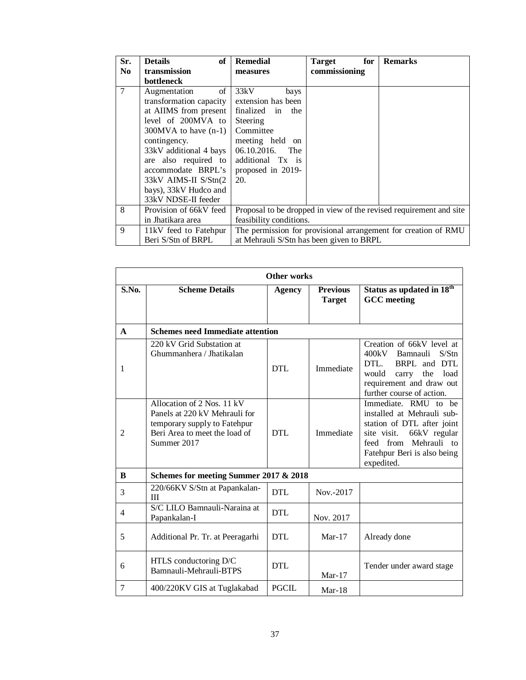| Sr.            | of<br><b>Details</b>      | <b>Remedial</b>         | <b>Target</b><br>for                     | <b>Remarks</b>                                                     |
|----------------|---------------------------|-------------------------|------------------------------------------|--------------------------------------------------------------------|
| N <sub>0</sub> | transmission              | measures                | commissioning                            |                                                                    |
|                | <b>bottleneck</b>         |                         |                                          |                                                                    |
| $\tau$         | of<br>Augmentation        | 33kV<br>bays            |                                          |                                                                    |
|                | transformation capacity   | extension has been      |                                          |                                                                    |
|                | at AIIMS from present     | finalized in<br>the     |                                          |                                                                    |
|                | level of 200MVA to        | Steering                |                                          |                                                                    |
|                | $300$ MVA to have $(n-1)$ | Committee               |                                          |                                                                    |
|                | contingency.              | meeting held on         |                                          |                                                                    |
|                | 33kV additional 4 bays    | 06.10.2016.<br>The      |                                          |                                                                    |
|                | are also required to      | additional Tx is        |                                          |                                                                    |
|                | accommodate BRPL's        | proposed in 2019-       |                                          |                                                                    |
|                | 33kV AIMS-II S/Stn(2      | 20.                     |                                          |                                                                    |
|                | bays), 33kV Hudco and     |                         |                                          |                                                                    |
|                | 33kV NDSE-II feeder       |                         |                                          |                                                                    |
| 8              | Provision of 66kV feed    |                         |                                          | Proposal to be dropped in view of the revised requirement and site |
|                | in Jhatikara area         | feasibility conditions. |                                          |                                                                    |
| 9              | 11kV feed to Fatehpur     |                         |                                          | The permission for provisional arrangement for creation of RMU     |
|                | Beri S/Stn of BRPL        |                         | at Mehrauli S/Stn has been given to BRPL |                                                                    |

|              | <b>Other works</b>                                                                                                                          |               |                                  |                                                                                                                                                                                       |  |  |  |
|--------------|---------------------------------------------------------------------------------------------------------------------------------------------|---------------|----------------------------------|---------------------------------------------------------------------------------------------------------------------------------------------------------------------------------------|--|--|--|
| S.No.        | <b>Scheme Details</b>                                                                                                                       | <b>Agency</b> | <b>Previous</b><br><b>Target</b> | Status as updated in 18 <sup>th</sup><br><b>GCC</b> meeting                                                                                                                           |  |  |  |
| $\mathbf{A}$ | <b>Schemes need Immediate attention</b>                                                                                                     |               |                                  |                                                                                                                                                                                       |  |  |  |
| 1            | 220 kV Grid Substation at<br>Ghummanhera / Jhatikalan                                                                                       | DTL           | Immediate                        | Creation of 66kV level at<br>400kV Bamnauli<br>S/Stn<br>DTL<br>BRPL and DTL<br>the<br>load<br>would<br>carry<br>requirement and draw out<br>further course of action.                 |  |  |  |
| 2            | Allocation of 2 Nos. 11 kV<br>Panels at 220 kV Mehrauli for<br>temporary supply to Fatehpur<br>Beri Area to meet the load of<br>Summer 2017 | DTL           | Immediate                        | Immediate. RMU to be<br>installed at Mehrauli sub-<br>station of DTL after joint<br>site visit.<br>66kV regular<br>feed from Mehrauli to<br>Fatehpur Beri is also being<br>expedited. |  |  |  |
| B            | Schemes for meeting Summer 2017 & 2018                                                                                                      |               |                                  |                                                                                                                                                                                       |  |  |  |
| 3            | 220/66KV S/Stn at Papankalan-<br>Ш                                                                                                          | DTL           | Nov.-2017                        |                                                                                                                                                                                       |  |  |  |
| 4            | S/C LILO Bamnauli-Naraina at<br>Papankalan-I                                                                                                | <b>DTL</b>    | Nov. 2017                        |                                                                                                                                                                                       |  |  |  |
| 5            | Additional Pr. Tr. at Peeragarhi                                                                                                            | <b>DTL</b>    | $Mar-17$                         | Already done                                                                                                                                                                          |  |  |  |
| 6            | HTLS conductoring D/C<br>Bamnauli-Mehrauli-BTPS                                                                                             | <b>DTL</b>    | $Mar-17$                         | Tender under award stage                                                                                                                                                              |  |  |  |
| 7            | 400/220KV GIS at Tuglakabad                                                                                                                 | <b>PGCIL</b>  | $Mar-18$                         |                                                                                                                                                                                       |  |  |  |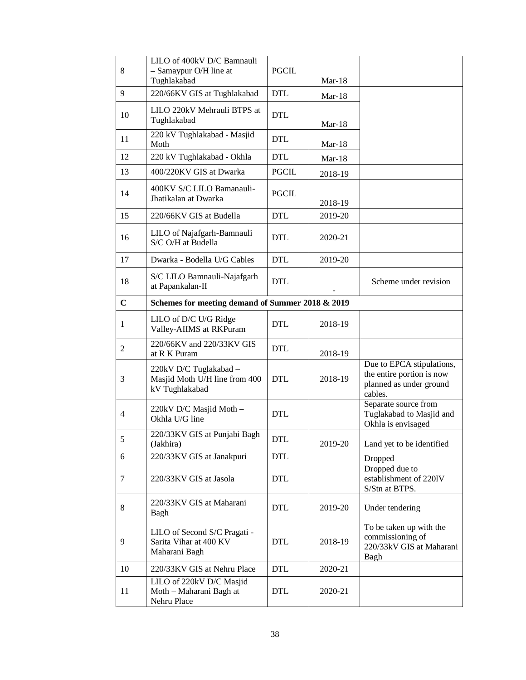| 8              | LILO of 400kV D/C Bamnauli<br>- Samaypur O/H line at<br>Tughlakabad       | <b>PGCIL</b> | $Mar-18$ |                                                                                              |
|----------------|---------------------------------------------------------------------------|--------------|----------|----------------------------------------------------------------------------------------------|
| 9              | 220/66KV GIS at Tughlakabad                                               | <b>DTL</b>   | $Mar-18$ |                                                                                              |
| 10             | LILO 220kV Mehrauli BTPS at<br>Tughlakabad                                | <b>DTL</b>   | $Mar-18$ |                                                                                              |
| 11             | 220 kV Tughlakabad - Masjid<br>Moth                                       | <b>DTL</b>   | $Mar-18$ |                                                                                              |
| 12             | 220 kV Tughlakabad - Okhla                                                | <b>DTL</b>   | $Mar-18$ |                                                                                              |
| 13             | 400/220KV GIS at Dwarka                                                   | <b>PGCIL</b> | 2018-19  |                                                                                              |
| 14             | 400KV S/C LILO Bamanauli-<br>Jhatikalan at Dwarka                         | <b>PGCIL</b> | 2018-19  |                                                                                              |
| 15             | 220/66KV GIS at Budella                                                   | <b>DTL</b>   | 2019-20  |                                                                                              |
| 16             | LILO of Najafgarh-Bamnauli<br>S/C O/H at Budella                          | <b>DTL</b>   | 2020-21  |                                                                                              |
| 17             | Dwarka - Bodella U/G Cables                                               | <b>DTL</b>   | 2019-20  |                                                                                              |
| 18             | S/C LILO Bamnauli-Najafgarh<br>at Papankalan-II                           | <b>DTL</b>   |          | Scheme under revision                                                                        |
| $\mathbf C$    | Schemes for meeting demand of Summer 2018 & 2019                          |              |          |                                                                                              |
| 1              | LILO of D/C U/G Ridge<br>Valley-AIIMS at RKPuram                          | <b>DTL</b>   | 2018-19  |                                                                                              |
| $\overline{2}$ | 220/66KV and 220/33KV GIS<br>at R K Puram                                 | <b>DTL</b>   | 2018-19  |                                                                                              |
| 3              | 220kV D/C Tuglakabad -<br>Masjid Moth U/H line from 400<br>kV Tughlakabad | <b>DTL</b>   | 2018-19  | Due to EPCA stipulations,<br>the entire portion is now<br>planned as under ground<br>cables. |
| 4              | 220kV D/C Masjid Moth -<br>Okhla U/G line                                 | <b>DTL</b>   |          | Separate source from<br>Tuglakabad to Masjid and<br>Okhla is envisaged                       |
| 5              | 220/33KV GIS at Punjabi Bagh<br>(Jakhira)                                 | <b>DTL</b>   | 2019-20  | Land yet to be identified                                                                    |
| 6              | 220/33KV GIS at Janakpuri                                                 | <b>DTL</b>   |          | Dropped                                                                                      |
| 7              | 220/33KV GIS at Jasola                                                    | <b>DTL</b>   |          | Dropped due to<br>establishment of 2201V<br>S/Stn at BTPS.                                   |
| 8              | 220/33KV GIS at Maharani<br>Bagh                                          | <b>DTL</b>   | 2019-20  | Under tendering                                                                              |
| 9              | LILO of Second S/C Pragati -<br>Sarita Vihar at 400 KV<br>Maharani Bagh   | <b>DTL</b>   | 2018-19  | To be taken up with the<br>commissioning of<br>220/33kV GIS at Maharani<br>Bagh              |
| 10             | 220/33KV GIS at Nehru Place                                               | <b>DTL</b>   | 2020-21  |                                                                                              |
| 11             | LILO of 220kV D/C Masjid<br>Moth - Maharani Bagh at<br>Nehru Place        | DTL          | 2020-21  |                                                                                              |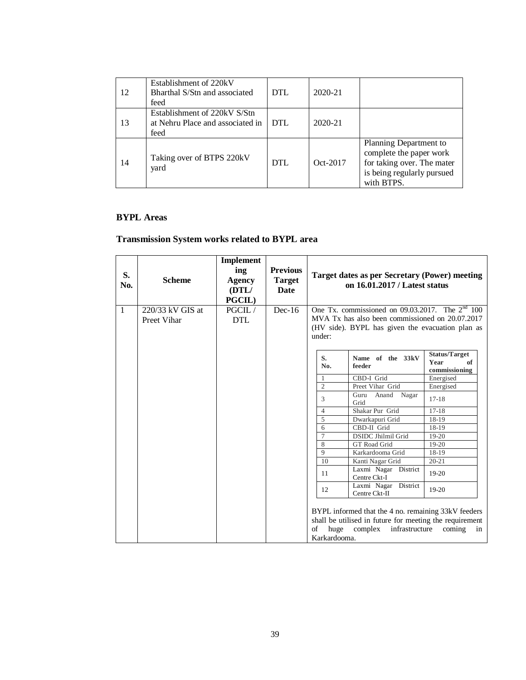| 12 | Establishment of 220kV<br>Bharthal S/Stn and associated<br>feed          | <b>DTL</b> | 2020-21  |                                                                                                                             |
|----|--------------------------------------------------------------------------|------------|----------|-----------------------------------------------------------------------------------------------------------------------------|
| 13 | Establishment of 220kV S/Stn<br>at Nehru Place and associated in<br>feed | DTL        | 2020-21  |                                                                                                                             |
| 14 | Taking over of BTPS 220kV<br>yard                                        | <b>DTL</b> | Oct-2017 | Planning Department to<br>complete the paper work<br>for taking over. The mater<br>is being regularly pursued<br>with BTPS. |

# **BYPL Areas**

# **Transmission System works related to BYPL area**

| S.<br>No.    | <b>Scheme</b>                     | Implement<br>ing<br>Agency<br>(DTL/<br><b>PGCIL</b> ) | <b>Previous</b><br><b>Target</b><br><b>Date</b> |                            | Target dates as per Secretary (Power) meeting<br>on 16.01.2017 / Latest status                                                                           |                                                     |
|--------------|-----------------------------------|-------------------------------------------------------|-------------------------------------------------|----------------------------|----------------------------------------------------------------------------------------------------------------------------------------------------------|-----------------------------------------------------|
| $\mathbf{1}$ | $220/33$ kV GIS at<br>Preet Vihar | PGCIL/<br><b>DTL</b>                                  | $Dec-16$                                        | under:                     | One Tx. commissioned on 09.03.2017. The $2nd$ 100<br>MVA Tx has also been commissioned on 20.07.2017<br>(HV side). BYPL has given the evacuation plan as |                                                     |
|              |                                   |                                                       |                                                 | S.<br>No.                  | Name of the 33kV<br>feeder                                                                                                                               | <b>Status/Target</b><br>of<br>Year<br>commissioning |
|              |                                   |                                                       |                                                 | $\mathbf{1}$               | CBD-I Grid                                                                                                                                               | Energised                                           |
|              |                                   |                                                       |                                                 | $\mathfrak{2}$             | Preet Vihar Grid                                                                                                                                         | Energised                                           |
|              |                                   |                                                       |                                                 | 3                          | Guru<br>Anand<br>Nagar<br>Grid                                                                                                                           | $17-18$                                             |
|              |                                   |                                                       |                                                 | $\overline{4}$             | Shakar Pur Grid                                                                                                                                          | $17-18$                                             |
|              |                                   |                                                       |                                                 | $\overline{5}$             | Dwarkapuri Grid                                                                                                                                          | 18-19                                               |
|              |                                   |                                                       |                                                 | 6                          | CBD-II Grid                                                                                                                                              | 18-19                                               |
|              |                                   |                                                       |                                                 | $\overline{7}$             | <b>DSIDC Jhilmil Grid</b>                                                                                                                                | $19-20$                                             |
|              |                                   |                                                       |                                                 | 8                          | GT Road Grid                                                                                                                                             | $19-20$                                             |
|              |                                   |                                                       |                                                 | 9                          | Karkardooma Grid                                                                                                                                         | 18-19                                               |
|              |                                   |                                                       |                                                 | 10                         | Kanti Nagar Grid                                                                                                                                         | $20 - 21$                                           |
|              |                                   |                                                       |                                                 | 11                         | Laxmi Nagar District<br>Centre Ckt-I                                                                                                                     | $19-20$                                             |
|              |                                   |                                                       |                                                 | 12                         | Laxmi Nagar District<br>Centre Ckt-II                                                                                                                    | 19-20                                               |
|              |                                   |                                                       |                                                 | huge<br>of<br>Karkardooma. | BYPL informed that the 4 no. remaining 33kV feeders<br>shall be utilised in future for meeting the requirement<br>complex<br>infrastructure              | coming<br>in                                        |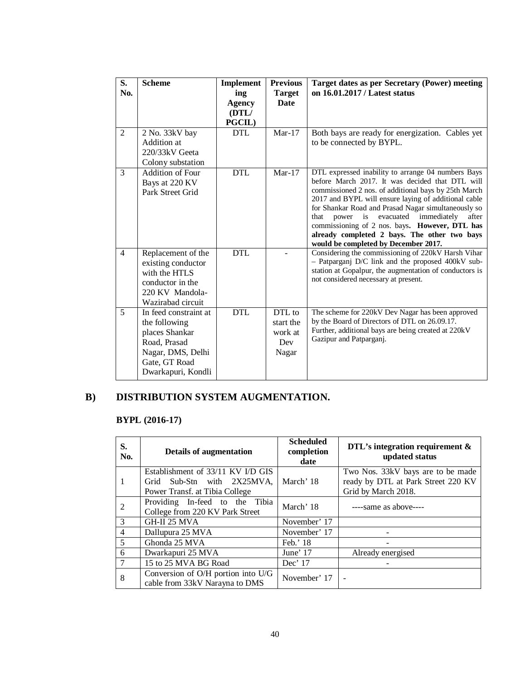| S.<br>No.      | <b>Scheme</b>                                                                                                                        | Implement<br>ing<br><b>Agency</b><br>(DTL/<br>PGCIL) | <b>Previous</b><br><b>Target</b><br>Date       | <b>Target dates as per Secretary (Power) meeting</b><br>on 16.01.2017 / Latest status                                                                                                                                                                                                                                                                                                                                                                                     |
|----------------|--------------------------------------------------------------------------------------------------------------------------------------|------------------------------------------------------|------------------------------------------------|---------------------------------------------------------------------------------------------------------------------------------------------------------------------------------------------------------------------------------------------------------------------------------------------------------------------------------------------------------------------------------------------------------------------------------------------------------------------------|
| $\overline{2}$ | 2 No. 33kV bay<br>Addition at<br>$220/33kV$ Geeta<br>Colony substation                                                               | <b>DTL</b>                                           | $Mar-17$                                       | Both bays are ready for energization. Cables yet<br>to be connected by BYPL.                                                                                                                                                                                                                                                                                                                                                                                              |
| 3              | Addition of Four<br>Bays at 220 KV<br>Park Street Grid                                                                               | <b>DTL</b>                                           | $Mar-17$                                       | DTL expressed inability to arrange 04 numbers Bays<br>before March 2017. It was decided that DTL will<br>commissioned 2 nos. of additional bays by 25th March<br>2017 and BYPL will ensure laying of additional cable<br>for Shankar Road and Prasad Nagar simultaneously so<br>power is evacuated immediately<br>that<br>after<br>commissioning of 2 nos. bays. However, DTL has<br>already completed 2 bays. The other two bays<br>would be completed by December 2017. |
| $\overline{4}$ | Replacement of the<br>existing conductor<br>with the HTLS<br>conductor in the<br>220 KV Mandola-<br>Wazirabad circuit                | <b>DTL</b>                                           |                                                | Considering the commissioning of 220kV Harsh Vihar<br>- Patparganj D/C link and the proposed 400kV sub-<br>station at Gopalpur, the augmentation of conductors is<br>not considered necessary at present.                                                                                                                                                                                                                                                                 |
| 5              | In feed constraint at<br>the following<br>places Shankar<br>Road, Prasad<br>Nagar, DMS, Delhi<br>Gate, GT Road<br>Dwarkapuri, Kondli | <b>DTL</b>                                           | DTL to<br>start the<br>work at<br>Dev<br>Nagar | The scheme for 220kV Dev Nagar has been approved<br>by the Board of Directors of DTL on 26.09.17.<br>Further, additional bays are being created at 220kV<br>Gazipur and Patparganj.                                                                                                                                                                                                                                                                                       |

# **B) DISTRIBUTION SYSTEM AUGMENTATION.**

# **BYPL (2016-17)**

| S.<br>No.      | Details of augmentation                                                  | <b>Scheduled</b><br>completion<br>date | DTL's integration requirement $\&$<br>updated status      |
|----------------|--------------------------------------------------------------------------|----------------------------------------|-----------------------------------------------------------|
|                | Establishment of 33/11 KV I/D GIS                                        |                                        | Two Nos. 33kV bays are to be made                         |
| -1             | Grid Sub-Stn with 2X25MVA.<br>Power Transf. at Tibia College             | March' 18                              | ready by DTL at Park Street 220 KV<br>Grid by March 2018. |
| 2              | Providing In-feed to the Tibia<br>College from 220 KV Park Street        | March' 18                              | $---$ same as above $---$                                 |
| 3              | GH-II 25 MVA                                                             | November' 17                           |                                                           |
| $\overline{4}$ | Dallupura 25 MVA                                                         | November' 17                           |                                                           |
| 5              | Ghonda 25 MVA                                                            | Feb.' 18                               |                                                           |
| 6              | Dwarkapuri 25 MVA                                                        | June' $17$                             | Already energised                                         |
|                | 15 to 25 MVA BG Road                                                     | Dec' 17                                |                                                           |
| 8              | Conversion of $O/H$ portion into $U/G$<br>cable from 33kV Narayna to DMS | November' 17                           |                                                           |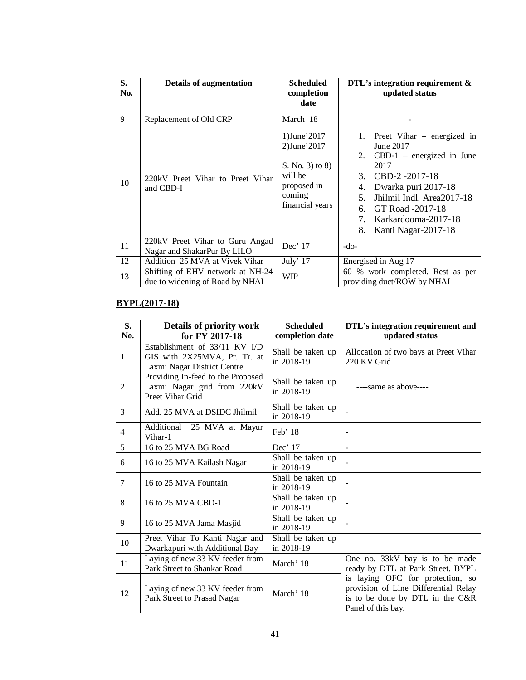| S.<br>No. | <b>Details of augmentation</b>                                      | <b>Scheduled</b><br>completion<br>date                                                               | DTL's integration requirement $\&$<br>updated status                                                                                                                                                                                                                    |
|-----------|---------------------------------------------------------------------|------------------------------------------------------------------------------------------------------|-------------------------------------------------------------------------------------------------------------------------------------------------------------------------------------------------------------------------------------------------------------------------|
| 9         | Replacement of Old CRP                                              | March 18                                                                                             |                                                                                                                                                                                                                                                                         |
| 10        | 220 kV Preet Vihar to Preet Vihar<br>and CBD-I                      | 1)June'2017<br>2)June'2017<br>S. No. 3) to 8)<br>will be<br>proposed in<br>coming<br>financial years | Preet Vihar $-$ energized in<br>1.<br>June 2017<br>$CBD-1$ – energized in June<br>2.<br>2017<br>CBD-2-2017-18<br>3.<br>Dwarka puri 2017-18<br>4.<br>Jhilmil Indl. Area2017-18<br>5.<br>GT Road -2017-18<br>б.<br>Karkardooma-2017-18<br>7.<br>Kanti Nagar-2017-18<br>8. |
| 11        | 220kV Preet Vihar to Guru Angad<br>Nagar and ShakarPur By LILO      | Dec' 17                                                                                              | $-do-$                                                                                                                                                                                                                                                                  |
| 12        | Addition 25 MVA at Vivek Vihar                                      | July' 17                                                                                             | Energised in Aug 17                                                                                                                                                                                                                                                     |
| 13        | Shifting of EHV network at NH-24<br>due to widening of Road by NHAI | WIP                                                                                                  | 60 % work completed. Rest as per<br>providing duct/ROW by NHAI                                                                                                                                                                                                          |

# **BYPL(2017-18)**

| S.<br>No.      | Details of priority work<br>for FY 2017-18                                                   | <b>Scheduled</b><br>completion date | DTL's integration requirement and<br>updated status                                                                               |
|----------------|----------------------------------------------------------------------------------------------|-------------------------------------|-----------------------------------------------------------------------------------------------------------------------------------|
| $\mathbf{1}$   | Establishment of 33/11 KV I/D<br>GIS with 2X25MVA, Pr. Tr. at<br>Laxmi Nagar District Centre | Shall be taken up<br>in 2018-19     | Allocation of two bays at Preet Vihar<br>220 KV Grid                                                                              |
| 2              | Providing In-feed to the Proposed<br>Laxmi Nagar grid from 220kV<br>Preet Vihar Grid         | Shall be taken up<br>in 2018-19     | $---$ same as above $---$                                                                                                         |
| 3              | Add. 25 MVA at DSIDC Jhilmil                                                                 | Shall be taken up<br>in 2018-19     |                                                                                                                                   |
| $\overline{4}$ | Additional 25 MVA at Mayur<br>Vihar-1                                                        | Feb' $18$                           |                                                                                                                                   |
| 5              | 16 to 25 MVA BG Road                                                                         | Dec' 17                             |                                                                                                                                   |
| 6              | 16 to 25 MVA Kailash Nagar                                                                   | Shall be taken up<br>in 2018-19     |                                                                                                                                   |
| 7              | 16 to 25 MVA Fountain                                                                        | Shall be taken up<br>in 2018-19     |                                                                                                                                   |
| 8              | 16 to 25 MVA CBD-1                                                                           | Shall be taken up<br>in 2018-19     |                                                                                                                                   |
| 9              | 16 to 25 MVA Jama Masjid                                                                     | Shall be taken up<br>in 2018-19     |                                                                                                                                   |
| 10             | Preet Vihar To Kanti Nagar and<br>Dwarkapuri with Additional Bay                             | Shall be taken up<br>in 2018-19     |                                                                                                                                   |
| 11             | Laying of new 33 KV feeder from<br>Park Street to Shankar Road                               | March' 18                           | One no. 33kV bay is to be made<br>ready by DTL at Park Street. BYPL                                                               |
| 12             | Laying of new 33 KV feeder from<br>Park Street to Prasad Nagar                               | March' 18                           | is laying OFC for protection, so<br>provision of Line Differential Relay<br>is to be done by DTL in the C&R<br>Panel of this bay. |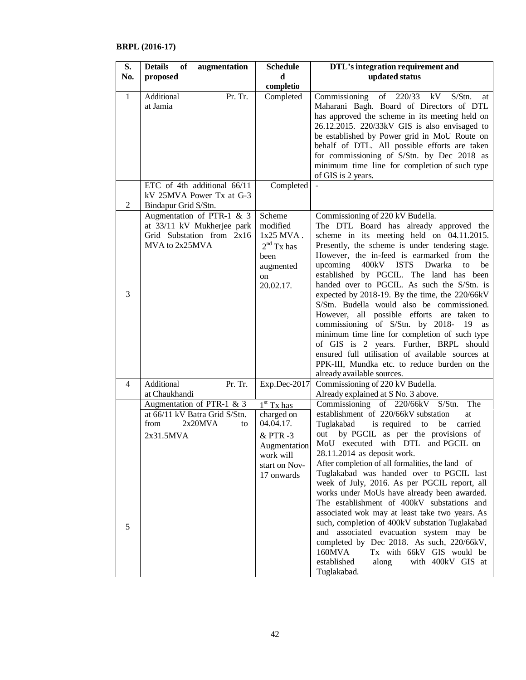# **BRPL (2016-17)**

| S.             | <b>Details</b><br>of<br>augmentation                                                                   | <b>Schedule</b>                                                                                                | DTL's integration requirement and                                                                                                                                                                                                                                                                                                                                                                                                                                                                                                                                                                                                                                                                                                                                                                    |
|----------------|--------------------------------------------------------------------------------------------------------|----------------------------------------------------------------------------------------------------------------|------------------------------------------------------------------------------------------------------------------------------------------------------------------------------------------------------------------------------------------------------------------------------------------------------------------------------------------------------------------------------------------------------------------------------------------------------------------------------------------------------------------------------------------------------------------------------------------------------------------------------------------------------------------------------------------------------------------------------------------------------------------------------------------------------|
| No.            | proposed                                                                                               | d                                                                                                              | updated status                                                                                                                                                                                                                                                                                                                                                                                                                                                                                                                                                                                                                                                                                                                                                                                       |
|                |                                                                                                        | completio                                                                                                      |                                                                                                                                                                                                                                                                                                                                                                                                                                                                                                                                                                                                                                                                                                                                                                                                      |
| $\mathbf{1}$   | Additional<br>Pr. Tr.<br>at Jamia                                                                      | Completed                                                                                                      | Commissioning of 220/33 kV S/Stn.<br>at<br>Maharani Bagh. Board of Directors of DTL<br>has approved the scheme in its meeting held on<br>26.12.2015. 220/33kV GIS is also envisaged to<br>be established by Power grid in MoU Route on<br>behalf of DTL. All possible efforts are taken<br>for commissioning of S/Stn. by Dec 2018 as<br>minimum time line for completion of such type<br>of GIS is 2 years.                                                                                                                                                                                                                                                                                                                                                                                         |
|                | ETC of 4th additional 66/11                                                                            | Completed                                                                                                      |                                                                                                                                                                                                                                                                                                                                                                                                                                                                                                                                                                                                                                                                                                                                                                                                      |
| 2              | kV 25MVA Power Tx at G-3<br>Bindapur Grid S/Stn.                                                       |                                                                                                                |                                                                                                                                                                                                                                                                                                                                                                                                                                                                                                                                                                                                                                                                                                                                                                                                      |
| 3              | Augmentation of PTR-1 & 3<br>at 33/11 kV Mukherjee park<br>Grid Substation from 2x16<br>MVA to 2x25MVA | Scheme<br>modified<br>1x25 MVA.<br>$2nd$ Tx has<br>been<br>augmented<br><sub>on</sub><br>20.02.17.             | Commissioning of 220 kV Budella.<br>The DTL Board has already approved the<br>scheme in its meeting held on 04.11.2015.<br>Presently, the scheme is under tendering stage.<br>However, the in-feed is earmarked from the<br>upcoming 400kV ISTS Dwarka<br>to<br>be<br>established by PGCIL. The land has been<br>handed over to PGCIL. As such the S/Stn. is<br>expected by 2018-19. By the time, the 220/66kV<br>S/Stn. Budella would also be commissioned.<br>However, all possible efforts are taken to<br>commissioning of S/Stn. by 2018-19<br>as<br>minimum time line for completion of such type<br>of GIS is 2 years. Further, BRPL should<br>ensured full utilisation of available sources at<br>PPK-III, Mundka etc. to reduce burden on the<br>already available sources.                 |
| $\overline{4}$ | Additional<br>Pr. Tr.<br>at Chaukhandi                                                                 | Exp.Dec-2017                                                                                                   | Commissioning of 220 kV Budella.<br>Already explained at S No. 3 above.                                                                                                                                                                                                                                                                                                                                                                                                                                                                                                                                                                                                                                                                                                                              |
| 5              | Augmentation of PTR-1 $&$ 3<br>at 66/11 kV Batra Grid S/Stn.<br>2x20MVA<br>from<br>to<br>2x31.5MVA     | $1st$ Tx has<br>charged on<br>04.04.17.<br>& PTR-3<br>Augmentation<br>work will<br>start on Nov-<br>17 onwards | Commissioning of 220/66kV S/Stn.<br>The<br>establishment of 220/66kV substation<br>at<br>Tuglakabad<br>is required to<br>be<br>carried<br>by PGCIL as per the provisions of<br>out<br>MoU executed with DTL and PGCIL on<br>28.11.2014 as deposit work.<br>After completion of all formalities, the land of<br>Tuglakabad was handed over to PGCIL last<br>week of July, 2016. As per PGCIL report, all<br>works under MoUs have already been awarded.<br>The establishment of 400kV substations and<br>associated wok may at least take two years. As<br>such, completion of 400kV substation Tuglakabad<br>and associated evacuation system may be<br>completed by Dec 2018. As such, 220/66kV,<br>160MVA<br>Tx with 66kV GIS would be<br>established<br>with 400kV GIS at<br>along<br>Tuglakabad. |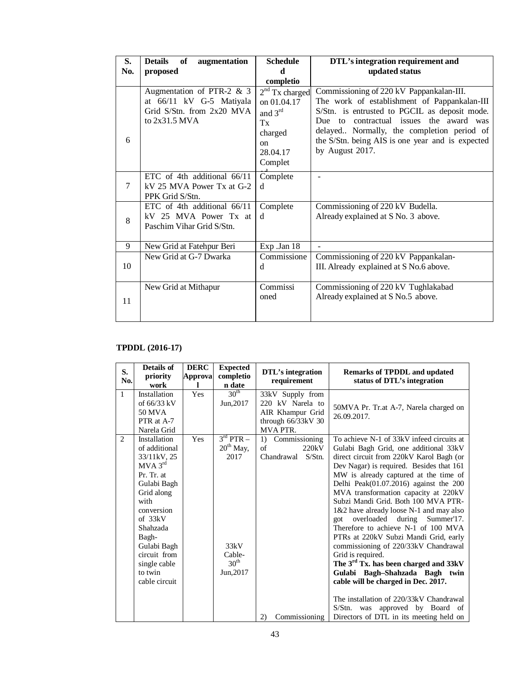| S.<br>No. | <b>Details</b><br>of<br>augmentation<br>proposed                                                      | <b>Schedule</b><br>d                                                                                | DTL's integration requirement and<br>updated status                                                                                                                                                                                                                                                       |
|-----------|-------------------------------------------------------------------------------------------------------|-----------------------------------------------------------------------------------------------------|-----------------------------------------------------------------------------------------------------------------------------------------------------------------------------------------------------------------------------------------------------------------------------------------------------------|
|           |                                                                                                       | completio                                                                                           |                                                                                                                                                                                                                                                                                                           |
| 6         | Augmentation of PTR-2 $& 3$<br>at 66/11 kV G-5 Matiyala<br>Grid S/Stn. from 2x20 MVA<br>to 2x31.5 MVA | $2nd$ Tx charged<br>on 01.04.17<br>and 3rd<br>Tx<br>charged<br><sub>on</sub><br>28.04.17<br>Complet | Commissioning of 220 kV Pappankalan-III.<br>The work of establishment of Pappankalan-III<br>S/Stn. is entrusted to PGCIL as deposit mode.<br>Due to contractual issues the award was<br>delayed Normally, the completion period of<br>the S/Stn. being AIS is one year and is expected<br>by August 2017. |
| 7         | ETC of 4th additional 66/11<br>kV 25 MVA Power Tx at G-2<br>PPK Grid S/Stn.                           | Complete<br>d                                                                                       |                                                                                                                                                                                                                                                                                                           |
| 8         | ETC of 4th additional 66/11<br>kV 25 MVA Power Tx at<br>Paschim Vihar Grid S/Stn.                     | Complete<br><sub>d</sub>                                                                            | Commissioning of 220 kV Budella.<br>Already explained at S No. 3 above.                                                                                                                                                                                                                                   |
| 9         | New Grid at Fatehpur Beri                                                                             | Exp.Jan 18                                                                                          |                                                                                                                                                                                                                                                                                                           |
| 10        | New Grid at G-7 Dwarka                                                                                | Commissione<br>d                                                                                    | Commissioning of 220 kV Pappankalan-<br>III. Already explained at S No.6 above.                                                                                                                                                                                                                           |
| 11        | New Grid at Mithapur                                                                                  | Commissi<br>oned                                                                                    | Commissioning of 220 kV Tughlakabad<br>Already explained at S No.5 above.                                                                                                                                                                                                                                 |

# **TPDDL (2016-17)**

| S.<br>No.      | <b>Details of</b><br>priority<br>work                                                                                                                                                                                                     | <b>DERC</b><br>Approva | <b>Expected</b><br>completio<br>n date                                                  | DTL's integration<br>requirement                                                             | <b>Remarks of TPDDL and updated</b><br>status of DTL's integration                                                                                                                                                                                                                                                                                                                                                                                                                                                                                                                                                                                                                                                                                                                                                                    |
|----------------|-------------------------------------------------------------------------------------------------------------------------------------------------------------------------------------------------------------------------------------------|------------------------|-----------------------------------------------------------------------------------------|----------------------------------------------------------------------------------------------|---------------------------------------------------------------------------------------------------------------------------------------------------------------------------------------------------------------------------------------------------------------------------------------------------------------------------------------------------------------------------------------------------------------------------------------------------------------------------------------------------------------------------------------------------------------------------------------------------------------------------------------------------------------------------------------------------------------------------------------------------------------------------------------------------------------------------------------|
| $\mathbf{1}$   | Installation<br>of $66/33$ kV<br>50 MVA<br>PTR at A-7<br>Narela Grid                                                                                                                                                                      | Yes                    | 30 <sup>th</sup><br>Jun, 2017                                                           | 33kV Supply from<br>220 kV Narela to<br>AIR Khampur Grid<br>through 66/33kV 30<br>MVA PTR.   | 50MVA Pr. Tr.at A-7, Narela charged on<br>26.09.2017.                                                                                                                                                                                                                                                                                                                                                                                                                                                                                                                                                                                                                                                                                                                                                                                 |
| $\overline{2}$ | Installation<br>of additional<br>33/11kV, 25<br>$MVA$ $3rd$<br>Pr. Tr. at<br>Gulabi Bagh<br>Grid along<br>with<br>conversion<br>of $33kV$<br>Shahzada<br>Bagh-<br>Gulabi Bagh<br>circuit from<br>single cable<br>to twin<br>cable circuit | Yes                    | $3rd$ PTR $-$<br>$20th$ May,<br>2017<br>33kV<br>Cable-<br>30 <sup>th</sup><br>Jun, 2017 | Commissioning<br>1)<br>$\sigma$ f<br>220kV<br>Chandrawal<br>$S/S$ tn.<br>2)<br>Commissioning | To achieve N-1 of 33kV infeed circuits at<br>Gulabi Bagh Grid, one additional 33kV<br>direct circuit from 220kV Karol Bagh (or<br>Dev Nagar) is required. Besides that 161<br>MW is already captured at the time of<br>Delhi Peak $(01.07.2016)$ against the 200<br>MVA transformation capacity at 220kV<br>Subzi Mandi Grid. Both 100 MVA PTR-<br>1&2 have already loose N-1 and may also<br>got overloaded during<br>Summer'17.<br>Therefore to achieve N-1 of 100 MVA<br>PTRs at 220kV Subzi Mandi Grid, early<br>commissioning of 220/33kV Chandrawal<br>Grid is required.<br>The 3 <sup>rd</sup> Tx. has been charged and 33kV<br>Gulabi Bagh-Shahzada Bagh twin<br>cable will be charged in Dec. 2017.<br>The installation of 220/33kV Chandrawal<br>S/Stn. was approved by Board of<br>Directors of DTL in its meeting held on |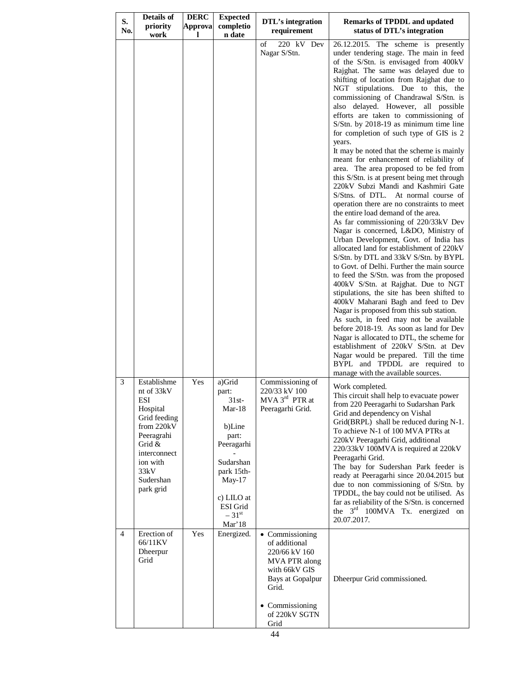| S.<br>No. | <b>Details of</b><br>priority<br>work                                                                                                                            | <b>DERC</b><br>Approva<br>L | <b>Expected</b><br>completio<br>n date                                                                                                                                | <b>DTL's integration</b><br>requirement                                                                                                                      | <b>Remarks of TPDDL and updated</b><br>status of DTL's integration                                                                                                                                                                                                                                                                                                                                                                                                                                                                                                                                                                                                                                                                                                                                                                                                                                                                                                                                                                                                                                                                                                                                                                                                                                                                                                                                                                                                                                                                                                                                         |
|-----------|------------------------------------------------------------------------------------------------------------------------------------------------------------------|-----------------------------|-----------------------------------------------------------------------------------------------------------------------------------------------------------------------|--------------------------------------------------------------------------------------------------------------------------------------------------------------|------------------------------------------------------------------------------------------------------------------------------------------------------------------------------------------------------------------------------------------------------------------------------------------------------------------------------------------------------------------------------------------------------------------------------------------------------------------------------------------------------------------------------------------------------------------------------------------------------------------------------------------------------------------------------------------------------------------------------------------------------------------------------------------------------------------------------------------------------------------------------------------------------------------------------------------------------------------------------------------------------------------------------------------------------------------------------------------------------------------------------------------------------------------------------------------------------------------------------------------------------------------------------------------------------------------------------------------------------------------------------------------------------------------------------------------------------------------------------------------------------------------------------------------------------------------------------------------------------------|
|           |                                                                                                                                                                  |                             |                                                                                                                                                                       | 220 kV Dev<br>of<br>Nagar S/Stn.                                                                                                                             | 26.12.2015. The scheme is presently<br>under tendering stage. The main in feed<br>of the S/Stn. is envisaged from 400kV<br>Rajghat. The same was delayed due to<br>shifting of location from Rajghat due to<br>NGT stipulations. Due to this, the<br>commissioning of Chandrawal S/Stn. is<br>also delayed. However, all possible<br>efforts are taken to commissioning of<br>S/Stn. by 2018-19 as minimum time line<br>for completion of such type of GIS is 2<br>years.<br>It may be noted that the scheme is mainly<br>meant for enhancement of reliability of<br>area. The area proposed to be fed from<br>this S/Stn. is at present being met through<br>220kV Subzi Mandi and Kashmiri Gate<br>S/Stns. of DTL. At normal course of<br>operation there are no constraints to meet<br>the entire load demand of the area.<br>As far commissioning of 220/33kV Dev<br>Nagar is concerned, L&DO, Ministry of<br>Urban Development, Govt. of India has<br>allocated land for establishment of 220kV<br>S/Stn. by DTL and 33kV S/Stn. by BYPL<br>to Govt. of Delhi. Further the main source<br>to feed the S/Stn. was from the proposed<br>400kV S/Stn. at Rajghat. Due to NGT<br>stipulations, the site has been shifted to<br>400kV Maharani Bagh and feed to Dev<br>Nagar is proposed from this sub station.<br>As such, in feed may not be available<br>before 2018-19. As soon as land for Dev<br>Nagar is allocated to DTL, the scheme for<br>establishment of 220kV S/Stn. at Dev<br>Nagar would be prepared. Till the time<br>BYPL and TPDDL are required to<br>manage with the available sources. |
| 3         | Establishme<br>nt of 33kV<br>ESI<br>Hospital<br>Grid feeding<br>from 220kV<br>Peeragrahi<br>Grid &<br>interconnect<br>ion with<br>33kV<br>Sudershan<br>park grid | Yes                         | a)Grid<br>part:<br>31st-<br>$Mar-18$<br>b)Line<br>part:<br>Peeragarhi<br>Sudarshan<br>park 15th-<br>May-17<br>c) LILO at<br>ESI Grid<br>$-31$ <sup>st</sup><br>Mar'18 | Commissioning of<br>220/33 kV 100<br>$MVA$ $3rd$ PTR at<br>Peeragarhi Grid.                                                                                  | Work completed.<br>This circuit shall help to evacuate power<br>from 220 Peeragarhi to Sudarshan Park<br>Grid and dependency on Vishal<br>Grid(BRPL) shall be reduced during N-1.<br>To achieve N-1 of 100 MVA PTRs at<br>220kV Peeragarhi Grid, additional<br>220/33kV 100MVA is required at 220kV<br>Peeragarhi Grid.<br>The bay for Sudershan Park feeder is<br>ready at Peeragarhi since 20.04.2015 but<br>due to non commissioning of S/Stn. by<br>TPDDL, the bay could not be utilised. As<br>far as reliability of the S/Stn. is concerned<br>the 3 <sup>rd</sup> 100MVA Tx. energized on<br>20.07.2017.                                                                                                                                                                                                                                                                                                                                                                                                                                                                                                                                                                                                                                                                                                                                                                                                                                                                                                                                                                                            |
| 4         | Erection of<br>66/11KV<br>Dheerpur<br>Grid                                                                                                                       | Yes                         | Energized.                                                                                                                                                            | • Commissioning<br>of additional<br>220/66 kV 160<br>MVA PTR along<br>with 66kV GIS<br>Bays at Gopalpur<br>Grid.<br>• Commissioning<br>of 220kV SGTN<br>Grid | Dheerpur Grid commissioned.                                                                                                                                                                                                                                                                                                                                                                                                                                                                                                                                                                                                                                                                                                                                                                                                                                                                                                                                                                                                                                                                                                                                                                                                                                                                                                                                                                                                                                                                                                                                                                                |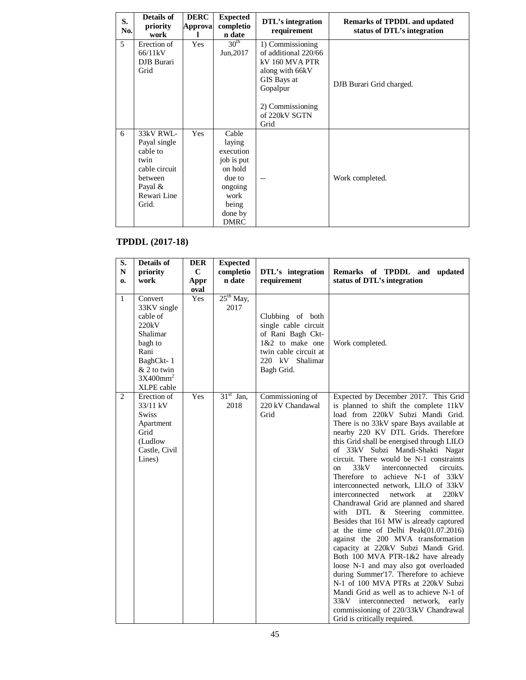| S.<br>No. | Details of<br>priority<br>work                                                                                  | <b>DERC</b><br>Approva | <b>Expected</b><br>completio<br>n date                                                                                | DTL's integration<br>requirement                                                                                                                      | <b>Remarks of TPDDL and updated</b><br>status of DTL's integration |
|-----------|-----------------------------------------------------------------------------------------------------------------|------------------------|-----------------------------------------------------------------------------------------------------------------------|-------------------------------------------------------------------------------------------------------------------------------------------------------|--------------------------------------------------------------------|
| 5         | Erection of<br>66/11kV<br>DJB Burari<br>Grid                                                                    | Yes                    | 30 <sup>th</sup><br>Jun, 2017                                                                                         | 1) Commissioning<br>of additional 220/66<br>kV 160 MVA PTR<br>along with 66kV<br>GIS Bays at<br>Gopalpur<br>2) Commissioning<br>of 220kV SGTN<br>Grid | DJB Burari Grid charged.                                           |
| 6         | 33kV RWL-<br>Payal single<br>cable to<br>twin<br>cable circuit<br>between<br>Payal $\&$<br>Rewari Line<br>Grid. | Yes                    | Cable<br>laying<br>execution<br>job is put<br>on hold<br>due to<br>ongoing<br>work<br>being<br>done by<br><b>DMRC</b> | $-$                                                                                                                                                   | Work completed.                                                    |

# **TPDDL (2017-18)**

| $\overline{\mathbf{S}}$ . | Details of                 | <b>DER</b>  | <b>Expected</b> |                               |                                                                                   |  |
|---------------------------|----------------------------|-------------|-----------------|-------------------------------|-----------------------------------------------------------------------------------|--|
| ${\bf N}$                 | priority                   | $\mathbf C$ | completio       | DTL's integration             | Remarks of TPDDL and updated                                                      |  |
| 0.                        | work                       | Appr        | n date          | requirement                   | status of DTL's integration                                                       |  |
|                           |                            | oval        |                 |                               |                                                                                   |  |
| $\mathbf{1}$              | Convert                    | Yes         | $25th$ May,     |                               |                                                                                   |  |
|                           | 33KV single                |             | 2017            |                               |                                                                                   |  |
|                           | cable of                   |             |                 | Clubbing of both              |                                                                                   |  |
|                           | 220kV                      |             |                 | single cable circuit          |                                                                                   |  |
|                           | Shalimar                   |             |                 | of Rani Bagh Ckt-             |                                                                                   |  |
|                           | bagh to                    |             |                 | 1&2 to make one               | Work completed.                                                                   |  |
|                           | Rani                       |             |                 | twin cable circuit at         |                                                                                   |  |
|                           | BaghCkt-1<br>$&$ 2 to twin |             |                 | 220 kV Shalimar<br>Bagh Grid. |                                                                                   |  |
|                           | 3X400mm <sup>2</sup>       |             |                 |                               |                                                                                   |  |
|                           | XLPE cable                 |             |                 |                               |                                                                                   |  |
| $\overline{2}$            | Erection of                | Yes         | $31st$ Jan,     | Commissioning of              | Expected by December 2017. This Grid                                              |  |
|                           | 33/11 kV                   |             | 2018            | 220 kV Chandawal              | is planned to shift the complete 11kV                                             |  |
|                           | <b>Swiss</b>               |             |                 | Grid                          | load from 220kV Subzi Mandi Grid.                                                 |  |
|                           | Apartment                  |             |                 |                               | There is no 33kV spare Bays available at                                          |  |
|                           | Grid                       |             |                 |                               | nearby 220 KV DTL Grids. Therefore                                                |  |
|                           | (Ludlow                    |             |                 |                               | this Grid shall be energised through LILO                                         |  |
|                           | Castle, Civil              |             |                 |                               | of 33kV Subzi Mandi-Shakti Nagar                                                  |  |
|                           | Lines)                     |             |                 |                               | circuit. There would be N-1 constraints                                           |  |
|                           |                            |             |                 |                               | 33kV<br>interconnected<br>circuits.<br>on                                         |  |
|                           |                            |             |                 |                               | Therefore to achieve N-1 of 33kV                                                  |  |
|                           |                            |             |                 |                               | interconnected network, LILO of 33kV                                              |  |
|                           |                            |             |                 |                               | interconnected<br>network<br>220kV<br>at                                          |  |
|                           |                            |             |                 |                               | Chandrawal Grid are planned and shared                                            |  |
|                           |                            |             |                 |                               | $&$ Steering<br>committee.<br>with DTL<br>Besides that 161 MW is already captured |  |
|                           |                            |             |                 |                               | at the time of Delhi Peak $(01.07.2016)$                                          |  |
|                           |                            |             |                 |                               | against the 200 MVA transformation                                                |  |
|                           |                            |             |                 |                               | capacity at 220kV Subzi Mandi Grid.                                               |  |
|                           |                            |             |                 |                               | Both 100 MVA PTR-1&2 have already                                                 |  |
|                           |                            |             |                 |                               | loose N-1 and may also got overloaded                                             |  |
|                           |                            |             |                 |                               | during Summer'17. Therefore to achieve                                            |  |
|                           |                            |             |                 |                               | N-1 of 100 MVA PTRs at 220kV Subzi                                                |  |
|                           |                            |             |                 |                               | Mandi Grid as well as to achieve N-1 of                                           |  |
|                           |                            |             |                 |                               | 33kV interconnected network,<br>early                                             |  |
|                           |                            |             |                 |                               | commissioning of 220/33kV Chandrawal                                              |  |
|                           |                            |             |                 |                               | Grid is critically required.                                                      |  |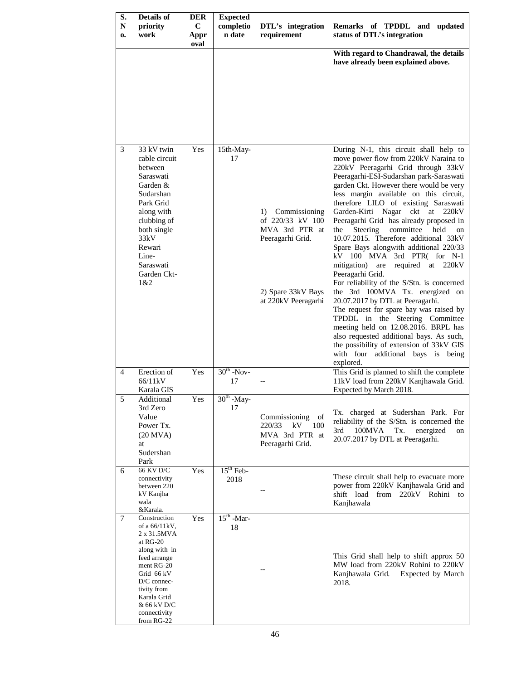| S.<br>$\mathbf N$<br>0. | Details of<br>priority<br>work                                                                                                                                                                                  | <b>DER</b><br>C<br>Appr<br>oval | <b>Expected</b><br>completio<br>n date | DTL's integration<br>requirement                                                                                           | Remarks of TPDDL and updated<br>status of DTL's integration                                                                                                                                                                                                                                                                                                                                                                                                                                                                                                                                                                                                                                                                                                                                                                                                                                                                                                                                   |
|-------------------------|-----------------------------------------------------------------------------------------------------------------------------------------------------------------------------------------------------------------|---------------------------------|----------------------------------------|----------------------------------------------------------------------------------------------------------------------------|-----------------------------------------------------------------------------------------------------------------------------------------------------------------------------------------------------------------------------------------------------------------------------------------------------------------------------------------------------------------------------------------------------------------------------------------------------------------------------------------------------------------------------------------------------------------------------------------------------------------------------------------------------------------------------------------------------------------------------------------------------------------------------------------------------------------------------------------------------------------------------------------------------------------------------------------------------------------------------------------------|
|                         |                                                                                                                                                                                                                 |                                 |                                        |                                                                                                                            | With regard to Chandrawal, the details<br>have already been explained above.                                                                                                                                                                                                                                                                                                                                                                                                                                                                                                                                                                                                                                                                                                                                                                                                                                                                                                                  |
| 3                       | 33 kV twin<br>cable circuit<br>between<br>Saraswati<br>Garden &<br>Sudarshan<br>Park Grid<br>along with<br>clubbing of<br>both single<br>33kV<br>Rewari<br>Line-<br>Saraswati<br>Garden Ckt-<br>1&2             | Yes                             | 15th-May-<br>17                        | Commissioning<br>1)<br>of 220/33 kV 100<br>MVA 3rd PTR at<br>Peeragarhi Grid.<br>2) Spare 33kV Bays<br>at 220kV Peeragarhi | During N-1, this circuit shall help to<br>move power flow from 220kV Naraina to<br>220kV Peeragarhi Grid through 33kV<br>Peeragarhi-ESI-Sudarshan park-Saraswati<br>garden Ckt. However there would be very<br>less margin available on this circuit,<br>therefore LILO of existing Saraswati<br>Garden-Kirti Nagar ckt at 220kV<br>Peeragarhi Grid has already proposed in<br>Steering<br>committee<br>held<br>the<br>on<br>10.07.2015. Therefore additional 33kV<br>Spare Bays alongwith additional 220/33<br>kV 100 MVA 3rd PTR( for N-1<br>mitigation) are<br>required at 220kV<br>Peeragarhi Grid.<br>For reliability of the S/Stn. is concerned<br>the 3rd 100MVA Tx. energized on<br>20.07.2017 by DTL at Peeragarhi.<br>The request for spare bay was raised by<br>TPDDL in the Steering Committee<br>meeting held on 12.08.2016. BRPL has<br>also requested additional bays. As such,<br>the possibility of extension of 33kV GIS<br>with four additional bays is being<br>explored. |
| $\overline{4}$          | Erection of<br>66/11kV<br>Karala GIS                                                                                                                                                                            | Yes                             | $30th$ -Nov-<br>17                     |                                                                                                                            | This Grid is planned to shift the complete<br>11kV load from 220kV Kanjhawala Grid.<br>Expected by March 2018.                                                                                                                                                                                                                                                                                                                                                                                                                                                                                                                                                                                                                                                                                                                                                                                                                                                                                |
| 5                       | Additional<br>3rd Zero<br>Value<br>Power Tx.<br>$(20$ MVA)<br>at<br>Sudershan<br>Park                                                                                                                           | Yes                             | $30th$ -May-<br>17                     | Commissioning<br>of<br>220/33<br>kV 100<br>MVA 3rd PTR at<br>Peeragarhi Grid.                                              | Tx. charged at Sudershan Park. For<br>reliability of the S/Stn. is concerned the<br>3rd<br>100MVA<br>Tx.<br>energized<br>on<br>20.07.2017 by DTL at Peeragarhi.                                                                                                                                                                                                                                                                                                                                                                                                                                                                                                                                                                                                                                                                                                                                                                                                                               |
| 6                       | 66 KV D/C<br>connectivity<br>between 220<br>kV Kanjha<br>wala<br>&Karala.                                                                                                                                       | Yes                             | $15th$ Feb-<br>2018                    |                                                                                                                            | These circuit shall help to evacuate more<br>power from 220kV Kanjhawala Grid and<br>shift load from 220kV Rohini<br>to<br>Kanjhawala                                                                                                                                                                                                                                                                                                                                                                                                                                                                                                                                                                                                                                                                                                                                                                                                                                                         |
| 7                       | Construction<br>of a 66/11kV,<br>2 x 31.5MVA<br>at RG-20<br>along with in<br>feed arrange<br>ment RG-20<br>Grid 66 kV<br>D/C connec-<br>tivity from<br>Karala Grid<br>& 66 kV D/C<br>connectivity<br>from RG-22 | Yes                             | $15th$ -Mar-<br>18                     |                                                                                                                            | This Grid shall help to shift approx 50<br>MW load from 220kV Rohini to 220kV<br>Kanjhawala Grid. Expected by March<br>2018.                                                                                                                                                                                                                                                                                                                                                                                                                                                                                                                                                                                                                                                                                                                                                                                                                                                                  |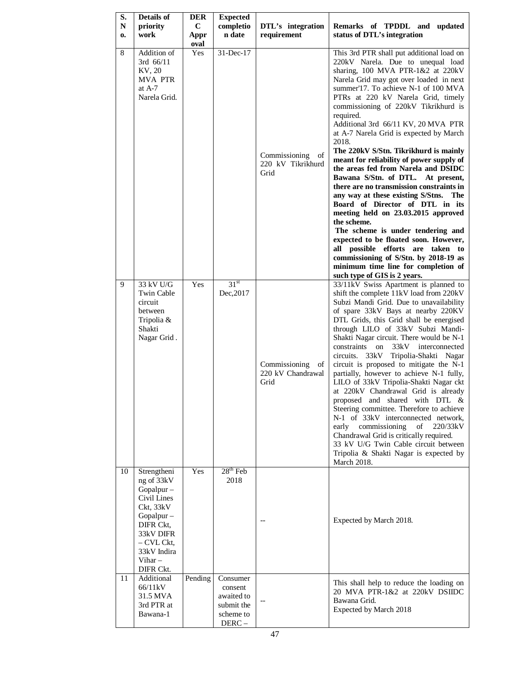| S.<br>${\bf N}$<br>0. | <b>Details of</b><br>priority<br>work                                                                                                                              | <b>DER</b><br>$\mathbf C$<br>Appr<br>oval | <b>Expected</b><br>completio<br>n date                                | DTL's integration<br>requirement                 | Remarks of TPDDL and updated<br>status of DTL's integration                                                                                                                                                                                                                                                                                                                                                                                                                                                                                                                                                                                                                                                                                                                                                                                                                                                                                                                       |
|-----------------------|--------------------------------------------------------------------------------------------------------------------------------------------------------------------|-------------------------------------------|-----------------------------------------------------------------------|--------------------------------------------------|-----------------------------------------------------------------------------------------------------------------------------------------------------------------------------------------------------------------------------------------------------------------------------------------------------------------------------------------------------------------------------------------------------------------------------------------------------------------------------------------------------------------------------------------------------------------------------------------------------------------------------------------------------------------------------------------------------------------------------------------------------------------------------------------------------------------------------------------------------------------------------------------------------------------------------------------------------------------------------------|
| 8                     | Addition of<br>3rd 66/11<br>KV, 20<br><b>MVA PTR</b><br>at $A-7$<br>Narela Grid.                                                                                   | Yes                                       | 31-Dec-17                                                             | Commissioning<br>of<br>220 kV Tikrikhurd<br>Grid | This 3rd PTR shall put additional load on<br>220kV Narela. Due to unequal load<br>sharing, $100$ MVA PTR- $1&220kV$<br>Narela Grid may got over loaded in next<br>summer'17. To achieve N-1 of 100 MVA<br>PTRs at 220 kV Narela Grid, timely<br>commissioning of 220kV Tikrikhurd is<br>required.<br>Additional 3rd 66/11 KV, 20 MVA PTR<br>at A-7 Narela Grid is expected by March<br>2018.<br>The 220kV S/Stn. Tikrikhurd is mainly<br>meant for reliability of power supply of<br>the areas fed from Narela and DSIDC<br>Bawana S/Stn. of DTL.<br>At present,<br>there are no transmission constraints in<br>any way at these existing S/Stns. The<br>Board of Director of DTL in its<br>meeting held on 23.03.2015 approved<br>the scheme.<br>The scheme is under tendering and<br>expected to be floated soon. However,<br>all possible efforts are taken to<br>commissioning of S/Stn. by 2018-19 as<br>minimum time line for completion of<br>such type of GIS is 2 years. |
| 9                     | 33 kV U/G<br>Twin Cable<br>circuit<br>between<br>Tripolia &<br>Shakti<br>Nagar Grid.                                                                               | Yes                                       | 31 <sup>st</sup><br>Dec, 2017                                         | Commissioning<br>of<br>220 kV Chandrawal<br>Grid | 33/11kV Swiss Apartment is planned to<br>shift the complete 11kV load from 220kV<br>Subzi Mandi Grid. Due to unavailability<br>of spare 33kV Bays at nearby 220KV<br>DTL Grids, this Grid shall be energised<br>through LILO of 33kV Subzi Mandi-<br>Shakti Nagar circuit. There would be N-1<br>constraints on 33kV interconnected<br>circuits. 33kV Tripolia-Shakti Nagar<br>circuit is proposed to mitigate the N-1<br>partially, however to achieve N-1 fully,<br>LILO of 33kV Tripolia-Shakti Nagar ckt<br>at 220kV Chandrawal Grid is already<br>proposed and shared with DTL &<br>Steering committee. Therefore to achieve<br>N-1 of 33kV interconnected network,<br>commissioning<br>220/33kV<br>early<br>of<br>Chandrawal Grid is critically required.<br>33 kV U/G Twin Cable circuit between<br>Tripolia & Shakti Nagar is expected by<br>March 2018.                                                                                                                  |
| 10                    | Strengtheni<br>ng of 33kV<br>Gopalpur -<br>Civil Lines<br>Ckt, 33kV<br>Gopalpur -<br>DIFR Ckt,<br>33kV DIFR<br>- CVL Ckt,<br>33kV Indira<br>Vihar $-$<br>DIFR Ckt. | Yes                                       | $28th$ Feb<br>2018                                                    | --                                               | Expected by March 2018.                                                                                                                                                                                                                                                                                                                                                                                                                                                                                                                                                                                                                                                                                                                                                                                                                                                                                                                                                           |
| 11                    | Additional<br>66/11kV<br>31.5 MVA<br>3rd PTR at<br>Bawana-1                                                                                                        | Pending                                   | Consumer<br>consent<br>awaited to<br>submit the<br>scheme to<br>DERC- |                                                  | This shall help to reduce the loading on<br>20 MVA PTR-1&2 at 220kV DSIIDC<br>Bawana Grid.<br>Expected by March 2018                                                                                                                                                                                                                                                                                                                                                                                                                                                                                                                                                                                                                                                                                                                                                                                                                                                              |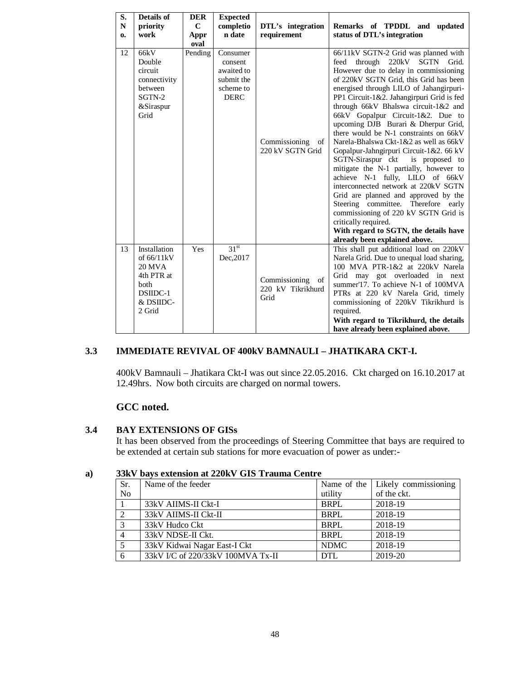| S. | <b>Details of</b>                                                                                    | <b>DER</b>  | <b>Expected</b>                                                             |                                                  |                                                                                                                                                                                                                                                                                                                                                                                                                                                                                                                                                                                                                                                                                                                                                                                                                                                                                             |
|----|------------------------------------------------------------------------------------------------------|-------------|-----------------------------------------------------------------------------|--------------------------------------------------|---------------------------------------------------------------------------------------------------------------------------------------------------------------------------------------------------------------------------------------------------------------------------------------------------------------------------------------------------------------------------------------------------------------------------------------------------------------------------------------------------------------------------------------------------------------------------------------------------------------------------------------------------------------------------------------------------------------------------------------------------------------------------------------------------------------------------------------------------------------------------------------------|
| N  | priority                                                                                             | $\mathbf C$ | completio                                                                   | DTL's integration                                | Remarks of TPDDL and updated                                                                                                                                                                                                                                                                                                                                                                                                                                                                                                                                                                                                                                                                                                                                                                                                                                                                |
| 0. | work                                                                                                 | Appr        | n date                                                                      | requirement                                      | status of DTL's integration                                                                                                                                                                                                                                                                                                                                                                                                                                                                                                                                                                                                                                                                                                                                                                                                                                                                 |
|    |                                                                                                      | oval        |                                                                             |                                                  |                                                                                                                                                                                                                                                                                                                                                                                                                                                                                                                                                                                                                                                                                                                                                                                                                                                                                             |
| 12 | 66kV<br>Double<br>circuit<br>connectivity<br>between<br>SGTN-2<br>&Siraspur<br>Grid                  | Pending     | Consumer<br>consent<br>awaited to<br>submit the<br>scheme to<br><b>DERC</b> | Commissioning<br>of<br>220 kV SGTN Grid          | 66/11kV SGTN-2 Grid was planned with<br>through 220kV SGTN Grid.<br>feed<br>However due to delay in commissioning<br>of 220kV SGTN Grid, this Grid has been<br>energised through LILO of Jahangirpuri-<br>PP1 Circuit-1&2. Jahangirpuri Grid is fed<br>through 66kV Bhalswa circuit-1&2 and<br>66kV Gopalpur Circuit-1&2. Due to<br>upcoming DJB Burari & Dherpur Grid,<br>there would be N-1 constraints on 66kV<br>Narela-Bhalswa Ckt-1&2 as well as 66kV<br>Gopalpur-Jahngirpuri Circuit-1&2. 66 kV<br>SGTN-Siraspur ckt<br>is proposed to<br>mitigate the N-1 partially, however to<br>achieve N-1 fully, LILO of 66kV<br>interconnected network at 220kV SGTN<br>Grid are planned and approved by the<br>Steering committee. Therefore early<br>commissioning of 220 kV SGTN Grid is<br>critically required.<br>With regard to SGTN, the details have<br>already been explained above. |
| 13 | Installation<br>of 66/11kV<br><b>20 MVA</b><br>4th PTR at<br>both<br>DSIIDC-1<br>& DSIIDC-<br>2 Grid | Yes         | 31 <sup>st</sup><br>Dec, 2017                                               | Commissioning<br>of<br>220 kV Tikrikhurd<br>Grid | This shall put additional load on 220kV<br>Narela Grid. Due to unequal load sharing,<br>100 MVA PTR-1&2 at 220kV Narela<br>Grid may got overloaded in next<br>summer'17. To achieve N-1 of 100MVA<br>PTRs at 220 kV Narela Grid, timely<br>commissioning of 220kV Tikrikhurd is<br>required.<br>With regard to Tikrikhurd, the details<br>have already been explained above.                                                                                                                                                                                                                                                                                                                                                                                                                                                                                                                |

## **3.3 IMMEDIATE REVIVAL OF 400kV BAMNAULI – JHATIKARA CKT-I.**

400kV Bamnauli – Jhatikara Ckt-I was out since 22.05.2016. Ckt charged on 16.10.2017 at 12.49hrs. Now both circuits are charged on normal towers.

# **GCC noted.**

## **3.4 BAY EXTENSIONS OF GISs**

It has been observed from the proceedings of Steering Committee that bays are required to be extended at certain sub stations for more evacuation of power as under:-

| Sr.            | Name of the feeder                |             | Name of the   Likely commissioning |
|----------------|-----------------------------------|-------------|------------------------------------|
| N <sub>0</sub> |                                   | utility     | of the ckt.                        |
|                | 33kV AIIMS-II Ckt-I               | <b>BRPL</b> | 2018-19                            |
| $\overline{2}$ | 33kV AIIMS-II Ckt-II              | <b>BRPL</b> | 2018-19                            |
| 3              | 33kV Hudco Ckt                    | <b>BRPL</b> | 2018-19                            |
| $\overline{4}$ | 33kV NDSE-II Ckt.                 | <b>BRPL</b> | 2018-19                            |
| 5              | 33kV Kidwai Nagar East-I Ckt      | <b>NDMC</b> | 2018-19                            |
| 6              | 33kV I/C of 220/33kV 100MVA Tx-II | <b>DTL</b>  | 2019-20                            |

## **a) 33kV bays extension at 220kV GIS Trauma Centre**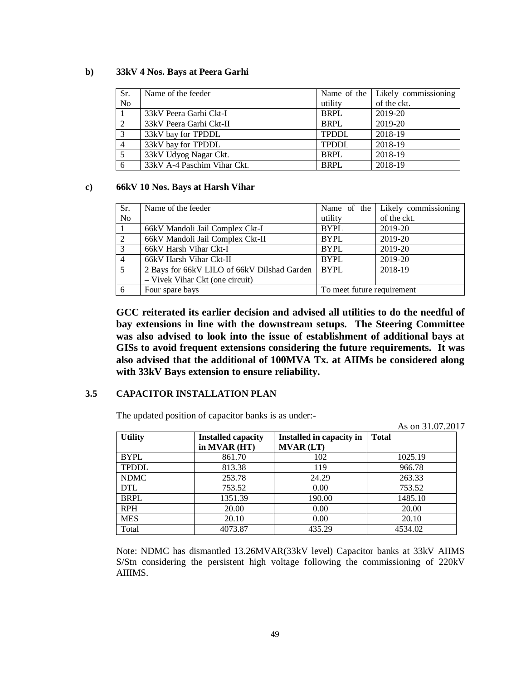#### **b) 33kV 4 Nos. Bays at Peera Garhi**

| Sr.            | Name of the feeder          |              | Name of the   Likely commissioning |
|----------------|-----------------------------|--------------|------------------------------------|
| <b>No</b>      |                             | utility      | of the ckt.                        |
|                | 33kV Peera Garhi Ckt-I      | <b>BRPL</b>  | 2019-20                            |
| <sup>2</sup>   | 33kV Peera Garhi Ckt-II     | <b>BRPL</b>  | 2019-20                            |
| 3              | 33kV bay for TPDDL          | <b>TPDDL</b> | 2018-19                            |
| $\overline{4}$ | 33kV bay for TPDDL          | <b>TPDDL</b> | 2018-19                            |
|                | 33kV Udyog Nagar Ckt.       | <b>BRPL</b>  | 2018-19                            |
| 6              | 33kV A-4 Paschim Vihar Ckt. | <b>BRPL</b>  | 2018-19                            |

#### **c) 66kV 10 Nos. Bays at Harsh Vihar**

| Sr.            | Name of the feeder                          |                            | Name of the Likely commissioning |
|----------------|---------------------------------------------|----------------------------|----------------------------------|
| N <sub>o</sub> |                                             | utility                    | of the ckt.                      |
|                | 66kV Mandoli Jail Complex Ckt-I             | <b>BYPL</b>                | 2019-20                          |
| $\overline{2}$ | 66kV Mandoli Jail Complex Ckt-II            | <b>BYPL</b>                | 2019-20                          |
| 3              | 66kV Harsh Vihar Ckt-I                      | <b>BYPL</b>                | 2019-20                          |
| $\overline{4}$ | 66kV Harsh Vihar Ckt-II                     | <b>BYPL</b>                | 2019-20                          |
| .5             | 2 Bays for 66kV LILO of 66kV Dilshad Garden | BYPL                       | 2018-19                          |
|                | - Vivek Vihar Ckt (one circuit)             |                            |                                  |
| 6              | Four spare bays                             | To meet future requirement |                                  |

**GCC reiterated its earlier decision and advised all utilities to do the needful of bay extensions in line with the downstream setups. The Steering Committee was also advised to look into the issue of establishment of additional bays at GISs to avoid frequent extensions considering the future requirements. It was also advised that the additional of 100MVA Tx. at AIIMs be considered along with 33kV Bays extension to ensure reliability.** 

## **3.5 CAPACITOR INSTALLATION PLAN**

The updated position of capacitor banks is as under:-

As on 31.07.2017

|                |                           |                          | 1 19 911 91.97.201 |
|----------------|---------------------------|--------------------------|--------------------|
| <b>Utility</b> | <b>Installed capacity</b> | Installed in capacity in | <b>Total</b>       |
|                | in MVAR (HT)              | <b>MVAR (LT)</b>         |                    |
| <b>BYPL</b>    | 861.70                    | 102                      | 1025.19            |
| <b>TPDDL</b>   | 813.38                    | 119                      | 966.78             |
| <b>NDMC</b>    | 253.78                    | 24.29                    | 263.33             |
| <b>DTL</b>     | 753.52                    | 0.00                     | 753.52             |
| <b>BRPL</b>    | 1351.39                   | 190.00                   | 1485.10            |
| <b>RPH</b>     | 20.00                     | 0.00                     | 20.00              |
| <b>MES</b>     | 20.10                     | 0.00                     | 20.10              |
| Total          | 4073.87                   | 435.29                   | 4534.02            |

Note: NDMC has dismantled 13.26MVAR(33kV level) Capacitor banks at 33kV AIIMS S/Stn considering the persistent high voltage following the commissioning of 220kV AIIIMS.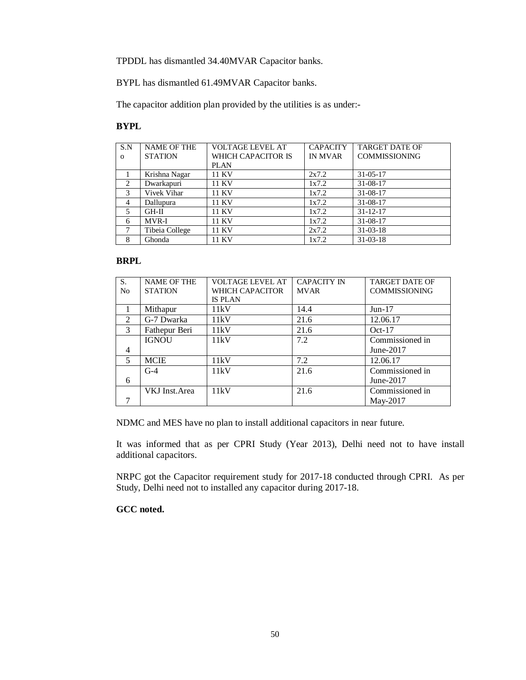TPDDL has dismantled 34.40MVAR Capacitor banks.

BYPL has dismantled 61.49MVAR Capacitor banks.

The capacitor addition plan provided by the utilities is as under:-

#### **BYPL**

| S.N            | <b>NAME OF THE</b> | <b>VOLTAGE LEVEL AT</b> | <b>CAPACITY</b> | <b>TARGET DATE OF</b> |
|----------------|--------------------|-------------------------|-----------------|-----------------------|
| $\Omega$       | <b>STATION</b>     | WHICH CAPACITOR IS      | <b>IN MVAR</b>  | <b>COMMISSIONING</b>  |
|                |                    | <b>PLAN</b>             |                 |                       |
|                | Krishna Nagar      | 11 KV                   | 2x7.2           | $31 - 05 - 17$        |
| 2              | Dwarkapuri         | 11 KV                   | 1x7.2           | 31-08-17              |
| 3              | Vivek Vihar        | 11 KV                   | 1x7.2           | $31 - 08 - 17$        |
| $\overline{4}$ | Dallupura          | 11 KV                   | 1x7.2           | $31 - 08 - 17$        |
| 5              | $GH-II$            | 11 KV                   | 1x7.2           | $31 - 12 - 17$        |
| 6              | MVR-I              | 11 KV                   | 1x7.2           | $31 - 08 - 17$        |
| 7              | Tibeia College     | 11 KV                   | 2x7.2           | $31 - 03 - 18$        |
| 8              | Ghonda             | 11 KV                   | 1x7.2           | $31 - 03 - 18$        |

#### **BRPL**

| S.             | <b>NAME OF THE</b>    | VOLTAGE LEVEL AT | <b>CAPACITY IN</b> | <b>TARGET DATE OF</b> |
|----------------|-----------------------|------------------|--------------------|-----------------------|
| N <sub>0</sub> | <b>STATION</b>        | WHICH CAPACITOR  | <b>MVAR</b>        | <b>COMMISSIONING</b>  |
|                |                       | <b>IS PLAN</b>   |                    |                       |
|                | Mithapur              | 11kV             | 14.4               | $Jun-17$              |
| 2              | G-7 Dwarka            | 11kV             | 21.6               | 12.06.17              |
| 3              | Fathepur Beri         | 11kV             | 21.6               | $Oct-17$              |
|                | <b>IGNOU</b>          | 11kV             | 7.2                | Commissioned in       |
| $\overline{4}$ |                       |                  |                    | June-2017             |
| 5              | <b>MCIE</b>           | 11kV             | 7.2                | 12.06.17              |
|                | $G-4$                 | 11kV             | 21.6               | Commissioned in       |
| 6              |                       |                  |                    | June- $2017$          |
|                | <b>VKJ</b> Inst. Area | 11kV             | 21.6               | Commissioned in       |
|                |                       |                  |                    | May-2017              |

NDMC and MES have no plan to install additional capacitors in near future.

It was informed that as per CPRI Study (Year 2013), Delhi need not to have install additional capacitors.

NRPC got the Capacitor requirement study for 2017-18 conducted through CPRI. As per Study, Delhi need not to installed any capacitor during 2017-18.

#### **GCC noted.**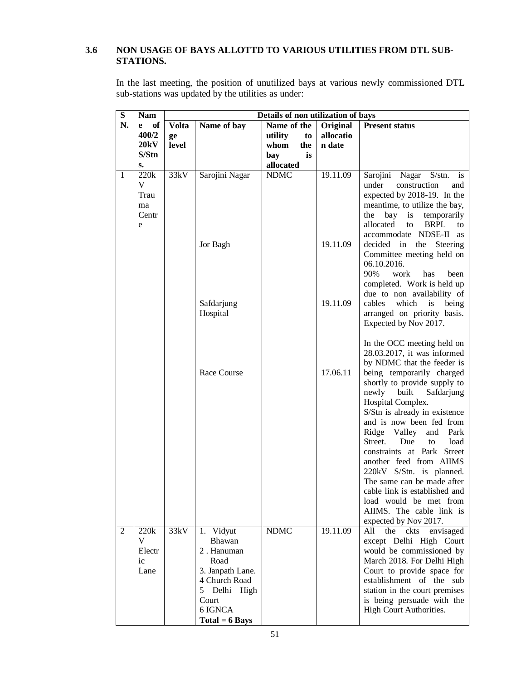# **3.6 NON USAGE OF BAYS ALLOTTD TO VARIOUS UTILITIES FROM DTL SUB-STATIONS.**

In the last meeting, the position of unutilized bays at various newly commissioned DTL sub-stations was updated by the utilities as under:

| ${\bf S}$      | <b>Nam</b>                        |                             |                                                                                                                                              | Details of non utilization of bays                       |                                 |                                                                                                                                                                                                                                                                                                                                                                                                                                                                                                                                                                             |  |
|----------------|-----------------------------------|-----------------------------|----------------------------------------------------------------------------------------------------------------------------------------------|----------------------------------------------------------|---------------------------------|-----------------------------------------------------------------------------------------------------------------------------------------------------------------------------------------------------------------------------------------------------------------------------------------------------------------------------------------------------------------------------------------------------------------------------------------------------------------------------------------------------------------------------------------------------------------------------|--|
| N.             | of<br>e<br>400/2<br>20kV<br>S/Stn | <b>Volta</b><br>ge<br>level | Name of bay                                                                                                                                  | Name of the<br>utility<br>to<br>the<br>whom<br>is<br>bay | Original<br>allocatio<br>n date | <b>Present status</b>                                                                                                                                                                                                                                                                                                                                                                                                                                                                                                                                                       |  |
| 1              | $S_{\bullet}$<br>220k             | 33kV                        | Sarojini Nagar                                                                                                                               | allocated<br><b>NDMC</b>                                 | 19.11.09                        | Sarojini Nagar S/stn.<br>is                                                                                                                                                                                                                                                                                                                                                                                                                                                                                                                                                 |  |
|                | V<br>Trau<br>ma<br>Centr<br>e     |                             |                                                                                                                                              |                                                          |                                 | under<br>construction<br>and<br>expected by 2018-19. In the<br>meantime, to utilize the bay,<br>bay<br>the<br>is<br>temporarily<br>allocated<br><b>BRPL</b><br>to<br>to<br>accommodate NDSE-II as                                                                                                                                                                                                                                                                                                                                                                           |  |
|                |                                   |                             | Jor Bagh                                                                                                                                     |                                                          | 19.11.09                        | decided in<br>the<br>Steering<br>Committee meeting held on<br>06.10.2016.<br>90%<br>work<br>has<br>been<br>completed. Work is held up                                                                                                                                                                                                                                                                                                                                                                                                                                       |  |
|                |                                   |                             | Safdarjung<br>Hospital                                                                                                                       |                                                          | 19.11.09                        | due to non availability of<br>which<br>cables<br>is<br>being<br>arranged on priority basis.<br>Expected by Nov 2017.                                                                                                                                                                                                                                                                                                                                                                                                                                                        |  |
|                |                                   |                             | Race Course                                                                                                                                  | <b>NDMC</b>                                              | 17.06.11<br>19.11.09            | In the OCC meeting held on<br>28.03.2017, it was informed<br>by NDMC that the feeder is<br>being temporarily charged<br>shortly to provide supply to<br>newly<br>built<br>Safdarjung<br>Hospital Complex.<br>S/Stn is already in existence<br>and is now been fed from<br>Ridge<br>Valley<br>Park<br>and<br>Street.<br>Due<br>load<br>to<br>constraints at Park Street<br>another feed from AIIMS<br>220kV S/Stn. is planned.<br>The same can be made after<br>cable link is established and<br>load would be met from<br>AIIMS. The cable link is<br>expected by Nov 2017. |  |
| $\overline{2}$ | 220k<br>V<br>Electr<br>ic<br>Lane | 33kV                        | 1. Vidyut<br>Bhawan<br>2. Hanuman<br>Road<br>3. Janpath Lane.<br>4 Church Road<br>Delhi High<br>5<br>Court<br>6 IGNCA<br>$Total = 6 \, Bays$ |                                                          |                                 | All<br>the<br>ckts<br>envisaged<br>except Delhi High Court<br>would be commissioned by<br>March 2018. For Delhi High<br>Court to provide space for<br>establishment of the sub<br>station in the court premises<br>is being persuade with the<br>High Court Authorities.                                                                                                                                                                                                                                                                                                    |  |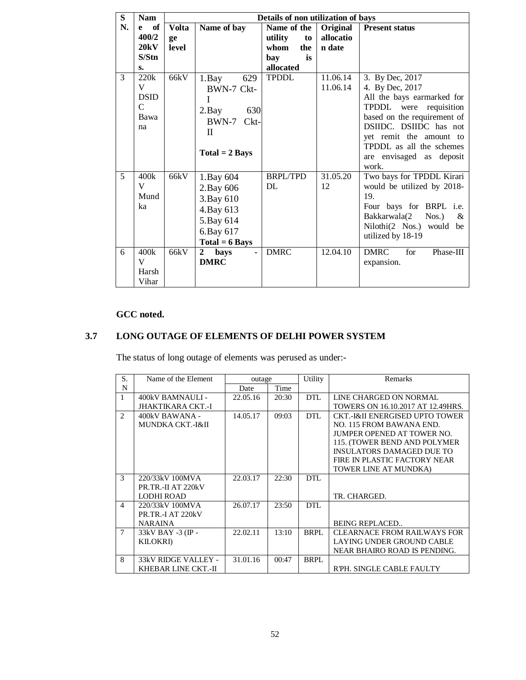| S              | <b>Nam</b>  |              |                             | Details of non utilization of bays |           |                                 |
|----------------|-------------|--------------|-----------------------------|------------------------------------|-----------|---------------------------------|
| N.             | of<br>e     | <b>Volta</b> | Name of bay                 | Name of the                        | Original  | <b>Present status</b>           |
|                | 400/2       | ge           |                             | utility<br>to                      | allocatio |                                 |
|                | 20kV        | level        |                             | whom<br>the                        | n date    |                                 |
|                | S/Stn       |              |                             | is<br>bay                          |           |                                 |
|                | S.          |              |                             | allocated                          |           |                                 |
| 3              | 220k        | 66kV         | 629<br>$1.$ Bay             | <b>TPDDL</b>                       | 11.06.14  | 3. By Dec, 2017                 |
|                | V           |              | BWN-7 Ckt-                  |                                    | 11.06.14  | 4. By Dec, 2017                 |
|                | <b>DSID</b> |              | T                           |                                    |           | All the bays earmarked for      |
|                | $\mathbf C$ |              | 630<br>$2.$ Bay             |                                    |           | TPDDL were requisition          |
|                | Bawa        |              | BWN-7 Ckt-                  |                                    |           | based on the requirement of     |
|                | na          |              | $\mathbf{H}$                |                                    |           | DSIIDC. DSIIDC has not          |
|                |             |              |                             |                                    |           | yet remit the amount to         |
|                |             |              | $Total = 2 \, Bays$         |                                    |           | TPDDL as all the schemes        |
|                |             |              |                             |                                    |           | are envisaged as deposit        |
|                |             |              |                             |                                    |           | work.                           |
| $\overline{5}$ | 400k        | 66kV         | 1.Bay 604                   | <b>BRPL/TPD</b>                    | 31.05.20  | Two bays for TPDDL Kirari       |
|                | V           |              | 2. Bay 606                  | DL                                 | 12        | would be utilized by 2018-      |
|                | Mund        |              | 3. Bay 610                  |                                    |           | 19.                             |
|                | ka          |              | 4. Bay 613                  |                                    |           | Four bays for BRPL i.e.         |
|                |             |              | 5. Bay 614                  |                                    |           | Bakkarwala(2<br>$Nos.$ )<br>&   |
|                |             |              | 6.Bay 617                   |                                    |           | Nilothi(2 Nos.) would be        |
|                |             |              | $Total = 6 \, Bays$         |                                    |           | utilized by 18-19               |
| 6              | 400k        | 66kV         | $\mathbf{2}$<br><b>bays</b> | <b>DMRC</b>                        | 12.04.10  | <b>DMRC</b><br>for<br>Phase-III |
|                | V           |              | <b>DMRC</b>                 |                                    |           | expansion.                      |
|                | Harsh       |              |                             |                                    |           |                                 |
|                | Vihar       |              |                             |                                    |           |                                 |

# **GCC noted.**

# **3.7 LONG OUTAGE OF ELEMENTS OF DELHI POWER SYSTEM**

The status of long outage of elements was perused as under:-

| S.                            | Name of the Element<br>outage |          |       | Utility    | Remarks                                   |
|-------------------------------|-------------------------------|----------|-------|------------|-------------------------------------------|
| N                             |                               | Date     | Time  |            |                                           |
|                               | 400kV BAMNAULI -              | 22.05.16 | 20:30 | <b>DTL</b> | LINE CHARGED ON NORMAL                    |
|                               | JHAKTIKARA CKT.-I             |          |       |            | TOWERS ON 16.10.2017 AT 12.49HRS.         |
| $\mathfrak{D}_{\mathfrak{p}}$ | 400kV BAWANA -                | 14.05.17 | 09:03 | <b>DTL</b> | <b>CKT.-I&amp;II ENERGISED UPTO TOWER</b> |
|                               | MUNDKA CKT.-I&II              |          |       |            | NO. 115 FROM BAWANA END.                  |
|                               |                               |          |       |            | JUMPER OPENED AT TOWER NO.                |
|                               |                               |          |       |            | 115. (TOWER BEND AND POLYMER              |
|                               |                               |          |       |            | INSULATORS DAMAGED DUE TO                 |
|                               |                               |          |       |            | FIRE IN PLASTIC FACTORY NEAR              |
|                               |                               |          |       |            | TOWER LINE AT MUNDKA)                     |
| $\mathcal{R}$                 | 220/33kV 100MVA               | 22.03.17 | 22:30 | DTL        |                                           |
|                               | PR.TR.-II AT 220kV            |          |       |            |                                           |
|                               | LODHI ROAD                    |          |       |            | TR. CHARGED.                              |
| $\overline{4}$                | 220/33kV 100MVA               | 26.07.17 | 23:50 | DTL        |                                           |
|                               | <b>PR.TR.-I AT 220 kV</b>     |          |       |            |                                           |
|                               | <b>NARAINA</b>                |          |       |            | <b>BEING REPLACED</b>                     |
| 7                             | 33kV BAY -3 (IP -             | 22.02.11 | 13:10 | BRPL       | CLEARNACE FROM RAILWAYS FOR               |
|                               | <b>KILOKRI</b> )              |          |       |            | LAYING UNDER GROUND CABLE                 |
|                               |                               |          |       |            | NEAR BHAIRO ROAD IS PENDING.              |
| 8                             | 33kV RIDGE VALLEY -           | 31.01.16 | 00:47 | BRPL       |                                           |
|                               | KHEBAR LINE CKT.-II           |          |       |            | <b>R'PH. SINGLE CABLE FAULTY</b>          |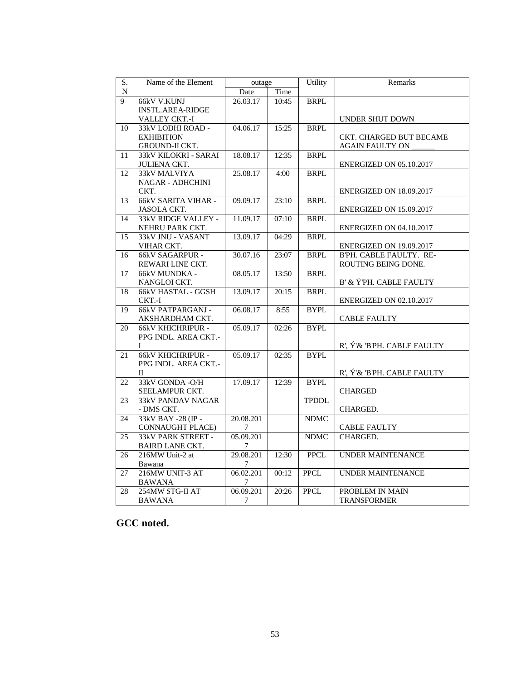| S. | Name of the Element         | outage    |       | Utility      | Remarks                        |
|----|-----------------------------|-----------|-------|--------------|--------------------------------|
| N  |                             | Date      | Time  |              |                                |
| 9  | 66kV V.KUNJ                 | 26.03.17  | 10:45 | <b>BRPL</b>  |                                |
|    | <b>INSTL.AREA-RIDGE</b>     |           |       |              |                                |
|    | VALLEY CKT.-I               |           |       |              | UNDER SHUT DOWN                |
| 10 | 33kV LODHI ROAD -           | 04.06.17  | 15:25 | <b>BRPL</b>  |                                |
|    | <b>EXHIBITION</b>           |           |       |              | CKT. CHARGED BUT BECAME        |
|    | <b>GROUND-II CKT.</b>       |           |       |              | <b>AGAIN FAULTY ON</b>         |
| 11 | <b>33kV KILOKRI - SARAI</b> | 18.08.17  | 12:35 | <b>BRPL</b>  |                                |
|    | <b>JULIENA CKT.</b>         |           |       |              | <b>ENERGIZED ON 05.10.2017</b> |
| 12 | 33kV MALVIYA                | 25.08.17  | 4:00  | <b>BRPL</b>  |                                |
|    | <b>NAGAR - ADHCHINI</b>     |           |       |              |                                |
|    | CKT.                        |           |       |              | ENERGIZED ON 18.09.2017        |
| 13 | <b>66kV SARITA VIHAR -</b>  | 09.09.17  | 23:10 | <b>BRPL</b>  |                                |
|    | <b>JASOLA CKT.</b>          |           |       |              | ENERGIZED ON 15.09.2017        |
| 14 | 33kV RIDGE VALLEY -         | 11.09.17  | 07:10 | <b>BRPL</b>  |                                |
|    | NEHRU PARK CKT.             |           |       |              | <b>ENERGIZED ON 04.10.2017</b> |
| 15 | 33kV JNU - VASANT           | 13.09.17  | 04:29 | <b>BRPL</b>  |                                |
|    | VIHAR CKT.                  |           |       |              | ENERGIZED ON 19.09.2017        |
| 16 | <b>66kV SAGARPUR -</b>      | 30.07.16  | 23:07 | <b>BRPL</b>  | BPH. CABLE FAULTY. RE-         |
|    | REWARI LINE CKT.            |           |       |              | ROUTING BEING DONE.            |
| 17 | 66kV MUNDKA -               | 08.05.17  | 13:50 | <b>BRPL</b>  |                                |
|    | NANGLOI CKT.                |           |       |              | B' & ÝPH. CABLE FAULTY         |
| 18 | <b>66kV HASTAL - GGSH</b>   | 13.09.17  | 20:15 | <b>BRPL</b>  |                                |
|    | CKT.-I                      |           |       |              | <b>ENERGIZED ON 02.10.2017</b> |
| 19 | <b>66kV PATPARGANJ -</b>    | 06.08.17  | 8:55  | <b>BYPL</b>  |                                |
|    | AKSHARDHAM CKT.             |           |       |              | <b>CABLE FAULTY</b>            |
| 20 | <b>66kV KHICHRIPUR -</b>    | 05.09.17  | 02:26 | <b>BYPL</b>  |                                |
|    | PPG INDL. AREA CKT.-        |           |       |              |                                |
|    | L                           |           |       |              | R', Ý'& B'PH. CABLE FAULTY     |
| 21 | <b>66kV KHICHRIPUR -</b>    | 05.09.17  | 02:35 | <b>BYPL</b>  |                                |
|    | PPG INDL. AREA CKT.-        |           |       |              |                                |
|    | $\Pi$                       |           |       |              | R', Ý'& B'PH. CABLE FAULTY     |
| 22 | 33kV GONDA -O/H             | 17.09.17  | 12:39 | <b>BYPL</b>  |                                |
|    | SEELAMPUR CKT.              |           |       |              | <b>CHARGED</b>                 |
| 23 | 33kV PANDAV NAGAR           |           |       | <b>TPDDL</b> |                                |
|    | - DMS CKT.                  |           |       |              | CHARGED.                       |
| 24 | 33kV BAY -28 (IP -          | 20.08.201 |       | <b>NDMC</b>  |                                |
|    | <b>CONNAUGHT PLACE)</b>     | 7         |       |              | <b>CABLE FAULTY</b>            |
| 25 | 33kV PARK STREET -          | 05.09.201 |       | <b>NDMC</b>  | CHARGED.                       |
|    | <b>BAIRD LANE CKT.</b>      | 7         |       |              |                                |
| 26 | 216MW Unit-2 at             | 29.08.201 | 12:30 | <b>PPCL</b>  | <b>UNDER MAINTENANCE</b>       |
|    | Bawana                      | 7         |       |              |                                |
| 27 | 216MW UNIT-3 AT             | 06.02.201 | 00:12 | <b>PPCL</b>  | <b>UNDER MAINTENANCE</b>       |
|    | <b>BAWANA</b>               | 7         |       |              |                                |
| 28 | 254MW STG-II AT             | 06.09.201 | 20:26 | <b>PPCL</b>  | PROBLEM IN MAIN                |
|    | <b>BAWANA</b>               | 7         |       |              | <b>TRANSFORMER</b>             |
|    |                             |           |       |              |                                |

# **GCC noted.**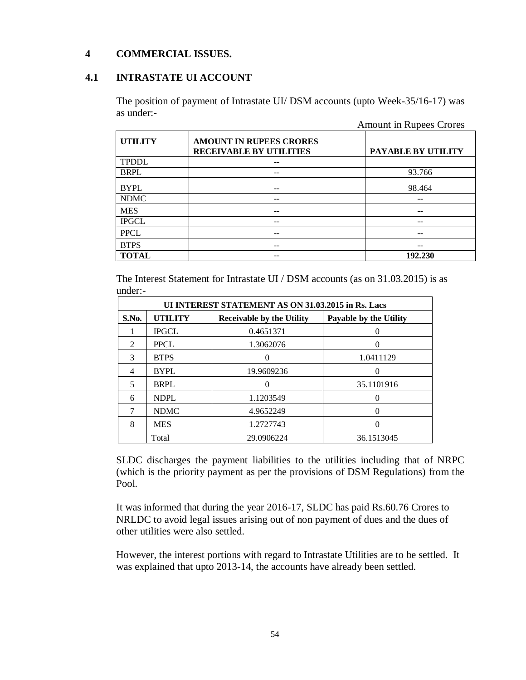# **4 COMMERCIAL ISSUES.**

# **4.1 INTRASTATE UI ACCOUNT**

The position of payment of Intrastate UI/ DSM accounts (upto Week-35/16-17) was as under:-

|                |                                                                  | <b>Amount in Rupees Crores</b> |
|----------------|------------------------------------------------------------------|--------------------------------|
| <b>UTILITY</b> | <b>AMOUNT IN RUPEES CRORES</b><br><b>RECEIVABLE BY UTILITIES</b> | PAYABLE BY UTILITY             |
| <b>TPDDL</b>   |                                                                  |                                |
| <b>BRPL</b>    |                                                                  | 93.766                         |
| <b>BYPL</b>    |                                                                  | 98.464                         |
| <b>NDMC</b>    |                                                                  |                                |
| <b>MES</b>     | --                                                               | --                             |
| <b>IPGCL</b>   |                                                                  |                                |
| <b>PPCL</b>    | --                                                               | --                             |
| <b>BTPS</b>    | --                                                               | --                             |
| <b>TOTAL</b>   |                                                                  | 192.230                        |

The Interest Statement for Intrastate UI / DSM accounts (as on 31.03.2015) is as under:-

|                                                                                       | UI INTEREST STATEMENT AS ON 31.03.2015 in Rs. Lacs |            |                   |  |  |  |  |  |  |
|---------------------------------------------------------------------------------------|----------------------------------------------------|------------|-------------------|--|--|--|--|--|--|
| <b>UTILITY</b><br>S.No.<br><b>Receivable by the Utility</b><br>Payable by the Utility |                                                    |            |                   |  |  |  |  |  |  |
|                                                                                       | <b>IPGCL</b>                                       | 0.4651371  | $\mathbf{0}$      |  |  |  |  |  |  |
| $\mathfrak{D}$                                                                        | <b>PPCL</b>                                        | 1.3062076  |                   |  |  |  |  |  |  |
| 3                                                                                     | <b>BTPS</b>                                        |            | 1.0411129         |  |  |  |  |  |  |
| 4                                                                                     | <b>BYPL</b>                                        | 19.9609236 | 0                 |  |  |  |  |  |  |
| $\overline{\phantom{1}}$                                                              | <b>BRPL</b>                                        |            | 35.1101916        |  |  |  |  |  |  |
| 6                                                                                     | <b>NDPL</b>                                        | 1.1203549  | $\mathbf{\Omega}$ |  |  |  |  |  |  |
|                                                                                       | <b>NDMC</b>                                        | 4.9652249  | $\mathbf{0}$      |  |  |  |  |  |  |
| 8                                                                                     | <b>MES</b>                                         | 1.2727743  |                   |  |  |  |  |  |  |
|                                                                                       | Total                                              | 29.0906224 | 36.1513045        |  |  |  |  |  |  |

SLDC discharges the payment liabilities to the utilities including that of NRPC (which is the priority payment as per the provisions of DSM Regulations) from the Pool.

It was informed that during the year 2016-17, SLDC has paid Rs.60.76 Crores to NRLDC to avoid legal issues arising out of non payment of dues and the dues of other utilities were also settled.

However, the interest portions with regard to Intrastate Utilities are to be settled. It was explained that upto 2013-14, the accounts have already been settled.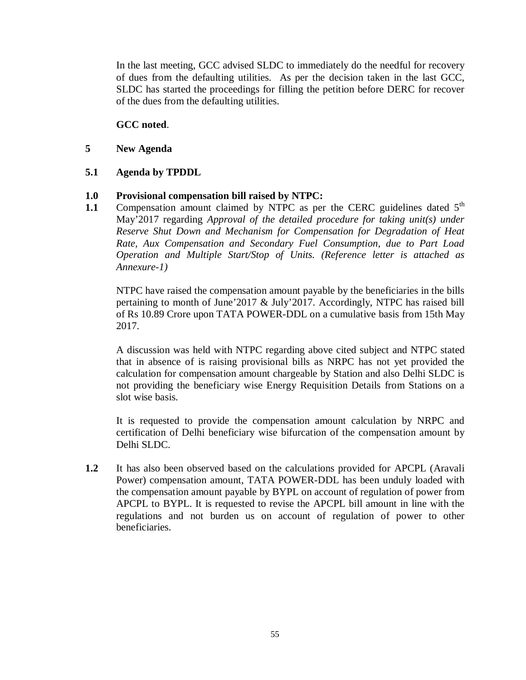In the last meeting, GCC advised SLDC to immediately do the needful for recovery of dues from the defaulting utilities. As per the decision taken in the last GCC, SLDC has started the proceedings for filling the petition before DERC for recover of the dues from the defaulting utilities.

# **GCC noted**.

**5 New Agenda**

# **5.1 Agenda by TPDDL**

# **1.0 Provisional compensation bill raised by NTPC:**

**1.1** Compensation amount claimed by NTPC as per the CERC guidelines dated 5<sup>th</sup> May'2017 regarding *Approval of the detailed procedure for taking unit(s) under Reserve Shut Down and Mechanism for Compensation for Degradation of Heat Rate, Aux Compensation and Secondary Fuel Consumption, due to Part Load Operation and Multiple Start/Stop of Units. (Reference letter is attached as Annexure-1)*

NTPC have raised the compensation amount payable by the beneficiaries in the bills pertaining to month of June'2017 & July'2017. Accordingly, NTPC has raised bill of Rs 10.89 Crore upon TATA POWER-DDL on a cumulative basis from 15th May 2017.

A discussion was held with NTPC regarding above cited subject and NTPC stated that in absence of is raising provisional bills as NRPC has not yet provided the calculation for compensation amount chargeable by Station and also Delhi SLDC is not providing the beneficiary wise Energy Requisition Details from Stations on a slot wise basis.

It is requested to provide the compensation amount calculation by NRPC and certification of Delhi beneficiary wise bifurcation of the compensation amount by Delhi SLDC.

**1.2** It has also been observed based on the calculations provided for APCPL (Aravali Power) compensation amount, TATA POWER-DDL has been unduly loaded with the compensation amount payable by BYPL on account of regulation of power from APCPL to BYPL. It is requested to revise the APCPL bill amount in line with the regulations and not burden us on account of regulation of power to other beneficiaries.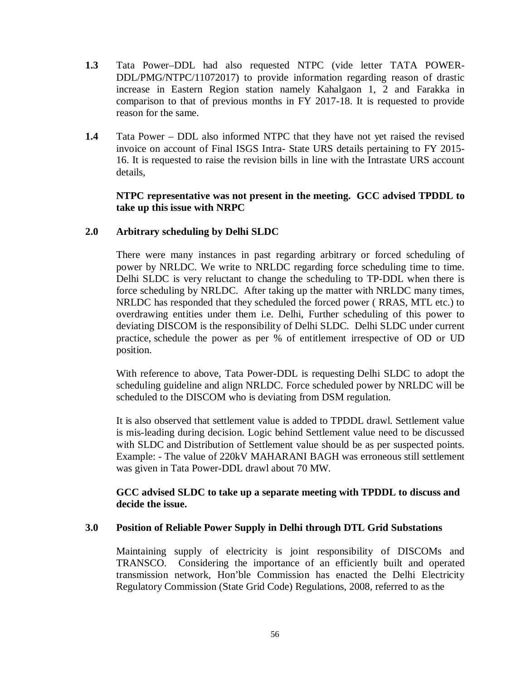- **1.3** Tata Power–DDL had also requested NTPC (vide letter TATA POWER-DDL/PMG/NTPC/11072017) to provide information regarding reason of drastic increase in Eastern Region station namely Kahalgaon 1, 2 and Farakka in comparison to that of previous months in FY 2017-18. It is requested to provide reason for the same.
- **1.4** Tata Power DDL also informed NTPC that they have not yet raised the revised invoice on account of Final ISGS Intra- State URS details pertaining to FY 2015- 16. It is requested to raise the revision bills in line with the Intrastate URS account details,

# **NTPC representative was not present in the meeting. GCC advised TPDDL to take up this issue with NRPC**

# **2.0 Arbitrary scheduling by Delhi SLDC**

There were many instances in past regarding arbitrary or forced scheduling of power by NRLDC. We write to NRLDC regarding force scheduling time to time. Delhi SLDC is very reluctant to change the scheduling to TP-DDL when there is force scheduling by NRLDC. After taking up the matter with NRLDC many times, NRLDC has responded that they scheduled the forced power ( RRAS, MTL etc.) to overdrawing entities under them i.e. Delhi, Further scheduling of this power to deviating DISCOM is the responsibility of Delhi SLDC. Delhi SLDC under current practice, schedule the power as per % of entitlement irrespective of OD or UD position.

With reference to above, Tata Power-DDL is requesting Delhi SLDC to adopt the scheduling guideline and align NRLDC. Force scheduled power by NRLDC will be scheduled to the DISCOM who is deviating from DSM regulation.

It is also observed that settlement value is added to TPDDL drawl. Settlement value is mis-leading during decision. Logic behind Settlement value need to be discussed with SLDC and Distribution of Settlement value should be as per suspected points. Example: - The value of 220kV MAHARANI BAGH was erroneous still settlement was given in Tata Power-DDL drawl about 70 MW.

# **GCC advised SLDC to take up a separate meeting with TPDDL to discuss and decide the issue.**

# **3.0 Position of Reliable Power Supply in Delhi through DTL Grid Substations**

Maintaining supply of electricity is joint responsibility of DISCOMs and TRANSCO. Considering the importance of an efficiently built and operated transmission network, Hon'ble Commission has enacted the Delhi Electricity Regulatory Commission (State Grid Code) Regulations, 2008, referred to as the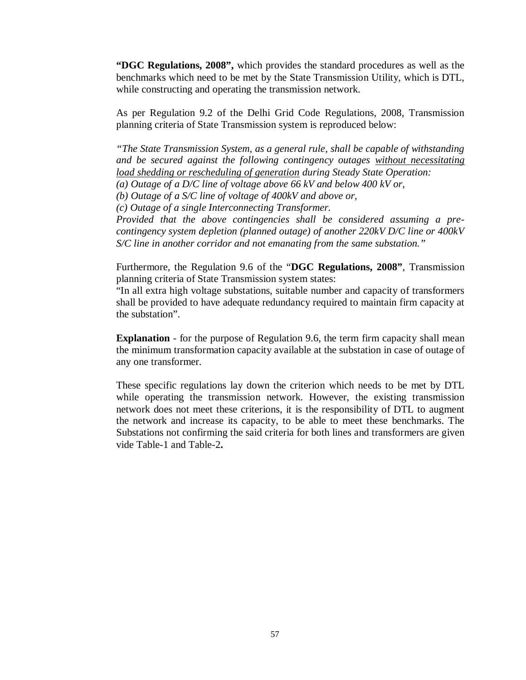**"DGC Regulations, 2008",** which provides the standard procedures as well as the benchmarks which need to be met by the State Transmission Utility, which is DTL, while constructing and operating the transmission network.

As per Regulation 9.2 of the Delhi Grid Code Regulations, 2008, Transmission planning criteria of State Transmission system is reproduced below:

*"The State Transmission System, as a general rule, shall be capable of withstanding and be secured against the following contingency outages without necessitating load shedding or rescheduling of generation during Steady State Operation:*

*(a) Outage of a D/C line of voltage above 66 kV and below 400 kV or,*

*(b) Outage of a S/C line of voltage of 400kV and above or,*

*(c) Outage of a single Interconnecting Transformer.*

*Provided that the above contingencies shall be considered assuming a precontingency system depletion (planned outage) of another 220kV D/C line or 400kV S/C line in another corridor and not emanating from the same substation."*

Furthermore, the Regulation 9.6 of the "**DGC Regulations, 2008"**, Transmission planning criteria of State Transmission system states:

"In all extra high voltage substations, suitable number and capacity of transformers shall be provided to have adequate redundancy required to maintain firm capacity at the substation".

**Explanation** - for the purpose of Regulation 9.6, the term firm capacity shall mean the minimum transformation capacity available at the substation in case of outage of any one transformer.

These specific regulations lay down the criterion which needs to be met by DTL while operating the transmission network. However, the existing transmission network does not meet these criterions, it is the responsibility of DTL to augment the network and increase its capacity, to be able to meet these benchmarks. The Substations not confirming the said criteria for both lines and transformers are given vide Table-1 and Table-2**.**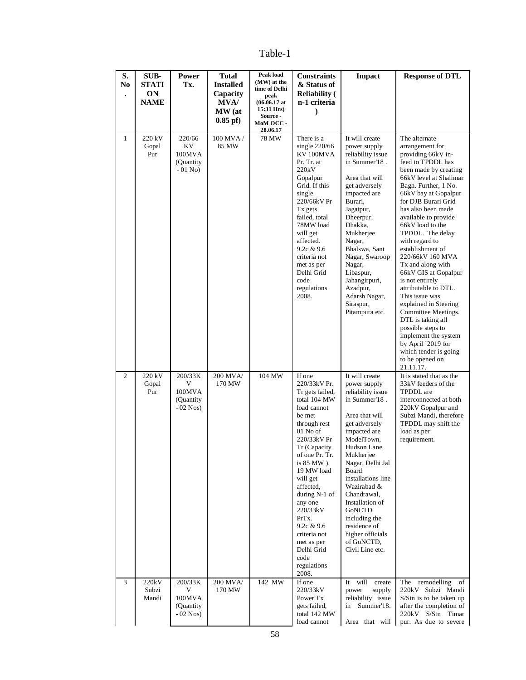Table-1

| S.<br>N <sub>0</sub> | SUB-<br><b>STATI</b><br><b>ON</b> | Power<br>Tx.                                       | <b>Total</b><br><b>Installed</b><br>Capacity | Peak load<br>(MW) at the<br>time of Delhi<br>peak                                 | <b>Constraints</b><br>& Status of<br><b>Reliability</b> (                                                                                                                                                                                                                                                                                                                    | <b>Impact</b>                                                                                                                                                                                                                                                                                                                                                          | <b>Response of DTL</b>                                                                                                                                                                                                                                                                                                                                                                                                                                                                                                                                                                                                                                           |
|----------------------|-----------------------------------|----------------------------------------------------|----------------------------------------------|-----------------------------------------------------------------------------------|------------------------------------------------------------------------------------------------------------------------------------------------------------------------------------------------------------------------------------------------------------------------------------------------------------------------------------------------------------------------------|------------------------------------------------------------------------------------------------------------------------------------------------------------------------------------------------------------------------------------------------------------------------------------------------------------------------------------------------------------------------|------------------------------------------------------------------------------------------------------------------------------------------------------------------------------------------------------------------------------------------------------------------------------------------------------------------------------------------------------------------------------------------------------------------------------------------------------------------------------------------------------------------------------------------------------------------------------------------------------------------------------------------------------------------|
|                      | <b>NAME</b>                       |                                                    | <b>MVA</b> /<br>MW (at<br>$0.85$ pf)         | $(06.06.17 \text{ at }$<br>15:31 Hrs)<br><b>Source -</b><br>MoM OCC -<br>28.06.17 | n-1 criteria                                                                                                                                                                                                                                                                                                                                                                 |                                                                                                                                                                                                                                                                                                                                                                        |                                                                                                                                                                                                                                                                                                                                                                                                                                                                                                                                                                                                                                                                  |
| $\mathbf{1}$         | 220 kV<br>Gopal<br>Pur            | 220/66<br>KV<br>100MVA<br>(Quantity<br>$-01$ No)   | 100 MVA /<br>85 MW                           | 78 MW                                                                             | There is a<br>single $220/66$<br>KV100MVA<br>Pr. Tr. at<br>220kV<br>Gopalpur<br>Grid. If this<br>single<br>220/66kV Pr<br>Tx gets<br>failed, total<br>78MW load<br>will get<br>affected.<br>9.2c & 9.6<br>criteria not<br>met as per<br>Delhi Grid<br>code<br>regulations<br>2008.                                                                                           | It will create<br>power supply<br>reliability issue<br>in Summer'18.<br>Area that will<br>get adversely<br>impacted are<br>Burari,<br>Jagatpur,<br>Dheerpur,<br>Dhakka,<br>Mukherjee<br>Nagar,<br>Bhalswa, Sant<br>Nagar, Swaroop<br>Nagar,<br>Libaspur,<br>Jahangirpuri,<br>Azadpur,<br>Adarsh Nagar,<br>Siraspur,<br>Pitampura etc.                                  | The alternate<br>arrangement for<br>providing 66kV in-<br>feed to TPDDL has<br>been made by creating<br>66kV level at Shalimar<br>Bagh. Further, 1 No.<br>66kV bay at Gopalpur<br>for DJB Burari Grid<br>has also been made<br>available to provide<br>66kV load to the<br>TPDDL. The delay<br>with regard to<br>establishment of<br>220/66kV 160 MVA<br>Tx and along with<br>66kV GIS at Gopalpur<br>is not entirely<br>attributable to DTL.<br>This issue was<br>explained in Steering<br>Committee Meetings.<br>DTL is taking all<br>possible steps to<br>implement the system<br>by April '2019 for<br>which tender is going<br>to be opened on<br>21.11.17. |
| 2                    | 220 kV<br>Gopal<br>Pur            | 200/33K<br>V<br>100MVA<br>(Quantity<br>$-02$ Nos)  | 200 MVA/<br>170 MW                           | 104 MW                                                                            | If one<br>220/33kV Pr.<br>Tr gets failed,<br>total 104 MW<br>load cannot<br>be met<br>through rest<br>01 No of<br>220/33kV Pr<br>Tr (Capacity<br>of one Pr. Tr.<br>is 85 MW).<br>19 MW load<br>will get<br>affected.<br>during N-1 of<br>any one<br>220/33kV<br>PrT <sub>x</sub> .<br>9.2c & 9.6<br>criteria not<br>met as per<br>Delhi Grid<br>code<br>regulations<br>2008. | It will create<br>power supply<br>reliability issue<br>in Summer'18.<br>Area that will<br>get adversely<br>impacted are<br>ModelTown,<br>Hudson Lane,<br>Mukherjee<br>Nagar, Delhi Jal<br>Board<br>installations line<br>Wazirabad &<br>Chandrawal,<br>Installation of<br>GoNCTD<br>including the<br>residence of<br>higher officials<br>of GoNCTD,<br>Civil Line etc. | It is stated that as the<br>33kV feeders of the<br><b>TPDDL</b> are<br>interconnected at both<br>220kV Gopalpur and<br>Subzi Mandi, therefore<br>TPDDL may shift the<br>load as per<br>requirement.                                                                                                                                                                                                                                                                                                                                                                                                                                                              |
| 3                    | 220kV<br>Subzi<br>Mandi           | 200/33K<br>V<br>100MVA<br>(Quantity)<br>$-02$ Nos) | 200 MVA/<br>170 MW                           | 142 MW                                                                            | If one<br>220/33kV<br>Power Tx<br>gets failed,<br>total 142 MW<br>load cannot                                                                                                                                                                                                                                                                                                | It<br>will<br>create<br>power<br>supply<br>reliability issue<br>in Summer'18.<br>Area that will                                                                                                                                                                                                                                                                        | remodelling<br>The<br>of<br>220kV Subzi Mandi<br>S/Stn is to be taken up<br>after the completion of<br>220kV S/Stn Timar<br>pur. As due to severe                                                                                                                                                                                                                                                                                                                                                                                                                                                                                                                |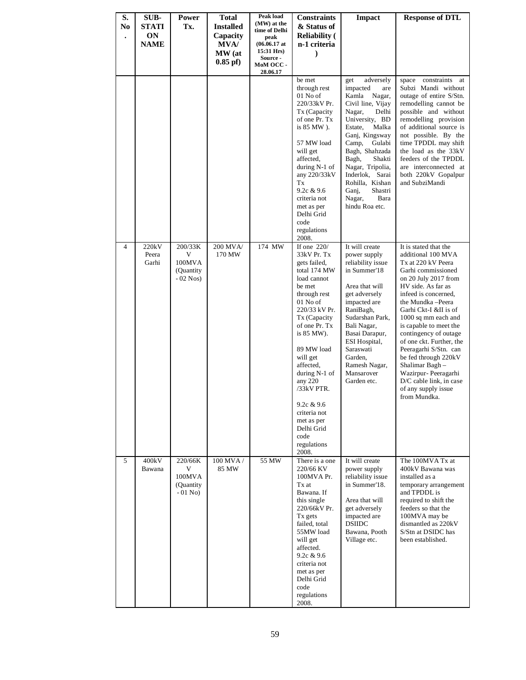| S.<br>N <sub>0</sub><br>$\bullet$ | SUB-<br>STATI<br><b>ON</b><br><b>NAME</b> | Power<br>Tx.                                       | <b>Total</b><br><b>Installed</b><br>Capacity<br><b>MVA</b> /<br>MW (at<br>$0.85$ pf) | Peak load<br>(MW) at the<br>time of Delhi<br>peak<br>$(06.06.17$ at<br>15:31 Hrs)<br>Source -<br>MoM OCC-<br>28.06.17 | <b>Constraints</b><br>& Status of<br><b>Reliability</b> (<br>n-1 criteria<br>$\lambda$                                                                                                                                                                                                                                                                         | <b>Impact</b>                                                                                                                                                                                                                                                                                                                 | <b>Response of DTL</b>                                                                                                                                                                                                                                                                                                                                                                                                                                                          |
|-----------------------------------|-------------------------------------------|----------------------------------------------------|--------------------------------------------------------------------------------------|-----------------------------------------------------------------------------------------------------------------------|----------------------------------------------------------------------------------------------------------------------------------------------------------------------------------------------------------------------------------------------------------------------------------------------------------------------------------------------------------------|-------------------------------------------------------------------------------------------------------------------------------------------------------------------------------------------------------------------------------------------------------------------------------------------------------------------------------|---------------------------------------------------------------------------------------------------------------------------------------------------------------------------------------------------------------------------------------------------------------------------------------------------------------------------------------------------------------------------------------------------------------------------------------------------------------------------------|
|                                   |                                           |                                                    |                                                                                      |                                                                                                                       | be met<br>through rest<br>01 No of<br>220/33kV Pr.<br>Tx (Capacity<br>of one Pr. Tx<br>is 85 MW).<br>57 MW load<br>will get<br>affected,<br>during N-1 of<br>any $220/33kV$<br>Tx<br>9.2c $& 9.6$<br>criteria not<br>met as per<br>Delhi Grid<br>code<br>regulations<br>2008.                                                                                  | get<br>adversely<br>impacted<br>are<br>Kamla Nagar,<br>Civil line, Vijay<br>Nagar,<br>Delhi<br>University, BD<br>Estate,<br>Malka<br>Ganj, Kingsway<br>Camp,<br>Gulabi<br>Bagh, Shahzada<br>Bagh,<br>Shakti<br>Nagar, Tripolia,<br>Inderlok, Sarai<br>Rohilla, Kishan<br>Shastri<br>Ganj,<br>Nagar,<br>Bara<br>hindu Roa etc. | constraints<br>space<br>at<br>Subzi Mandi without<br>outage of entire S/Stn.<br>remodelling cannot be<br>possible and without<br>remodelling provision<br>of additional source is<br>not possible. By the<br>time TPDDL may shift<br>the load as the 33kV<br>feeders of the TPDDL<br>are interconnected at<br>both 220kV Gopalpur<br>and SubziMandi                                                                                                                             |
| 4                                 | 220kV<br>Peera<br>Garhi                   | 200/33K<br>V<br>100MVA<br>(Quantity)<br>$-02$ Nos) | 200 MVA/<br>170 MW                                                                   | 174 MW                                                                                                                | If one $220/$<br>33kV Pr. Tx<br>gets failed,<br>total 174 MW<br>load cannot<br>be met<br>through rest<br>01 No of<br>220/33 kV Pr.<br>Tx (Capacity<br>of one Pr. Tx<br>is 85 MW).<br>89 MW load<br>will get<br>affected,<br>during N-1 of<br>any 220<br>$/33kV$ PTR.<br>9.2c & 9.6<br>criteria not<br>met as per<br>Delhi Grid<br>code<br>regulations<br>2008. | It will create<br>power supply<br>reliability issue<br>in Summer'18<br>Area that will<br>get adversely<br>impacted are<br>RaniBagh,<br>Sudarshan Park,<br>Bali Nagar,<br>Basai Darapur,<br>ESI Hospital,<br>Saraswati<br>Garden,<br>Ramesh Nagar,<br>Mansarover<br>Garden etc.                                                | It is stated that the<br>additional 100 MVA<br>Tx at 220 kV Peera<br>Garhi commissioned<br>on 20 July 2017 from<br>HV side. As far as<br>infeed is concerned.<br>the Mundka - Peera<br>Garhi Ckt-I &II is of<br>1000 sq mm each and<br>is capable to meet the<br>contingency of outage<br>of one ckt. Further, the<br>Peeragarhi S/Stn. can<br>be fed through 220kV<br>Shalimar Bagh-<br>Wazirpur- Peeragarhi<br>D/C cable link, in case<br>of any supply issue<br>from Mundka. |
| 5                                 | 400kV<br>Bawana                           | 220/66K<br>V<br>100MVA<br>(Quantity)<br>$-01$ No)  | 100 MVA/<br>85 MW                                                                    | 55 MW                                                                                                                 | There is a one<br>220/66 KV<br>100MVA Pr.<br>Tx at<br>Bawana, If<br>this single<br>220/66kV Pr.<br>Tx gets<br>failed, total<br>55MW load<br>will get<br>affected.<br>9.2c & 9.6<br>criteria not<br>met as per<br>Delhi Grid<br>code<br>regulations<br>2008.                                                                                                    | It will create<br>power supply<br>reliability issue<br>in Summer'18.<br>Area that will<br>get adversely<br>impacted are<br><b>DSIIDC</b><br>Bawana, Pooth<br>Village etc.                                                                                                                                                     | The 100MVA Tx at<br>400kV Bawana was<br>installed as a<br>temporary arrangement<br>and TPDDL is<br>required to shift the<br>feeders so that the<br>100MVA may be<br>dismantled as 220kV<br>S/Stn at DSIDC has<br>been established.                                                                                                                                                                                                                                              |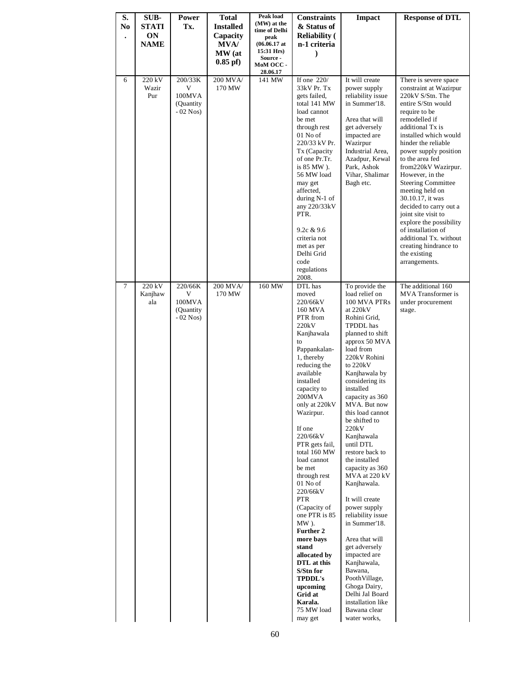| S.<br>N <sub>0</sub><br>$\bullet$ | SUB-<br><b>STATI</b><br>ON<br><b>NAME</b> | Power<br>Tx.                                       | <b>Total</b><br><b>Installed</b><br>Capacity<br>MVA/<br>MW (at<br>$0.85$ pf $)$ | Peak load<br>(MW) at the<br>time of Delhi<br>peak<br>$(06.06.17$ at<br>15:31 Hrs)<br><b>Source -</b><br>MoM OCC-<br>28.06.17 | <b>Constraints</b><br>& Status of<br><b>Reliability</b> (<br>n-1 criteria                                                                                                                                                                                                                                                                                                                                                                                                                                                                                      | Impact                                                                                                                                                                                                                                                                                                                                                                                                                                                                                                                                                                                                                                                                                      | <b>Response of DTL</b>                                                                                                                                                                                                                                                                                                                                                                                                                                                                                                                          |
|-----------------------------------|-------------------------------------------|----------------------------------------------------|---------------------------------------------------------------------------------|------------------------------------------------------------------------------------------------------------------------------|----------------------------------------------------------------------------------------------------------------------------------------------------------------------------------------------------------------------------------------------------------------------------------------------------------------------------------------------------------------------------------------------------------------------------------------------------------------------------------------------------------------------------------------------------------------|---------------------------------------------------------------------------------------------------------------------------------------------------------------------------------------------------------------------------------------------------------------------------------------------------------------------------------------------------------------------------------------------------------------------------------------------------------------------------------------------------------------------------------------------------------------------------------------------------------------------------------------------------------------------------------------------|-------------------------------------------------------------------------------------------------------------------------------------------------------------------------------------------------------------------------------------------------------------------------------------------------------------------------------------------------------------------------------------------------------------------------------------------------------------------------------------------------------------------------------------------------|
| 6                                 | 220 kV<br>Wazir<br>Pur                    | 200/33K<br>V<br>100MVA<br>(Quantity)<br>$-02$ Nos) | 200 MVA/<br>170 MW                                                              | 141 MW                                                                                                                       | If one $220/$<br>33kV Pr. Tx<br>gets failed,<br>total 141 MW<br>load cannot<br>be met<br>through rest<br>01 No of<br>220/33 kV Pr.<br>Tx (Capacity<br>of one Pr.Tr.<br>is 85 MW).<br>56 MW load<br>may get<br>affected,<br>during $N-1$ of<br>any 220/33kV<br>PTR.<br>9.2c & 9.6<br>criteria not<br>met as per<br>Delhi Grid<br>code<br>regulations<br>2008.                                                                                                                                                                                                   | It will create<br>power supply<br>reliability issue<br>in Summer'18.<br>Area that will<br>get adversely<br>impacted are<br>Wazirpur<br>Industrial Area,<br>Azadpur, Kewal<br>Park, Ashok<br>Vihar, Shalimar<br>Bagh etc.                                                                                                                                                                                                                                                                                                                                                                                                                                                                    | There is severe space<br>constraint at Wazirpur<br>220kV S/Stn. The<br>entire S/Stn would<br>require to be<br>remodelled if<br>additional Tx is<br>installed which would<br>hinder the reliable<br>power supply position<br>to the area fed<br>from220kV Wazirpur.<br>However, in the<br><b>Steering Committee</b><br>meeting held on<br>30.10.17, it was<br>decided to carry out a<br>joint site visit to<br>explore the possibility<br>of installation of<br>additional Tx. without<br>creating hindrance to<br>the existing<br>arrangements. |
| $\tau$                            | 220 kV<br>Kanjhaw<br>ala                  | 220/66K<br>V<br>100MVA<br>(Quantity)<br>$-02$ Nos) | 200 MVA/<br>170 MW                                                              | 160 MW                                                                                                                       | DTL has<br>moved<br>220/66kV<br>160 MVA<br>PTR from<br>220kV<br>Kanjhawala<br>to<br>Pappankalan-<br>1, thereby<br>reducing the<br>available<br>installed<br>capacity to<br>200MVA<br>only at 220kV<br>Wazirpur.<br>If one<br>220/66kV<br>PTR gets fail,<br>total 160 MW<br>load cannot<br>be met<br>through rest<br>01 No of<br>220/66kV<br><b>PTR</b><br>(Capacity of<br>one PTR is 85<br>$MW$ ).<br>Further 2<br>more bays<br>stand<br>allocated by<br>DTL at this<br>S/Stn for<br><b>TPDDL's</b><br>upcoming<br>Grid at<br>Karala.<br>75 MW load<br>may get | To provide the<br>load relief on<br>100 MVA PTRs<br>at $220kV$<br>Rohini Grid,<br>TPDDL has<br>planned to shift<br>approx 50 MVA<br>load from<br>220kV Rohini<br>to 220kV<br>Kanjhawala by<br>considering its<br>installed<br>capacity as 360<br>MVA. But now<br>this load cannot<br>be shifted to<br>220kV<br>Kanjhawala<br>until DTL<br>restore back to<br>the installed<br>capacity as 360<br>MVA at 220 kV<br>Kanjhawala.<br>It will create<br>power supply<br>reliability issue<br>in Summer'18.<br>Area that will<br>get adversely<br>impacted are<br>Kanjhawala,<br>Bawana,<br>PoothVillage,<br>Ghoga Dairy,<br>Delhi Jal Board<br>installation like<br>Bawana clear<br>water works, | The additional 160<br>MVA Transformer is<br>under procurement<br>stage.                                                                                                                                                                                                                                                                                                                                                                                                                                                                         |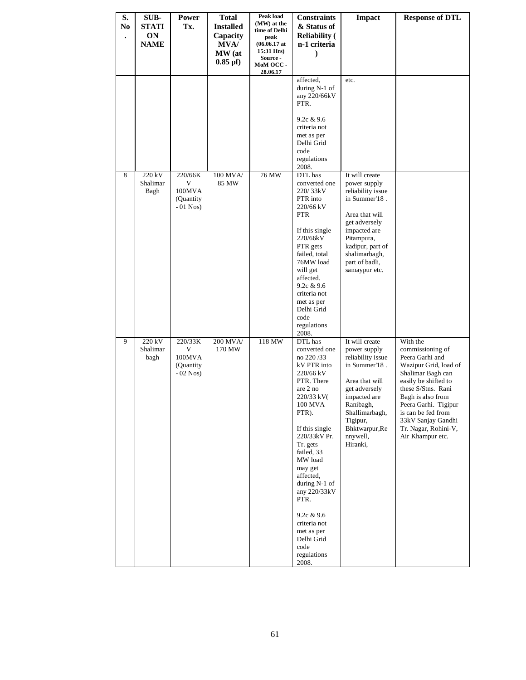| S.<br>N <sub>0</sub> | SUB-<br><b>STATI</b><br>ON<br><b>NAME</b> | Power<br>Tx.                                       | <b>Total</b><br><b>Installed</b><br>Capacity<br><b>MVA/</b><br>MW (at | Peak load<br>(MW) at the<br>time of Delhi<br>peak<br>$(06.06.17 \text{ at }$<br>15:31 Hrs)<br>Source - | <b>Constraints</b><br>& Status of<br><b>Reliability (</b><br>n-1 criteria                                                                                                                                                                                                                                                                                         | <b>Impact</b>                                                                                                                                                                                                 | <b>Response of DTL</b>                                                                                                                                                                                                                                                           |
|----------------------|-------------------------------------------|----------------------------------------------------|-----------------------------------------------------------------------|--------------------------------------------------------------------------------------------------------|-------------------------------------------------------------------------------------------------------------------------------------------------------------------------------------------------------------------------------------------------------------------------------------------------------------------------------------------------------------------|---------------------------------------------------------------------------------------------------------------------------------------------------------------------------------------------------------------|----------------------------------------------------------------------------------------------------------------------------------------------------------------------------------------------------------------------------------------------------------------------------------|
|                      |                                           |                                                    | $0.85$ pf $)$                                                         | MoM OCC -<br>28.06.17                                                                                  |                                                                                                                                                                                                                                                                                                                                                                   |                                                                                                                                                                                                               |                                                                                                                                                                                                                                                                                  |
|                      |                                           |                                                    |                                                                       |                                                                                                        | affected,<br>during $N-1$ of<br>any 220/66kV<br>PTR.                                                                                                                                                                                                                                                                                                              | etc.                                                                                                                                                                                                          |                                                                                                                                                                                                                                                                                  |
|                      |                                           |                                                    |                                                                       |                                                                                                        | 9.2c & 9.6<br>criteria not<br>met as per                                                                                                                                                                                                                                                                                                                          |                                                                                                                                                                                                               |                                                                                                                                                                                                                                                                                  |
|                      |                                           |                                                    |                                                                       |                                                                                                        | Delhi Grid<br>code<br>regulations                                                                                                                                                                                                                                                                                                                                 |                                                                                                                                                                                                               |                                                                                                                                                                                                                                                                                  |
|                      |                                           |                                                    |                                                                       |                                                                                                        | 2008.                                                                                                                                                                                                                                                                                                                                                             |                                                                                                                                                                                                               |                                                                                                                                                                                                                                                                                  |
| 8                    | 220 kV<br>Shalimar<br>Bagh                | 220/66K<br>V<br>100MVA<br>(Quantity)<br>$-01$ Nos) | 100 MVA/<br>85 MW                                                     | 76 MW                                                                                                  | DTL has<br>converted one<br>220/33kV<br>PTR into<br>220/66 kV<br><b>PTR</b><br>If this single<br>220/66kV<br>PTR gets<br>failed, total<br>76MW load<br>will get<br>affected.<br>9.2c & 9.6<br>criteria not<br>met as per<br>Delhi Grid<br>code<br>regulations<br>2008.                                                                                            | It will create<br>power supply<br>reliability issue<br>in Summer'18.<br>Area that will<br>get adversely<br>impacted are<br>Pitampura,<br>kadipur, part of<br>shalimarbagh,<br>part of badli,<br>samaypur etc. |                                                                                                                                                                                                                                                                                  |
| 9                    | 220 kV<br>Shalimar<br>bagh                | 220/33K<br>V<br>100MVA<br>(Quantity)<br>$-02$ Nos) | 200 MVA/<br>170 MW                                                    | 118 MW                                                                                                 | DTL has<br>converted one<br>no 220/33<br>kV PTR into<br>220/66 kV<br>PTR. There<br>are 2 no<br>220/33 kV(<br>100 MVA<br>PTR).<br>If this single<br>220/33kV Pr.<br>Tr. gets<br>failed, 33<br>MW load<br>may get<br>affected,<br>during $N-1$ of<br>any 220/33kV<br>PTR.<br>9.2c & 9.6<br>criteria not<br>met as per<br>Delhi Grid<br>code<br>regulations<br>2008. | It will create<br>power supply<br>reliability issue<br>in Summer'18.<br>Area that will<br>get adversely<br>impacted are<br>Ranibagh,<br>Shallimarbagh,<br>Tigipur,<br>Bhktwarpur, Re<br>nnywell,<br>Hiranki,  | With the<br>commissioning of<br>Peera Garhi and<br>Wazipur Grid, load of<br>Shalimar Bagh can<br>easily be shifted to<br>these S/Stns. Rani<br>Bagh is also from<br>Peera Garhi. Tigipur<br>is can be fed from<br>33kV Sanjay Gandhi<br>Tr. Nagar, Rohini-V,<br>Air Khampur etc. |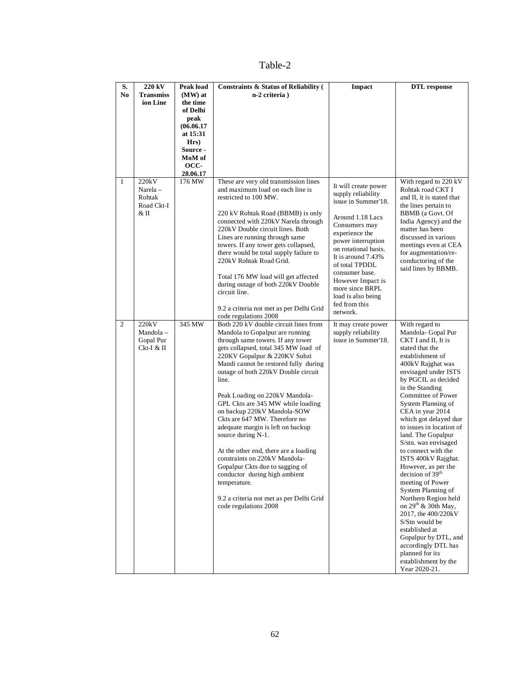# Table-2

| S.           | 220 kV                       | <b>Peak load</b>      | <b>Constraints &amp; Status of Reliability (</b>                          | Impact                                    | <b>DTL</b> response                               |
|--------------|------------------------------|-----------------------|---------------------------------------------------------------------------|-------------------------------------------|---------------------------------------------------|
| No           | <b>Transmiss</b><br>ion Line | $(MW)$ at<br>the time | n-2 criteria)                                                             |                                           |                                                   |
|              |                              | of Delhi              |                                                                           |                                           |                                                   |
|              |                              | peak                  |                                                                           |                                           |                                                   |
|              |                              | (06.06.17)            |                                                                           |                                           |                                                   |
|              |                              | at 15:31<br>Hrs)      |                                                                           |                                           |                                                   |
|              |                              | Source -              |                                                                           |                                           |                                                   |
|              |                              | MoM of                |                                                                           |                                           |                                                   |
|              |                              | OCC-                  |                                                                           |                                           |                                                   |
| $\mathbf{1}$ | 220kV                        | 28.06.17<br>176 MW    | These are very old transmission lines                                     |                                           | With regard to 220 kV                             |
|              | Narela-                      |                       | and maximum load on each line is                                          | It will create power                      | Rohtak road CKT I                                 |
|              | Rohtak<br>Road Ckt-I         |                       | restricted to 100 MW.                                                     | supply reliability<br>issue in Summer'18. | and II, it is stated that<br>the lines pertain to |
|              | & II                         |                       | 220 kV Rohtak Road (BBMB) is only                                         |                                           | BBMB (a Govt. Of                                  |
|              |                              |                       | connected with 220kV Narela through                                       | Around 1.18 Lacs<br>Consumers may         | India Agency) and the                             |
|              |                              |                       | 220kV Double circuit lines. Both                                          | experience the                            | matter has been                                   |
|              |                              |                       | Lines are running through same<br>towers. If any tower gets collapsed,    | power interruption                        | discussed in various<br>meetings even at CEA      |
|              |                              |                       | there would be total supply failure to                                    | on rotational basis.                      | for augmentation/re-                              |
|              |                              |                       | 220kV Rohtak Road Grid.                                                   | It is around 7.43%<br>of total TPDDL      | conductoring of the<br>said lines by BBMB.        |
|              |                              |                       | Total 176 MW load will get affected                                       | consumer base.                            |                                                   |
|              |                              |                       | during outage of both 220kV Double                                        | However Impact is<br>more since BRPL      |                                                   |
|              |                              |                       | circuit line.                                                             | load is also being                        |                                                   |
|              |                              |                       | 9.2 a criteria not met as per Delhi Grid                                  | fed from this                             |                                                   |
|              |                              |                       | code regulations 2008                                                     | network.                                  |                                                   |
| 2            | 220kV                        | 345 MW                | Both 220 kV double circuit lines from                                     | It may create power                       | With regard to                                    |
|              | Mandola-                     |                       | Mandola to Gopalpur are running                                           | supply reliability                        | Mandola-Gopal Pur                                 |
|              | Gopal Pur<br>Ckt-I & II      |                       | through same towers. If any tower<br>gets collapsed, total 345 MW load of | issue in Summer'18.                       | CKT I and II, It is<br>stated that the            |
|              |                              |                       | 220KV Gopalpur & 220KV Subzi                                              |                                           | establishment of                                  |
|              |                              |                       | Mandi cannot be restored fully during                                     |                                           | 400kV Rajghat was                                 |
|              |                              |                       | outage of both 220kV Double circuit<br>line.                              |                                           | envisaged under ISTS<br>by PGCIL as decided       |
|              |                              |                       |                                                                           |                                           | in the Standing                                   |
|              |                              |                       | Peak Loading on 220kV Mandola-                                            |                                           | Committee of Power                                |
|              |                              |                       | GPL Ckts are 345 MW while loading                                         |                                           | System Planning of                                |
|              |                              |                       | on backup 220kV Mandola-SOW<br>Ckts are 647 MW. Therefore no              |                                           | CEA in year 2014<br>which got delayed due         |
|              |                              |                       | adequate margin is left on backup                                         |                                           | to issues in location of                          |
|              |                              |                       | source during N-1.                                                        |                                           | land. The Gopalpur                                |
|              |                              |                       |                                                                           |                                           | S/stn. was envisaged                              |
|              |                              |                       | At the other end, there are a loading<br>constraints on 220kV Mandola-    |                                           | to connect with the<br>ISTS 400kV Rajghat.        |
|              |                              |                       | Gopalpur Ckts due to sagging of                                           |                                           | However, as per the                               |
|              |                              |                       | conductor during high ambient                                             |                                           | decision of 39 <sup>th</sup>                      |
|              |                              |                       | temperature.                                                              |                                           | meeting of Power                                  |
|              |                              |                       | 9.2 a criteria not met as per Delhi Grid                                  |                                           | System Planning of<br>Northern Region held        |
|              |                              |                       | code regulations 2008                                                     |                                           | on $29^{th}$ & 30th May,                          |
|              |                              |                       |                                                                           |                                           | 2017, the 400/220kV                               |
|              |                              |                       |                                                                           |                                           | S/Stn would be<br>established at                  |
|              |                              |                       |                                                                           |                                           | Gopalpur by DTL, and                              |
|              |                              |                       |                                                                           |                                           | accordingly DTL has                               |
|              |                              |                       |                                                                           |                                           | planned for its                                   |
|              |                              |                       |                                                                           |                                           | establishment by the<br>Year 2020-21.             |
|              |                              |                       |                                                                           |                                           |                                                   |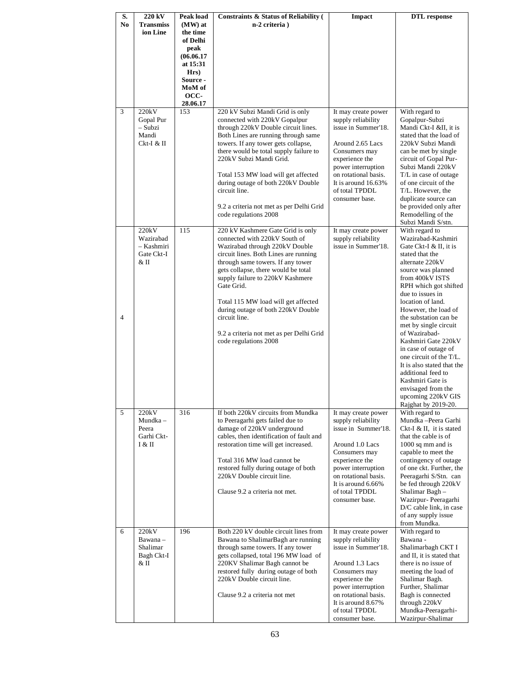| S.  | 220 kV                  | Peak load        | <b>Constraints &amp; Status of Reliability (</b>                          | Impact                                      | <b>DTL</b> response                               |
|-----|-------------------------|------------------|---------------------------------------------------------------------------|---------------------------------------------|---------------------------------------------------|
| No. | <b>Transmiss</b>        | (MW) at          | n-2 criteria)                                                             |                                             |                                                   |
|     | ion Line                | the time         |                                                                           |                                             |                                                   |
|     |                         | of Delhi<br>peak |                                                                           |                                             |                                                   |
|     |                         | (06.06.17)       |                                                                           |                                             |                                                   |
|     |                         | at 15:31         |                                                                           |                                             |                                                   |
|     |                         | Hrs)             |                                                                           |                                             |                                                   |
|     |                         | Source -         |                                                                           |                                             |                                                   |
|     |                         | MoM of           |                                                                           |                                             |                                                   |
|     |                         | OCC-             |                                                                           |                                             |                                                   |
|     |                         | 28.06.17         |                                                                           |                                             |                                                   |
| 3   | 220kV<br>Gopal Pur      | 153              | 220 kV Subzi Mandi Grid is only<br>connected with 220kV Gopalpur          | It may create power<br>supply reliability   | With regard to<br>Gopalpur-Subzi                  |
|     | - Subzi                 |                  | through 220kV Double circuit lines.                                       | issue in Summer'18.                         | Mandi Ckt-I &II, it is                            |
|     | Mandi                   |                  | Both Lines are running through same                                       |                                             | stated that the load of                           |
|     | Ckt-I & II              |                  | towers. If any tower gets collapse,                                       | Around 2.65 Lacs                            | 220kV Subzi Mandi                                 |
|     |                         |                  | there would be total supply failure to                                    | Consumers may                               | can be met by single                              |
|     |                         |                  | 220kV Subzi Mandi Grid.                                                   | experience the                              | circuit of Gopal Pur-                             |
|     |                         |                  |                                                                           | power interruption                          | Subzi Mandi 220kV                                 |
|     |                         |                  | Total 153 MW load will get affected<br>during outage of both 220kV Double | on rotational basis.<br>It is around 16.63% | T/L in case of outage<br>of one circuit of the    |
|     |                         |                  | circuit line.                                                             | of total TPDDL                              | T/L. However, the                                 |
|     |                         |                  |                                                                           | consumer base.                              | duplicate source can                              |
|     |                         |                  | 9.2 a criteria not met as per Delhi Grid                                  |                                             | be provided only after                            |
|     |                         |                  | code regulations 2008                                                     |                                             | Remodelling of the                                |
|     |                         |                  |                                                                           |                                             | Subzi Mandi S/stn.                                |
|     | 220kV                   | 115              | 220 kV Kashmere Gate Grid is only                                         | It may create power                         | With regard to                                    |
|     | Wazirabad<br>- Kashmiri |                  | connected with 220kV South of<br>Wazirabad through 220kV Double           | supply reliability<br>issue in Summer'18.   | Wazirabad-Kashmiri<br>Gate Ckt-I & II. it is      |
|     | Gate Ckt-I              |                  | circuit lines. Both Lines are running                                     |                                             | stated that the                                   |
|     | & II                    |                  | through same towers. If any tower                                         |                                             | alternate 220kV                                   |
|     |                         |                  | gets collapse, there would be total                                       |                                             | source was planned                                |
|     |                         |                  | supply failure to 220kV Kashmere                                          |                                             | from 400kV ISTS                                   |
|     |                         |                  | Gate Grid.                                                                |                                             | RPH which got shifted                             |
|     |                         |                  |                                                                           |                                             | due to issues in                                  |
|     |                         |                  | Total 115 MW load will get affected<br>during outage of both 220kV Double |                                             | location of land.<br>However, the load of         |
| 4   |                         |                  | circuit line.                                                             |                                             | the substation can be                             |
|     |                         |                  |                                                                           |                                             | met by single circuit                             |
|     |                         |                  | 9.2 a criteria not met as per Delhi Grid                                  |                                             | of Wazirabad-                                     |
|     |                         |                  | code regulations 2008                                                     |                                             | Kashmiri Gate 220kV                               |
|     |                         |                  |                                                                           |                                             | in case of outage of<br>one circuit of the T/L.   |
|     |                         |                  |                                                                           |                                             | It is also stated that the                        |
|     |                         |                  |                                                                           |                                             | additional feed to                                |
|     |                         |                  |                                                                           |                                             | Kashmiri Gate is                                  |
|     |                         |                  |                                                                           |                                             | envisaged from the                                |
|     |                         |                  |                                                                           |                                             | upcoming 220kV GIS                                |
| 5   | 220kV                   | 316              | If both 220kV circuits from Mundka                                        | It may create power                         | Rajghat by 2019-20.<br>With regard to             |
|     | Mundka -                |                  | to Peeragarhi gets failed due to                                          | supply reliability                          | Mundka - Peera Garhi                              |
|     | Peera                   |                  | damage of 220kV underground                                               | issue in Summer'18.                         | Ckt-I & II. it is stated                          |
|     | Garhi Ckt-              |                  | cables, then identification of fault and                                  |                                             | that the cable is of                              |
|     | I & II                  |                  | restoration time will get increased.                                      | Around 1.0 Lacs                             | 1000 sq mm and is                                 |
|     |                         |                  |                                                                           | Consumers may                               | capable to meet the                               |
|     |                         |                  | Total 316 MW load cannot be<br>restored fully during outage of both       | experience the<br>power interruption        | contingency of outage<br>of one ckt. Further, the |
|     |                         |                  | 220kV Double circuit line.                                                | on rotational basis.                        | Peeragarhi S/Stn. can                             |
|     |                         |                  |                                                                           | It is around $6.66\%$                       | be fed through 220kV                              |
|     |                         |                  | Clause 9.2 a criteria not met.                                            | of total TPDDL                              | Shalimar Bagh -                                   |
|     |                         |                  |                                                                           | consumer base.                              | Wazirpur- Peeragarhi                              |
|     |                         |                  |                                                                           |                                             | D/C cable link, in case                           |
|     |                         |                  |                                                                           |                                             | of any supply issue<br>from Mundka.               |
| 6   | 220kV                   | 196              | Both 220 kV double circuit lines from                                     | It may create power                         | With regard to                                    |
|     | Bawana -                |                  | Bawana to ShalimarBagh are running                                        | supply reliability                          | Bawana -                                          |
|     | Shalimar                |                  | through same towers. If any tower                                         | issue in Summer'18.                         | Shalimarbagh CKT I                                |
|     | Bagh Ckt-I              |                  | gets collapsed, total 196 MW load of                                      |                                             | and II, it is stated that                         |
|     | & II                    |                  | 220KV Shalimar Bagh cannot be                                             | Around 1.3 Lacs                             | there is no issue of                              |
|     |                         |                  | restored fully during outage of both<br>220kV Double circuit line.        | Consumers may<br>experience the             | meeting the load of<br>Shalimar Bagh.             |
|     |                         |                  |                                                                           | power interruption                          | Further, Shalimar                                 |
|     |                         |                  | Clause 9.2 a criteria not met                                             | on rotational basis.                        | Bagh is connected                                 |
|     |                         |                  |                                                                           | It is around 8.67%                          | through 220kV                                     |
|     |                         |                  |                                                                           | of total TPDDL                              | Mundka-Peeragarhi-                                |
|     |                         |                  |                                                                           | consumer base.                              | Wazirpur-Shalimar                                 |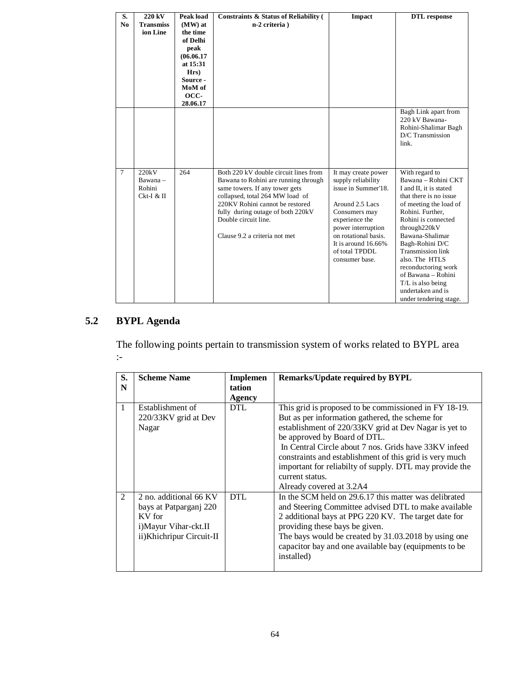| S.             | 220 kV                                    | Peak load              | <b>Constraints &amp; Status of Reliability (</b>                                                                                                                                                                                                                                    | <b>Impact</b>                                                                                                                                                                                                                      | <b>DTL</b> response                                                                                                                                                                                                                                                                                                                                                                 |
|----------------|-------------------------------------------|------------------------|-------------------------------------------------------------------------------------------------------------------------------------------------------------------------------------------------------------------------------------------------------------------------------------|------------------------------------------------------------------------------------------------------------------------------------------------------------------------------------------------------------------------------------|-------------------------------------------------------------------------------------------------------------------------------------------------------------------------------------------------------------------------------------------------------------------------------------------------------------------------------------------------------------------------------------|
| N <sub>0</sub> | <b>Transmiss</b><br>ion Line              | (MW) at<br>the time    | n-2 criteria)                                                                                                                                                                                                                                                                       |                                                                                                                                                                                                                                    |                                                                                                                                                                                                                                                                                                                                                                                     |
|                |                                           | of Delhi               |                                                                                                                                                                                                                                                                                     |                                                                                                                                                                                                                                    |                                                                                                                                                                                                                                                                                                                                                                                     |
|                |                                           | peak                   |                                                                                                                                                                                                                                                                                     |                                                                                                                                                                                                                                    |                                                                                                                                                                                                                                                                                                                                                                                     |
|                |                                           | (06.06.17)<br>at 15:31 |                                                                                                                                                                                                                                                                                     |                                                                                                                                                                                                                                    |                                                                                                                                                                                                                                                                                                                                                                                     |
|                |                                           | $Hrs$ )                |                                                                                                                                                                                                                                                                                     |                                                                                                                                                                                                                                    |                                                                                                                                                                                                                                                                                                                                                                                     |
|                |                                           | Source -               |                                                                                                                                                                                                                                                                                     |                                                                                                                                                                                                                                    |                                                                                                                                                                                                                                                                                                                                                                                     |
|                |                                           | MoM of                 |                                                                                                                                                                                                                                                                                     |                                                                                                                                                                                                                                    |                                                                                                                                                                                                                                                                                                                                                                                     |
|                |                                           | OCC-<br>28.06.17       |                                                                                                                                                                                                                                                                                     |                                                                                                                                                                                                                                    |                                                                                                                                                                                                                                                                                                                                                                                     |
|                |                                           |                        |                                                                                                                                                                                                                                                                                     |                                                                                                                                                                                                                                    | Bagh Link apart from<br>220 kV Bawana-<br>Rohini-Shalimar Bagh<br>D/C Transmission<br>link.                                                                                                                                                                                                                                                                                         |
| $\tau$         | 220kV<br>Bawana -<br>Rohini<br>Ckt-I & II | 264                    | Both 220 kV double circuit lines from<br>Bawana to Rohini are running through<br>same towers. If any tower gets<br>collapsed, total 264 MW load of<br>220KV Rohini cannot be restored<br>fully during outage of both 220kV<br>Double circuit line.<br>Clause 9.2 a criteria not met | It may create power<br>supply reliability<br>issue in Summer'18.<br>Around 2.5 Lacs<br>Consumers may<br>experience the<br>power interruption<br>on rotational basis.<br>It is around $16.66\%$<br>of total TPDDL<br>consumer base. | With regard to<br>Bawana - Rohini CKT<br>I and II, it is stated<br>that there is no issue<br>of meeting the load of<br>Rohini. Further.<br>Rohini is connected<br>through220kV<br>Bawana-Shalimar<br>Bagh-Rohini D/C<br><b>Transmission link</b><br>also. The HTLS<br>reconductoring work<br>of Bawana - Rohini<br>T/L is also being<br>undertaken and is<br>under tendering stage. |

# **5.2 BYPL Agenda**

The following points pertain to transmission system of works related to BYPL area :-

| S.             | <b>Scheme Name</b>                                                                                              | <b>Implemen</b> | <b>Remarks/Update required by BYPL</b>                                                                                                                                                                                                                                                                                                                                                              |
|----------------|-----------------------------------------------------------------------------------------------------------------|-----------------|-----------------------------------------------------------------------------------------------------------------------------------------------------------------------------------------------------------------------------------------------------------------------------------------------------------------------------------------------------------------------------------------------------|
| N              |                                                                                                                 | tation          |                                                                                                                                                                                                                                                                                                                                                                                                     |
|                |                                                                                                                 | Agency          |                                                                                                                                                                                                                                                                                                                                                                                                     |
| 1              | Establishment of<br>220/33KV grid at Dev<br>Nagar                                                               | DTL.            | This grid is proposed to be commissioned in FY 18-19.<br>But as per information gathered, the scheme for<br>establishment of 220/33KV grid at Dev Nagar is yet to<br>be approved by Board of DTL.<br>In Central Circle about 7 nos. Grids have 33KV infeed<br>constraints and establishment of this grid is very much<br>important for reliabilty of supply. DTL may provide the<br>current status. |
| $\mathfrak{D}$ | 2 no. additional 66 KV<br>bays at Patparganj 220<br>KV for<br>i) Mayur Vihar-ckt.II<br>ii)Khichripur Circuit-II | DTL             | Already covered at 3.2A4<br>In the SCM held on 29.6.17 this matter was delibrated<br>and Steering Committee advised DTL to make available<br>2 additional bays at PPG 220 KV. The target date for<br>providing these bays be given.<br>The bays would be created by 31.03.2018 by using one<br>capacitor bay and one available bay (equipments to be<br>installed)                                  |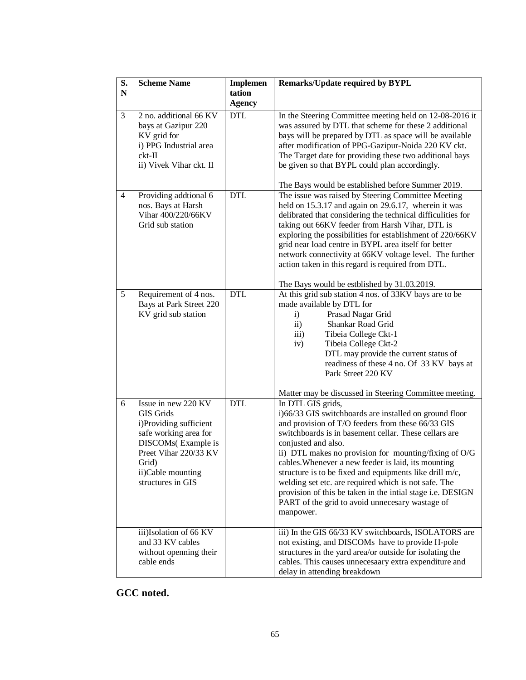| S.<br>${\bf N}$ | <b>Scheme Name</b>                                                                                                                                                                           | <b>Implemen</b><br>tation | <b>Remarks/Update required by BYPL</b>                                                                                                                                                                                                                                                                                                                                                                                                                                                                                                                                            |
|-----------------|----------------------------------------------------------------------------------------------------------------------------------------------------------------------------------------------|---------------------------|-----------------------------------------------------------------------------------------------------------------------------------------------------------------------------------------------------------------------------------------------------------------------------------------------------------------------------------------------------------------------------------------------------------------------------------------------------------------------------------------------------------------------------------------------------------------------------------|
|                 |                                                                                                                                                                                              | <b>Agency</b>             |                                                                                                                                                                                                                                                                                                                                                                                                                                                                                                                                                                                   |
| 3               | 2 no. additional 66 KV<br>bays at Gazipur 220<br>KV grid for<br>i) PPG Industrial area<br>$ckt-II$<br>ii) Vivek Vihar ckt. II                                                                | <b>DTL</b>                | In the Steering Committee meeting held on 12-08-2016 it<br>was assured by DTL that scheme for these 2 additional<br>bays will be prepared by DTL as space will be available<br>after modification of PPG-Gazipur-Noida 220 KV ckt.<br>The Target date for providing these two additional bays<br>be given so that BYPL could plan accordingly.<br>The Bays would be established before Summer 2019.                                                                                                                                                                               |
| $\overline{4}$  | Providing addtional 6<br>nos. Bays at Harsh<br>Vihar 400/220/66KV<br>Grid sub station                                                                                                        | <b>DTL</b>                | The issue was raised by Steering Committee Meeting<br>held on 15.3.17 and again on 29.6.17, wherein it was<br>delibrated that considering the technical difficulities for<br>taking out 66KV feeder from Harsh Vihar, DTL is<br>exploring the possibilities for establishment of 220/66KV<br>grid near load centre in BYPL area itself for better<br>network connectivity at 66KV voltage level. The further<br>action taken in this regard is required from DTL.<br>The Bays would be estblished by 31.03.2019.                                                                  |
| 5               | Requirement of 4 nos.<br>Bays at Park Street 220<br>KV grid sub station                                                                                                                      | <b>DTL</b>                | At this grid sub station 4 nos. of 33KV bays are to be<br>made available by DTL for<br>Prasad Nagar Grid<br>$\mathbf{i}$<br>Shankar Road Grid<br>$\mathbf{ii}$<br>iii)<br>Tibeia College Ckt-1<br>iv)<br>Tibeia College Ckt-2<br>DTL may provide the current status of<br>readiness of these 4 no. Of 33 KV bays at<br>Park Street 220 KV<br>Matter may be discussed in Steering Committee meeting.                                                                                                                                                                               |
| 6               | Issue in new 220 KV<br><b>GIS Grids</b><br>i)Providing sufficient<br>safe working area for<br>DISCOMs(Example is<br>Preet Vihar 220/33 KV<br>Grid)<br>ii)Cable mounting<br>structures in GIS | <b>DTL</b>                | In DTL GIS grids,<br>i)66/33 GIS switchboards are installed on ground floor<br>and provision of T/O feeders from these 66/33 GIS<br>switchboards is in basement cellar. These cellars are<br>conjusted and also.<br>ii) DTL makes no provision for mounting/fixing of O/G<br>cables. Whenever a new feeder is laid, its mounting<br>structure is to be fixed and equipments like drill m/c,<br>welding set etc. are required which is not safe. The<br>provision of this be taken in the intial stage i.e. DESIGN<br>PART of the grid to avoid unnecesary wastage of<br>manpower. |
|                 | iii)Isolation of 66 KV<br>and 33 KV cables<br>without openning their<br>cable ends                                                                                                           |                           | iii) In the GIS 66/33 KV switchboards, ISOLATORS are<br>not existing, and DISCOMs have to provide H-pole<br>structures in the yard area/or outside for isolating the<br>cables. This causes unnecesaary extra expenditure and<br>delay in attending breakdown                                                                                                                                                                                                                                                                                                                     |

**GCC noted.**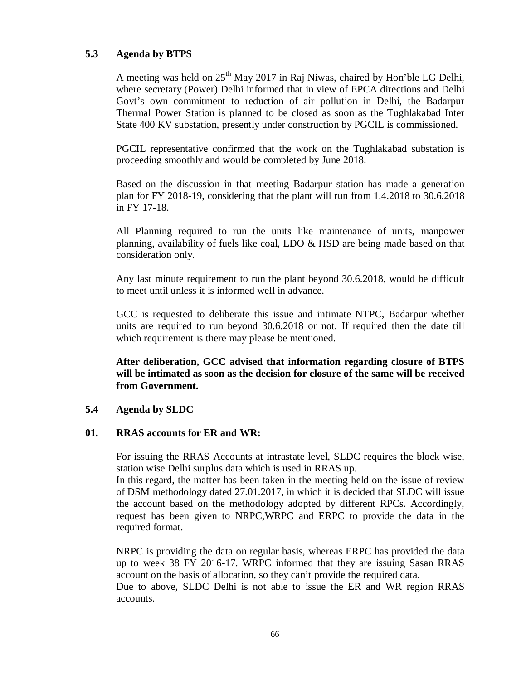# **5.3 Agenda by BTPS**

A meeting was held on  $25<sup>th</sup>$  May 2017 in Raj Niwas, chaired by Hon'ble LG Delhi, where secretary (Power) Delhi informed that in view of EPCA directions and Delhi Govt's own commitment to reduction of air pollution in Delhi, the Badarpur Thermal Power Station is planned to be closed as soon as the Tughlakabad Inter State 400 KV substation, presently under construction by PGCIL is commissioned.

PGCIL representative confirmed that the work on the Tughlakabad substation is proceeding smoothly and would be completed by June 2018.

Based on the discussion in that meeting Badarpur station has made a generation plan for FY 2018-19, considering that the plant will run from 1.4.2018 to 30.6.2018 in FY 17-18.

All Planning required to run the units like maintenance of units, manpower planning, availability of fuels like coal, LDO & HSD are being made based on that consideration only.

Any last minute requirement to run the plant beyond 30.6.2018, would be difficult to meet until unless it is informed well in advance.

GCC is requested to deliberate this issue and intimate NTPC, Badarpur whether units are required to run beyond 30.6.2018 or not. If required then the date till which requirement is there may please be mentioned.

**After deliberation, GCC advised that information regarding closure of BTPS will be intimated as soon as the decision for closure of the same will be received from Government.**

# **5.4 Agenda by SLDC**

## **01. RRAS accounts for ER and WR:**

For issuing the RRAS Accounts at intrastate level, SLDC requires the block wise, station wise Delhi surplus data which is used in RRAS up.

In this regard, the matter has been taken in the meeting held on the issue of review of DSM methodology dated 27.01.2017, in which it is decided that SLDC will issue the account based on the methodology adopted by different RPCs. Accordingly, request has been given to NRPC,WRPC and ERPC to provide the data in the required format.

NRPC is providing the data on regular basis, whereas ERPC has provided the data up to week 38 FY 2016-17. WRPC informed that they are issuing Sasan RRAS account on the basis of allocation, so they can't provide the required data.

Due to above, SLDC Delhi is not able to issue the ER and WR region RRAS accounts.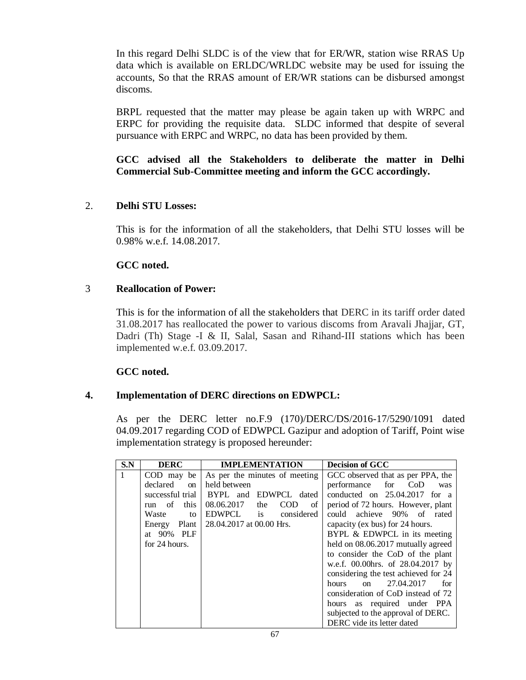In this regard Delhi SLDC is of the view that for ER/WR, station wise RRAS Up data which is available on ERLDC/WRLDC website may be used for issuing the accounts, So that the RRAS amount of ER/WR stations can be disbursed amongst discoms.

BRPL requested that the matter may please be again taken up with WRPC and ERPC for providing the requisite data. SLDC informed that despite of several pursuance with ERPC and WRPC, no data has been provided by them.

**GCC advised all the Stakeholders to deliberate the matter in Delhi Commercial Sub-Committee meeting and inform the GCC accordingly.** 

# 2. **Delhi STU Losses:**

This is for the information of all the stakeholders, that Delhi STU losses will be 0.98% w.e.f. 14.08.2017.

# **GCC noted.**

# 3 **Reallocation of Power:**

This is for the information of all the stakeholders that DERC in its tariff order dated 31.08.2017 has reallocated the power to various discoms from Aravali Jhajjar, GT, Dadri (Th) Stage -I & II, Salal, Sasan and Rihand-III stations which has been implemented w.e.f. 03.09.2017.

# **GCC noted.**

# **4. Implementation of DERC directions on EDWPCL:**

As per the DERC letter no.F.9 (170)/DERC/DS/2016-17/5290/1091 dated 04.09.2017 regarding COD of EDWPCL Gazipur and adoption of Tariff, Point wise implementation strategy is proposed hereunder:

| S.N | <b>DERC</b>       | <b>IMPLEMENTATION</b>                 | Decision of GCC                       |
|-----|-------------------|---------------------------------------|---------------------------------------|
| 1   | COD may be        | As per the minutes of meeting         | GCC observed that as per PPA, the     |
|     | declared<br>on    | held between                          | performance<br>for CoD<br>was         |
|     | successful trial  | BYPL and EDWPCL dated                 | conducted on $25.04.2017$ for a       |
|     | this<br>of<br>run | 08.06.2017<br><b>COD</b><br>the<br>οf | period of 72 hours. However, plant    |
|     | Waste<br>to       | EDWPCL is<br>considered               | could achieve 90% of rated            |
|     | Plant  <br>Energy | 28.04.2017 at 00.00 Hrs.              | capacity (ex bus) for 24 hours.       |
|     | at 90% PLF        |                                       | BYPL & EDWPCL in its meeting          |
|     | for 24 hours.     |                                       | held on 08.06.2017 mutually agreed    |
|     |                   |                                       | to consider the CoD of the plant      |
|     |                   |                                       | w.e.f. 00.00hrs. of 28.04.2017 by     |
|     |                   |                                       | considering the test achieved for 24  |
|     |                   |                                       | 27.04.2017<br>hours<br>for<br>on      |
|     |                   |                                       | consideration of CoD instead of 72    |
|     |                   |                                       | hours as required under<br><b>PPA</b> |
|     |                   |                                       | subjected to the approval of DERC.    |
|     |                   |                                       | DERC vide its letter dated            |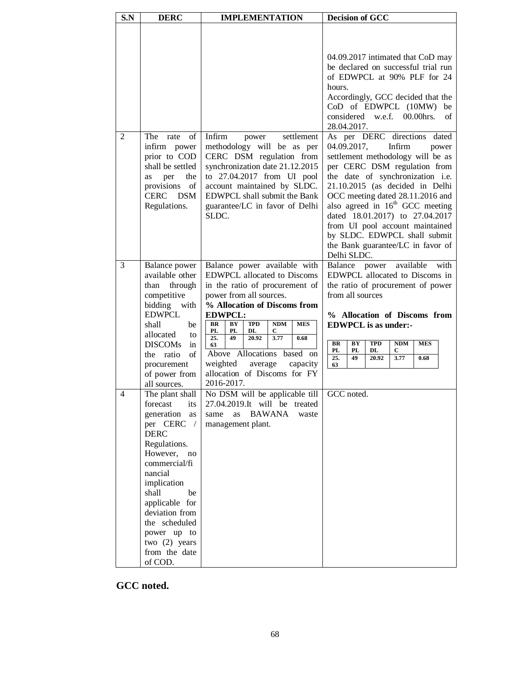| S.N            | <b>DERC</b>                                                                                                                                                                                                                                                                                                 | <b>IMPLEMENTATION</b>                                                                                                                                                                                                                                                                                                                                                                                                        | <b>Decision of GCC</b>                                                                                                                                                                                                                                                                                                                                                                                                                        |  |
|----------------|-------------------------------------------------------------------------------------------------------------------------------------------------------------------------------------------------------------------------------------------------------------------------------------------------------------|------------------------------------------------------------------------------------------------------------------------------------------------------------------------------------------------------------------------------------------------------------------------------------------------------------------------------------------------------------------------------------------------------------------------------|-----------------------------------------------------------------------------------------------------------------------------------------------------------------------------------------------------------------------------------------------------------------------------------------------------------------------------------------------------------------------------------------------------------------------------------------------|--|
|                |                                                                                                                                                                                                                                                                                                             |                                                                                                                                                                                                                                                                                                                                                                                                                              | 04.09.2017 intimated that CoD may<br>be declared on successful trial run<br>of EDWPCL at 90% PLF for 24<br>hours.<br>Accordingly, GCC decided that the<br>CoD of EDWPCL (10MW)<br>be<br>considered<br>w.e.f.<br>$00.00$ hrs.<br>of<br>28.04.2017.                                                                                                                                                                                             |  |
| $\overline{2}$ | The<br>of<br>rate<br>infirm power<br>prior to COD<br>shall be settled<br>the<br>per<br>as<br>provisions<br>of<br><b>CERC</b><br><b>DSM</b><br>Regulations.                                                                                                                                                  | Infirm<br>settlement<br>power<br>methodology will be as per<br>CERC DSM regulation from<br>synchronization date 21.12.2015<br>to 27.04.2017 from UI pool<br>account maintained by SLDC.<br>EDWPCL shall submit the Bank<br>guarantee/LC in favor of Delhi<br>SLDC.                                                                                                                                                           | As per DERC directions dated<br>04.09.2017,<br>Infirm<br>power<br>settlement methodology will be as<br>per CERC DSM regulation from<br>the date of synchronization i.e.<br>21.10.2015 (as decided in Delhi<br>OCC meeting dated 28.11.2016 and<br>also agreed in $16th$ GCC meeting<br>dated 18.01.2017) to 27.04.2017<br>from UI pool account maintained<br>by SLDC. EDWPCL shall submit<br>the Bank guarantee/LC in favor of<br>Delhi SLDC. |  |
| 3              | Balance power<br>available other<br>through<br>than<br>competitive<br>bidding<br>with<br><b>EDWPCL</b><br>shall<br>be<br>allocated<br>to<br><b>DISCOMs</b><br>in<br>of<br>ratio<br>the<br>procurement<br>of power from<br>all sources.                                                                      | Balance power available with<br><b>EDWPCL</b> allocated to Discoms<br>in the ratio of procurement of<br>power from all sources.<br>% Allocation of Discoms from<br><b>EDWPCL:</b><br><b>BR</b><br><b>TPD</b><br>NDM<br><b>MES</b><br>BY<br>PL<br>PL<br>DL<br>С<br>25.<br>49<br>3.77<br>20.92<br>0.68<br>63<br>Above Allocations based<br>on<br>weighted<br>average<br>capacity<br>allocation of Discoms for FY<br>2016-2017. | available<br>Balance<br>power<br>with<br>EDWPCL allocated to Discoms in<br>the ratio of procurement of power<br>from all sources<br>% Allocation of Discoms from<br><b>EDWPCL</b> is as under:-<br>BR<br>BY<br><b>TPD</b><br>NDM<br><b>MES</b><br>PL<br>PL<br>DL<br>С<br>3.77<br>0.68<br>25.<br>49<br>20.92<br>63                                                                                                                             |  |
| $\overline{4}$ | The plant shall<br>forecast<br>its<br>generation<br>as<br>per CERC<br>$\sqrt{2}$<br><b>DERC</b><br>Regulations.<br>However, no<br>commercial/fi<br>nancial<br>implication<br>shall<br>be<br>applicable for<br>deviation from<br>the scheduled<br>power up to<br>two $(2)$ years<br>from the date<br>of COD. | No DSM will be applicable till<br>27.04.2019.It will be treated<br>BAWANA<br>same<br>as<br>waste<br>management plant.                                                                                                                                                                                                                                                                                                        | GCC noted.                                                                                                                                                                                                                                                                                                                                                                                                                                    |  |

**GCC noted.**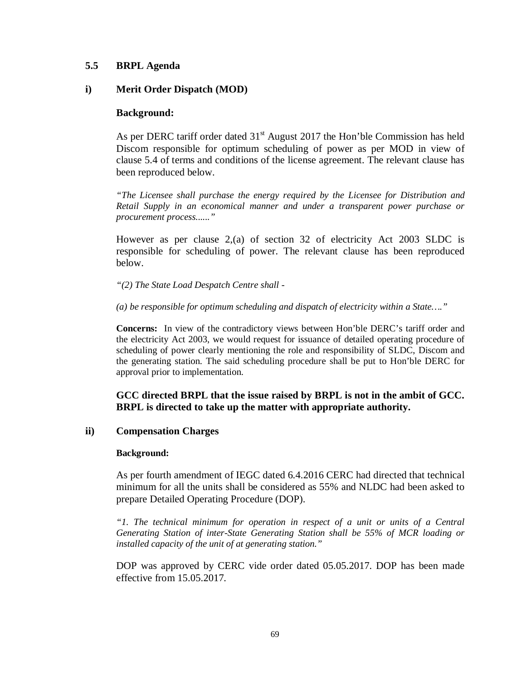# **5.5 BRPL Agenda**

## **i) Merit Order Dispatch (MOD)**

## **Background:**

As per DERC tariff order dated  $31<sup>st</sup>$  August 2017 the Hon'ble Commission has held Discom responsible for optimum scheduling of power as per MOD in view of clause 5.4 of terms and conditions of the license agreement. The relevant clause has been reproduced below.

*"The Licensee shall purchase the energy required by the Licensee for Distribution and Retail Supply in an economical manner and under a transparent power purchase or procurement process......"*

However as per clause 2,(a) of section 32 of electricity Act 2003 SLDC is responsible for scheduling of power. The relevant clause has been reproduced below.

*"(2) The State Load Despatch Centre shall -*

*(a) be responsible for optimum scheduling and dispatch of electricity within a State…."*

**Concerns:** In view of the contradictory views between Hon'ble DERC's tariff order and the electricity Act 2003, we would request for issuance of detailed operating procedure of scheduling of power clearly mentioning the role and responsibility of SLDC, Discom and the generating station. The said scheduling procedure shall be put to Hon'ble DERC for approval prior to implementation.

**GCC directed BRPL that the issue raised by BRPL is not in the ambit of GCC. BRPL is directed to take up the matter with appropriate authority.**

# **ii) Compensation Charges**

## **Background:**

As per fourth amendment of IEGC dated 6.4.2016 CERC had directed that technical minimum for all the units shall be considered as 55% and NLDC had been asked to prepare Detailed Operating Procedure (DOP).

*"1. The technical minimum for operation in respect of a unit or units of a Central Generating Station of inter-State Generating Station shall be 55% of MCR loading or installed capacity of the unit of at generating station."*

DOP was approved by CERC vide order dated 05.05.2017. DOP has been made effective from 15.05.2017.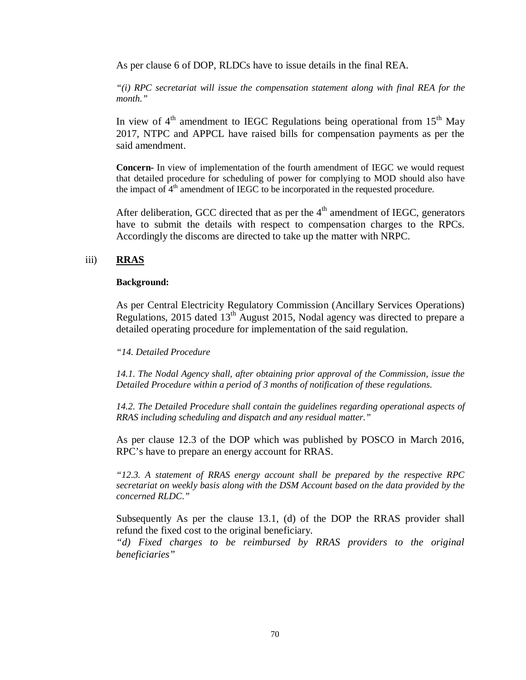As per clause 6 of DOP, RLDCs have to issue details in the final REA.

*"(i) RPC secretariat will issue the compensation statement along with final REA for the month."*

In view of  $4<sup>th</sup>$  amendment to IEGC Regulations being operational from  $15<sup>th</sup>$  May 2017, NTPC and APPCL have raised bills for compensation payments as per the said amendment.

**Concern-** In view of implementation of the fourth amendment of IEGC we would request that detailed procedure for scheduling of power for complying to MOD should also have the impact of  $4<sup>th</sup>$  amendment of IEGC to be incorporated in the requested procedure.

After deliberation, GCC directed that as per the  $4<sup>th</sup>$  amendment of IEGC, generators have to submit the details with respect to compensation charges to the RPCs. Accordingly the discoms are directed to take up the matter with NRPC.

# iii) **RRAS**

#### **Background:**

As per Central Electricity Regulatory Commission (Ancillary Services Operations) Regulations, 2015 dated 13<sup>th</sup> August 2015, Nodal agency was directed to prepare a detailed operating procedure for implementation of the said regulation.

## *"14. Detailed Procedure*

*14.1. The Nodal Agency shall, after obtaining prior approval of the Commission, issue the Detailed Procedure within a period of 3 months of notification of these regulations.* 

14.2. The Detailed Procedure shall contain the guidelines regarding operational aspects of *RRAS including scheduling and dispatch and any residual matter."*

As per clause 12.3 of the DOP which was published by POSCO in March 2016, RPC's have to prepare an energy account for RRAS.

*"12.3. A statement of RRAS energy account shall be prepared by the respective RPC secretariat on weekly basis along with the DSM Account based on the data provided by the concerned RLDC."*

Subsequently As per the clause 13.1, (d) of the DOP the RRAS provider shall refund the fixed cost to the original beneficiary.

*"d) Fixed charges to be reimbursed by RRAS providers to the original beneficiaries"*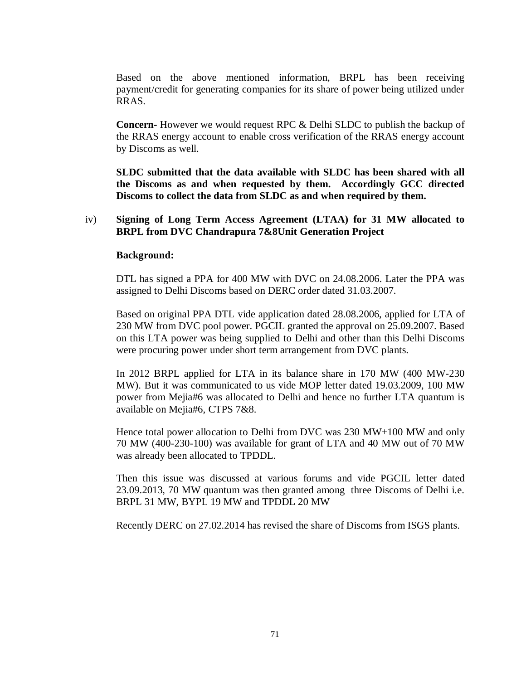Based on the above mentioned information, BRPL has been receiving payment/credit for generating companies for its share of power being utilized under RRAS.

**Concern-** However we would request RPC & Delhi SLDC to publish the backup of the RRAS energy account to enable cross verification of the RRAS energy account by Discoms as well.

**SLDC submitted that the data available with SLDC has been shared with all the Discoms as and when requested by them. Accordingly GCC directed Discoms to collect the data from SLDC as and when required by them.**

# iv) **Signing of Long Term Access Agreement (LTAA) for 31 MW allocated to BRPL from DVC Chandrapura 7&8Unit Generation Project**

## **Background:**

DTL has signed a PPA for 400 MW with DVC on 24.08.2006. Later the PPA was assigned to Delhi Discoms based on DERC order dated 31.03.2007.

Based on original PPA DTL vide application dated 28.08.2006, applied for LTA of 230 MW from DVC pool power. PGCIL granted the approval on 25.09.2007. Based on this LTA power was being supplied to Delhi and other than this Delhi Discoms were procuring power under short term arrangement from DVC plants.

In 2012 BRPL applied for LTA in its balance share in 170 MW (400 MW-230 MW). But it was communicated to us vide MOP letter dated 19.03.2009, 100 MW power from Mejia#6 was allocated to Delhi and hence no further LTA quantum is available on Mejia#6, CTPS 7&8.

Hence total power allocation to Delhi from DVC was 230 MW+100 MW and only 70 MW (400-230-100) was available for grant of LTA and 40 MW out of 70 MW was already been allocated to TPDDL.

Then this issue was discussed at various forums and vide PGCIL letter dated 23.09.2013, 70 MW quantum was then granted among three Discoms of Delhi i.e. BRPL 31 MW, BYPL 19 MW and TPDDL 20 MW

Recently DERC on 27.02.2014 has revised the share of Discoms from ISGS plants.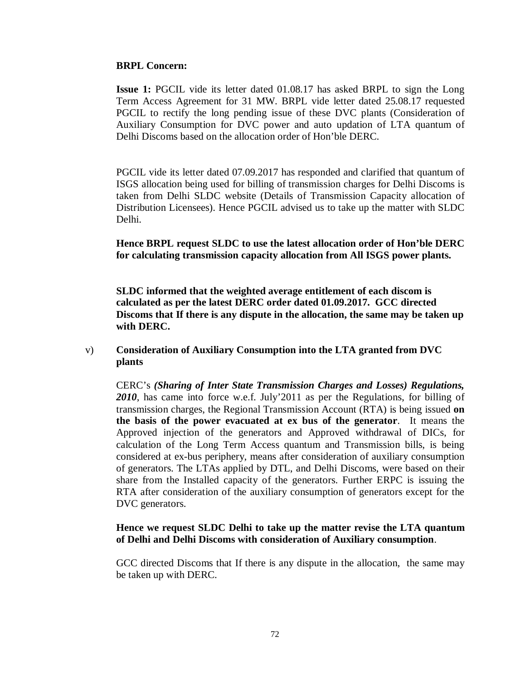## **BRPL Concern:**

**Issue 1:** PGCIL vide its letter dated 01.08.17 has asked BRPL to sign the Long Term Access Agreement for 31 MW. BRPL vide letter dated 25.08.17 requested PGCIL to rectify the long pending issue of these DVC plants (Consideration of Auxiliary Consumption for DVC power and auto updation of LTA quantum of Delhi Discoms based on the allocation order of Hon'ble DERC.

PGCIL vide its letter dated 07.09.2017 has responded and clarified that quantum of ISGS allocation being used for billing of transmission charges for Delhi Discoms is taken from Delhi SLDC website (Details of Transmission Capacity allocation of Distribution Licensees). Hence PGCIL advised us to take up the matter with SLDC Delhi.

**Hence BRPL request SLDC to use the latest allocation order of Hon'ble DERC for calculating transmission capacity allocation from All ISGS power plants.**

**SLDC informed that the weighted average entitlement of each discom is calculated as per the latest DERC order dated 01.09.2017. GCC directed Discoms that If there is any dispute in the allocation, the same may be taken up with DERC.**

# v) **Consideration of Auxiliary Consumption into the LTA granted from DVC plants**

CERC's *(Sharing of Inter State Transmission Charges and Losses) Regulations, 2010*, has came into force w.e.f. July'2011 as per the Regulations, for billing of transmission charges, the Regional Transmission Account (RTA) is being issued **on the basis of the power evacuated at ex bus of the generator**. It means the Approved injection of the generators and Approved withdrawal of DICs, for calculation of the Long Term Access quantum and Transmission bills, is being considered at ex-bus periphery, means after consideration of auxiliary consumption of generators. The LTAs applied by DTL, and Delhi Discoms, were based on their share from the Installed capacity of the generators. Further ERPC is issuing the RTA after consideration of the auxiliary consumption of generators except for the DVC generators.

## **Hence we request SLDC Delhi to take up the matter revise the LTA quantum of Delhi and Delhi Discoms with consideration of Auxiliary consumption**.

GCC directed Discoms that If there is any dispute in the allocation, the same may be taken up with DERC.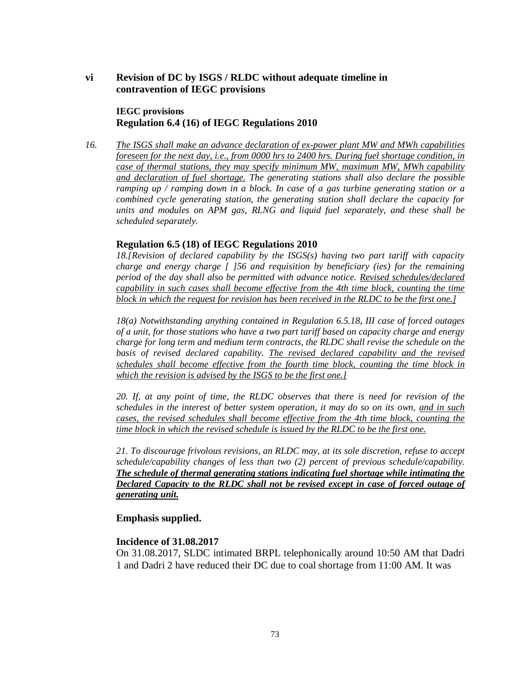## **vi Revision of DC by ISGS / RLDC without adequate timeline in contravention of IEGC provisions**

#### **IEGC provisions Regulation 6.4 (16) of IEGC Regulations 2010**

*16. The ISGS shall make an advance declaration of ex-power plant MW and MWh capabilities foreseen for the next day, i.e., from 0000 hrs to 2400 hrs. During fuel shortage condition, in case of thermal stations, they may specify minimum MW, maximum MW, MWh capability and declaration of fuel shortage. The generating stations shall also declare the possible ramping up / ramping down in a block. In case of a gas turbine generating station or a combined cycle generating station, the generating station shall declare the capacity for units and modules on APM gas, RLNG and liquid fuel separately, and these shall be scheduled separately.*

### **Regulation 6.5 (18) of IEGC Regulations 2010**

*18.[Revision of declared capability by the ISGS(s) having two part tariff with capacity charge and energy charge [ ]56 and requisition by beneficiary (ies) for the remaining period of the day shall also be permitted with advance notice. Revised schedules/declared capability in such cases shall become effective from the 4th time block, counting the time block in which the request for revision has been received in the RLDC to be the first one.]*

*18(a) Notwithstanding anything contained in Regulation 6.5.18, III case of forced outages of a unit, for those stations who have a two part tariff based on capacity charge and energy charge for long term and medium term contracts, the RLDC shall revise the schedule on the*  basis of revised declared capability. The revised declared capability and the revised *schedules shall become effective from the fourth time block, counting the time block in which the revision is advised by the ISGS to be the first one.]*

*20. If, at any point of time, the RLDC observes that there is need for revision of the schedules in the interest of better system operation, it may do so on its own, and in such cases, the revised schedules shall become effective from the 4th time block, counting the time block in which the revised schedule is issued by the RLDC to be the first one.*

*21. To discourage frivolous revisions, an RLDC may, at its sole discretion, refuse to accept schedule/capability changes of less than two (2) percent of previous schedule/capability. The schedule of thermal generating stations indicating fuel shortage while intimating the Declared Capacity to the RLDC shall not be revised except in case of forced outage of generating unit.*

#### **Emphasis supplied.**

#### **Incidence of 31.08.2017**

On 31.08.2017, SLDC intimated BRPL telephonically around 10:50 AM that Dadri 1 and Dadri 2 have reduced their DC due to coal shortage from 11:00 AM. It was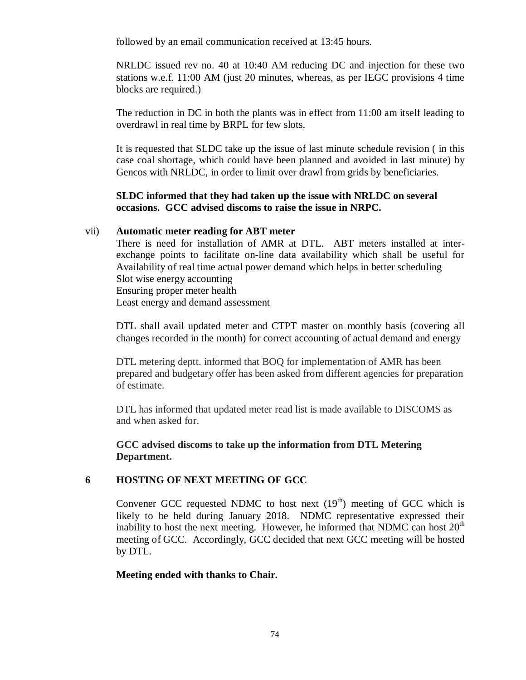followed by an email communication received at 13:45 hours.

NRLDC issued rev no. 40 at 10:40 AM reducing DC and injection for these two stations w.e.f. 11:00 AM (just 20 minutes, whereas, as per IEGC provisions 4 time blocks are required.)

The reduction in DC in both the plants was in effect from 11:00 am itself leading to overdrawl in real time by BRPL for few slots.

It is requested that SLDC take up the issue of last minute schedule revision ( in this case coal shortage, which could have been planned and avoided in last minute) by Gencos with NRLDC, in order to limit over drawl from grids by beneficiaries.

## **SLDC informed that they had taken up the issue with NRLDC on several occasions. GCC advised discoms to raise the issue in NRPC.**

### vii) **Automatic meter reading for ABT meter**

There is need for installation of AMR at DTL. ABT meters installed at interexchange points to facilitate on-line data availability which shall be useful for Availability of real time actual power demand which helps in better scheduling Slot wise energy accounting Ensuring proper meter health Least energy and demand assessment

DTL shall avail updated meter and CTPT master on monthly basis (covering all changes recorded in the month) for correct accounting of actual demand and energy

DTL metering deptt. informed that BOQ for implementation of AMR has been prepared and budgetary offer has been asked from different agencies for preparation of estimate.

DTL has informed that updated meter read list is made available to DISCOMS as and when asked for.

**GCC advised discoms to take up the information from DTL Metering Department.**

## **6 HOSTING OF NEXT MEETING OF GCC**

Convener GCC requested NDMC to host next  $(19<sup>th</sup>)$  meeting of GCC which is likely to be held during January 2018. NDMC representative expressed their inability to host the next meeting. However, he informed that NDMC can host  $20<sup>th</sup>$ meeting of GCC. Accordingly, GCC decided that next GCC meeting will be hosted by DTL.

## **Meeting ended with thanks to Chair.**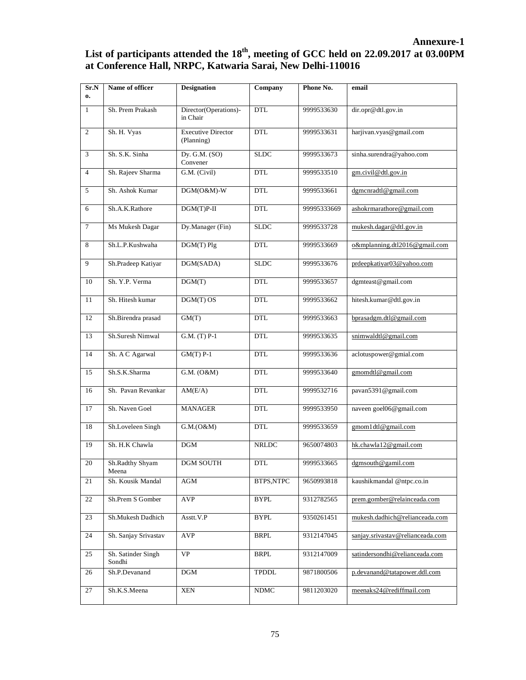# **Annexure-1** List of participants attended the 18<sup>th</sup>, meeting of GCC held on 22.09.2017 at 03.00PM **at Conference Hall, NRPC, Katwaria Sarai, New Delhi-110016**

| Sr.N<br>$\mathbf{0}$ | Name of officer              | <b>Designation</b>                      | Company      | Phone No.   | email                            |
|----------------------|------------------------------|-----------------------------------------|--------------|-------------|----------------------------------|
|                      |                              |                                         |              |             |                                  |
| $\mathbf{1}$         | Sh. Prem Prakash             | Director(Operations)-<br>in Chair       | <b>DTL</b>   | 9999533630  | dir.opr@dtl.gov.in               |
| $\overline{2}$       | Sh. H. Vyas                  | <b>Executive Director</b><br>(Planning) | <b>DTL</b>   | 9999533631  | harjivan.vyas@gmail.com          |
| 3                    | Sh. S.K. Sinha               | Dy. G.M. (SO)<br>Convener               | <b>SLDC</b>  | 9999533673  | sinha.surendra@yahoo.com         |
| $\overline{4}$       | Sh. Rajeev Sharma            | G.M. (Civil)                            | <b>DTL</b>   | 9999533510  | gm.civil@dtl.gov.in              |
| 5                    | Sh. Ashok Kumar              | $DGM(O&M)-W$                            | <b>DTL</b>   | 9999533661  | dgmcnradtl@gmail.com             |
| 6                    | Sh.A.K.Rathore               | $DGM(T)P-II$                            | <b>DTL</b>   | 99995333669 | ashokrmarathore@gmail.com        |
| $\tau$               | Ms Mukesh Dagar              | Dy.Manager (Fin)                        | <b>SLDC</b>  | 9999533728  | mukesh.dagar@dtl.gov.in          |
| 8                    | Sh.L.P.Kushwaha              | DGM(T) Plg                              | <b>DTL</b>   | 9999533669  | o&mplanning.dtl2016@gmail.com    |
| 9                    | Sh.Pradeep Katiyar           | DGM(SADA)                               | <b>SLDC</b>  | 9999533676  | prdeepkatiyar03@yahoo.com        |
| 10                   | Sh. Y.P. Verma               | $\overline{DGM}(T)$                     | <b>DTL</b>   | 9999533657  | dgmteast@gmail.com               |
| 11                   | Sh. Hitesh kumar             | DGM(T) OS                               | <b>DTL</b>   | 9999533662  | hitesh.kumar@dtl.gov.in          |
| 12                   | Sh.Birendra prasad           | GM(T)                                   | <b>DTL</b>   | 9999533663  | bprasadgm.dtl@gmail.com          |
| 13                   | Sh.Suresh Nimwal             | G.M. (T) P-1                            | DTL          | 9999533635  | snimwaldtl@gmail.com             |
| 14                   | Sh. A C Agarwal              | $GM(T)$ P-1                             | <b>DTL</b>   | 9999533636  | aclotuspower@gmial.com           |
| 15                   | Sh.S.K.Sharma                | G.M. (O&M)                              | <b>DTL</b>   | 9999533640  | gmomdtl@gmail.com                |
| 16                   | Sh. Pavan Revankar           | AM(E/A)                                 | <b>DTL</b>   | 9999532716  | pavan5391@gmail.com              |
| 17                   | Sh. Naven Goel               | <b>MANAGER</b>                          | <b>DTL</b>   | 9999533950  | naveen goel06@gmail.com          |
| 18                   | Sh.Loveleen Singh            | G.M.(O&M)                               | <b>DTL</b>   | 9999533659  | gmom1dtl@gmail.com               |
| 19                   | Sh. H.K Chawla               | DGM                                     | <b>NRLDC</b> | 9650074803  | hk.chawla12@gmail.com            |
| 20                   | Sh.Radthy Shyam<br>Meena     | <b>DGM SOUTH</b>                        | <b>DTL</b>   | 9999533665  | dgmsouth@gamil.com               |
| 21                   | Sh. Kousik Mandal            | AGM                                     | BTPS,NTPC    | 9650993818  | kaushikmandal @ntpc.co.in        |
| 22                   | Sh.Prem S Gomber             | <b>AVP</b>                              | BYPL         | 9312782565  | prem.gomber@relainceada.com      |
| 23                   | Sh.Mukesh Dadhich            | Asstt.V.P                               | BYPL         | 9350261451  | mukesh.dadhich@relianceada.com   |
| 24                   | Sh. Sanjay Srivastav         | AVP                                     | <b>BRPL</b>  | 9312147045  | sanjay.srivastav@relianceada.com |
| 25                   | Sh. Satinder Singh<br>Sondhi | VP                                      | <b>BRPL</b>  | 9312147009  | satindersondhi@relianceada.com   |
| 26                   | Sh.P.Devanand                | DGM                                     | <b>TPDDL</b> | 9871800506  | p.devanand@tatapower.ddl.com     |
| 27                   | Sh.K.S.Meena                 | XEN                                     | <b>NDMC</b>  | 9811203020  | meenaks24@rediffmail.com         |